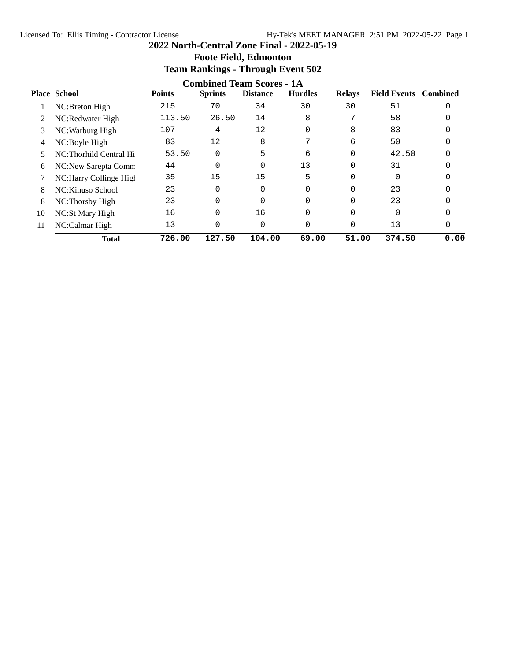|    |                        |               | o                                | 0               |                |               |                     |                 |
|----|------------------------|---------------|----------------------------------|-----------------|----------------|---------------|---------------------|-----------------|
|    |                        |               | <b>Combined Team Scores - 1A</b> |                 |                |               |                     |                 |
|    | <b>Place School</b>    | <b>Points</b> | <b>Sprints</b>                   | <b>Distance</b> | <b>Hurdles</b> | <b>Relays</b> | <b>Field Events</b> | <b>Combined</b> |
|    | NC:Breton High         | 215           | 70                               | 34              | 30             | 30            | 51                  | $\Omega$        |
|    | NC:Redwater High       | 113.50        | 26.50                            | 14              | 8              | 7             | 58                  |                 |
| 3  | NC: Warburg High       | 107           | 4                                | 12              | $\Omega$       | 8             | 83                  |                 |
| 4  | NC:Boyle High          | 83            | 12                               | 8               | 7              | 6             | 50                  |                 |
| 5  | NC:Thorhild Central Hi | 53.50         | $\Omega$                         | 5               | 6              |               | 42.50               |                 |
| 6  | NC:New Sarepta Comm    | 44            | $\Omega$                         | $\Omega$        | 13             | $\Omega$      | 31                  |                 |
|    | NC:Harry Collinge High | 35            | 15                               | 15              | 5              | 0             |                     |                 |
| 8  | NC: Kinuso School      | 23            | $\Omega$                         | $\Omega$        | $\Omega$       | $\Omega$      | 23                  |                 |
| 8  | NC:Thorsby High        | 23            | $\Omega$                         | $\Omega$        | $\Omega$       | $\Omega$      | 23                  |                 |
| 10 | NC:St Mary High        | 16            | 0                                | 16              | 0              |               |                     |                 |
| 11 | NC:Calmar High         | 13            | 0                                | 0               | $\Omega$       | $\Omega$      | 13                  | 0               |
|    | <b>Total</b>           | 726.00        | 127.50                           | 104.00          | 69.00          | 51.00         | 374.50              | 0.00            |

# **Foote Field, Edmonton Team Rankings - Through Event 502**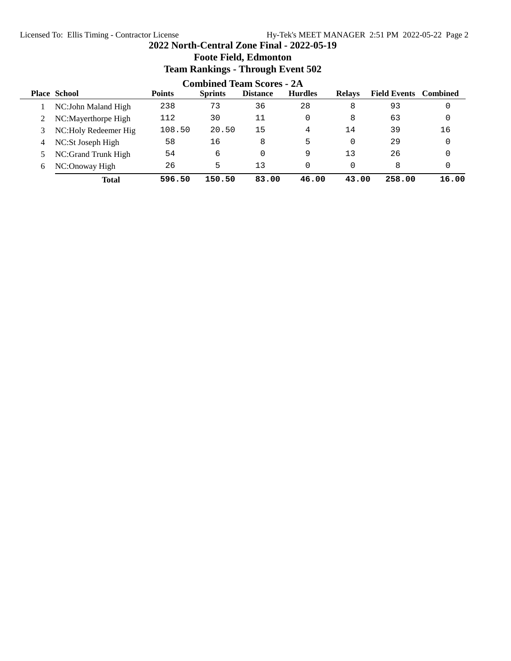# **2022 North-Central Zone Final - 2022-05-19 Foote Field, Edmonton Team Rankings - Through Event 502**

|   | <b>Combined Team Scores - 2A</b> |               |                |                 |                |               |                              |       |  |  |
|---|----------------------------------|---------------|----------------|-----------------|----------------|---------------|------------------------------|-------|--|--|
|   | <b>Place School</b>              | <b>Points</b> | <b>Sprints</b> | <b>Distance</b> | <b>Hurdles</b> | <b>Relays</b> | <b>Field Events</b> Combined |       |  |  |
|   | NC: John Maland High             | 238           | 73             | 36              | 28             | 8             | 93                           |       |  |  |
|   | NC:Mayerthorpe High              | 112           | 30             | 11              | 0              | 8             | 63                           |       |  |  |
|   | NC: Holy Redeemer Hig            | 108.50        | 20.50          | 15              | 4              | 14            | 39                           | 16    |  |  |
| 4 | NC:St Joseph High                | 58            | 16             | 8               | 5              |               | 29                           |       |  |  |
|   | NC:Grand Trunk High              | 54            | 6              | $\Omega$        | 9              | 13            | 26                           |       |  |  |
| 6 | NC:Onoway High                   | 26            | 5              | 13              | 0              |               | 8                            |       |  |  |
|   | <b>Total</b>                     | 596.50        | 150.50         | 83.00           | 46.00          | 43.00         | 258.00                       | 16.00 |  |  |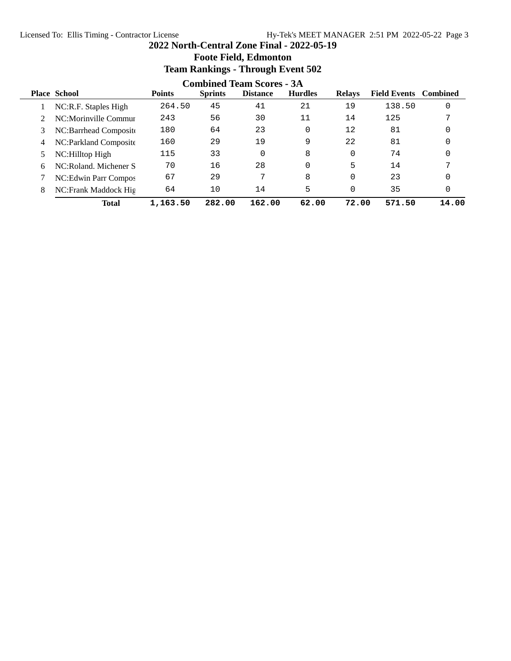|   | Team Rankings - Through Event 502 |               |                |                 |                |               |                     |                 |  |  |  |
|---|-----------------------------------|---------------|----------------|-----------------|----------------|---------------|---------------------|-----------------|--|--|--|
|   | <b>Combined Team Scores - 3A</b>  |               |                |                 |                |               |                     |                 |  |  |  |
|   | <b>Place School</b>               | <b>Points</b> | <b>Sprints</b> | <b>Distance</b> | <b>Hurdles</b> | <b>Relays</b> | <b>Field Events</b> | <b>Combined</b> |  |  |  |
|   | NC:R.F. Staples High              | 264.50        | 45             | 41              | 21             | 19            | 138.50              | 0               |  |  |  |
|   | NC:Morinville Commur              | 243           | 56             | 30              | 11             | 14            | 125                 | 7               |  |  |  |
| 3 | NC:Barrhead Composite             | 180           | 64             | 23              | 0              | 12            | 81                  | 0               |  |  |  |
| 4 | NC: Parkland Composite            | 160           | 29             | 19              | 9              | 22            | 81                  | 0               |  |  |  |
|   | NC:Hilltop High                   | 115           | 33             | 0               | 8              | 0             | 74                  | 0               |  |  |  |
| 6 | NC:Roland, Michener S             | 70            | 16             | 28              | 0              | 5             | 14                  |                 |  |  |  |
|   | NC: Edwin Parr Compos             | 67            | 29             | 7               | 8              | 0             | 23                  | 0               |  |  |  |
| 8 | NC: Frank Maddock Hig             | 64            | 10             | 14              | 5              | 0             | 35                  | 0               |  |  |  |
|   | Total                             | 1,163.50      | 282.00         | 162.00          | 62.00          | 72.00         | 571.50              | 14.00           |  |  |  |

## **Foote Field, Edmonton Team Rankings - Through Event 502**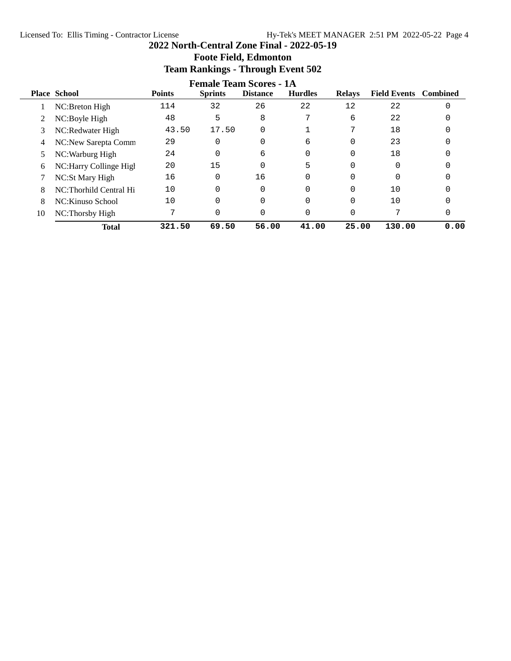# **Female Team Scores - 1A**<br>Sprints Distance Hurdles **Place School Points Sprints Distance Hurdles Relays Field Events Combined** 1 NC:Breton High 114 32 26 22 12 22 0 2 NC:Boyle High 48 5 8 7 6 22 0 3 NC:Redwater High 43.50 17.50 0 1 7 18 0 4 NC:New Sarepta Comm 29 0 0 6 0 23 0 5 NC: Warburg High 24 0 6 0 0 18 0 6 NC: Harry Collinge High 20 15 0 5 0 0 0 7 NC:St Mary High 16 0 16 0 0 0 0 8 NC:Thorhild Central Hi 10 0 0 0 0 10 0 8 NC: Kinuso School 10 0 0 0 0 10 0 10 NC:Thorsby High 7 0 0 0 0 7 0 **Total 321.50 69.50 56.00 41.00 25.00 130.00 0.00**

# **2022 North-Central Zone Final - 2022-05-19 Foote Field, Edmonton Team Rankings - Through Event 502**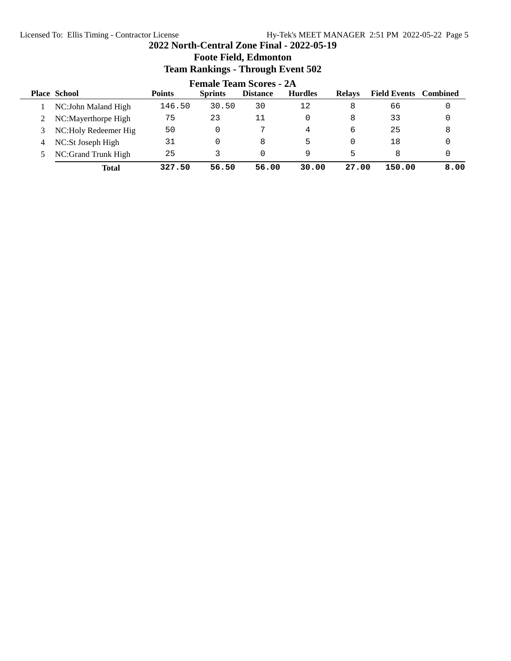# **2022 North-Central Zone Final - 2022-05-19 Foote Field, Edmonton Team Rankings - Through Event 502**

|   | <b>Female Team Scores - 2A</b> |               |                |                 |                |               |                              |      |  |
|---|--------------------------------|---------------|----------------|-----------------|----------------|---------------|------------------------------|------|--|
|   | <b>Place School</b>            | <b>Points</b> | <b>Sprints</b> | <b>Distance</b> | <b>Hurdles</b> | <b>Relays</b> | <b>Field Events</b> Combined |      |  |
|   | NC: John Maland High           | 146.50        | 30.50          | 30              | 12             | 8             | 66                           |      |  |
|   | NC:Mayerthorpe High            | 75            | 23             | 11              |                | 8             | 33                           |      |  |
|   | NC: Holy Redeemer Hig          | 50            |                | ヮ               | 4              | 6             | 25                           | 8    |  |
| 4 | NC:St Joseph High              | 31            |                | 8               | 5              | 0             | 18                           |      |  |
|   | NC:Grand Trunk High            | 25            |                |                 | 9              | 5             | 8                            |      |  |
|   | <b>Total</b>                   | 327.50        | 56.50          | 56.00           | 30.00          | 27.00         | 150.00                       | 8.00 |  |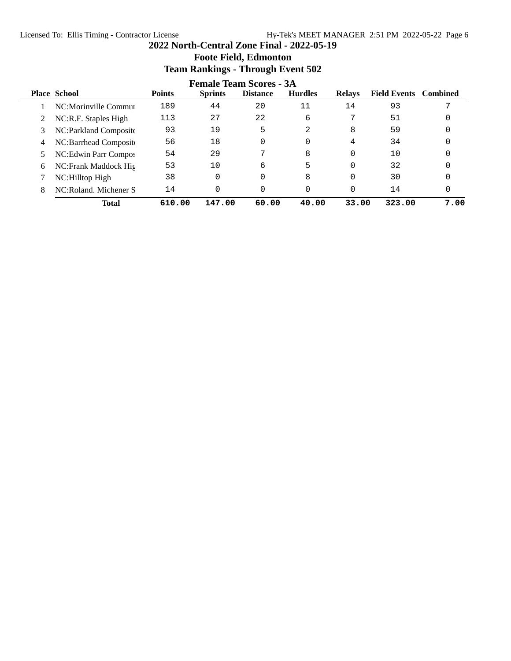# **Foote Field, Edmonton Team Rankings - Through Event 502 Female Team Scores - 3A**<br>Sprints Distance Hurdles **Place School Points Sprints Distance Hurdles Relays Field Events Combined** 1 NC:Morinville Commun 189 44 20 11 14 93 7 2 NC:R.F. Staples High 113 27 22 6 7 51 0 3 NC:Parkland Composite 93 19 5 2 8 59 0 4 NC:Barrhead Composite 56 18 0 0 4 34 0 5 NC: Edwin Parr Compos 54 29 7 8 0 10 0 6 NC:Frank Maddock Hig 53 10 6 5 0 32 0 7 NC: Hilltop High 38 0 0 8 0 30 0 8 NC:Roland. Michener S 14 0 0 0 0 14 0 **Total 610.00 147.00 60.00 40.00 33.00 323.00 7.00**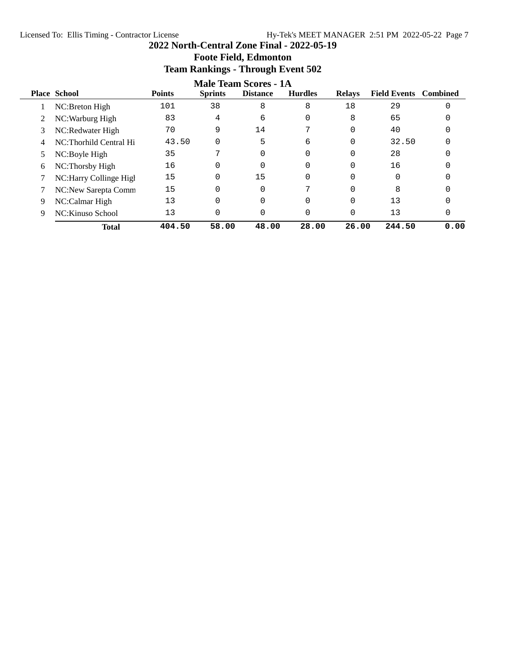# **2022 North-Central Zone Final - 2022-05-19 Foote Field, Edmonton**

**Team Rankings - Through Event 502**

|    |                        |               |                | <b>Male Team Scores - 1A</b> |                |               |                              |      |
|----|------------------------|---------------|----------------|------------------------------|----------------|---------------|------------------------------|------|
|    | <b>Place School</b>    | <b>Points</b> | <b>Sprints</b> | <b>Distance</b>              | <b>Hurdles</b> | <b>Relays</b> | <b>Field Events</b> Combined |      |
|    | NC:Breton High         | 101           | 38             | 8                            | 8              | 18            | 29                           |      |
| 2  | NC: Warburg High       | 83            | 4              | 6                            |                | 8             | 65                           |      |
| 3  | NC:Redwater High       | 70            | 9              | 14                           | ⇁              | 0             | 40                           |      |
| 4  | NC:Thorhild Central Hi | 43.50         | $\Omega$       | 5                            | 6              | 0             | 32.50                        |      |
| 5. | NC:Boyle High          | 35            | 7              | $\Omega$                     |                | 0             | 28                           |      |
| 6  | NC:Thorsby High        | 16            | $\Omega$       | $\Omega$                     |                | 0             | 16                           |      |
|    | NC:Harry Collinge High | 15            | 0              | 15                           | 0              | 0             | 0                            |      |
|    | NC:New Sarepta Comm    | 15            | $\Omega$       | $\Omega$                     |                | 0             | 8                            |      |
| 9  | NC:Calmar High         | 13            | 0              |                              |                | 0             | 13                           |      |
| 9  | NC: Kinuso School      | 13            | 0              |                              |                | 0             | 13                           |      |
|    | <b>Total</b>           | 404.50        | 58.00          | 48.00                        | 28.00          | 26.00         | 244.50                       | 0.00 |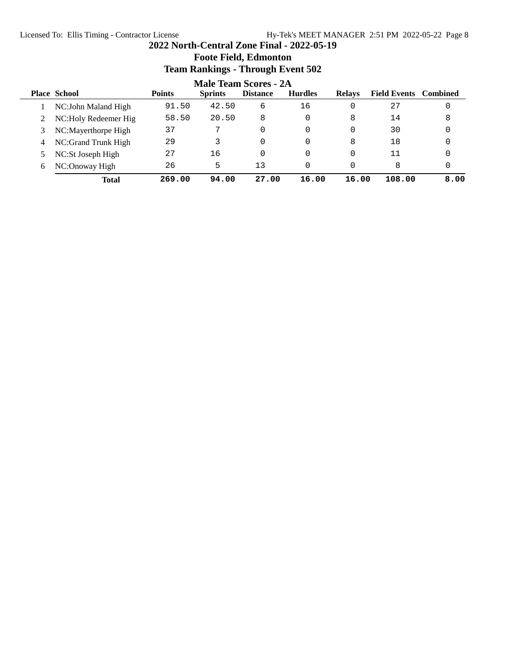# **2022 North-Central Zone Final - 2022-05-19 Foote Field, Edmonton Team Rankings - Through Event 502**

|   | <b>Male Team Scores - 2A</b> |               |                |                 |                |               |                              |      |  |
|---|------------------------------|---------------|----------------|-----------------|----------------|---------------|------------------------------|------|--|
|   | <b>Place School</b>          | <b>Points</b> | <b>Sprints</b> | <b>Distance</b> | <b>Hurdles</b> | <b>Relays</b> | <b>Field Events</b> Combined |      |  |
|   | NC: John Maland High         | 91.50         | 42.50          | 6               | 16             |               | 27                           | 0    |  |
|   | NC: Holy Redeemer Hig        | 58.50         | 20.50          | 8               | 0              | 8             | 14                           | 8    |  |
|   | NC:Mayerthorpe High          | 37            | 7              | 0               | 0              | 0             | 30                           | 0    |  |
| 4 | NC:Grand Trunk High          | 29            |                |                 | 0              | 8             | 18                           | 0    |  |
|   | NC:St Joseph High            | 27            | 16             |                 | 0              |               | 11                           |      |  |
| 6 | NC:Onoway High               | 26            | 5              | 13              |                |               | 8                            |      |  |
|   | <b>Total</b>                 | 269.00        | 94.00          | 27.00           | 16.00          | 16.00         | 108.00                       | 8.00 |  |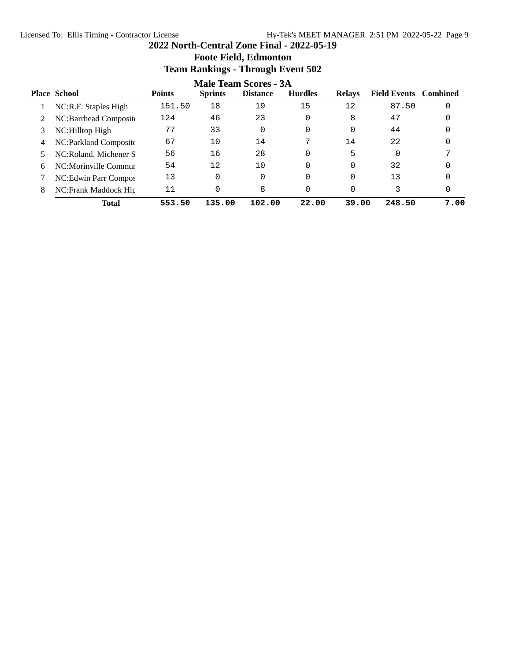# **Team Rankings - Through Event 502 Male Team Scores - 3A**<br>Sprints Distance Hurdles **Place School Points Sprints Distance Hurdles Relays Field Events Combined** 1 NC:R.F. Staples High 151.50 18 19 15 12 87.50 0 2 NC:Barrhead Composite 124 46 23 0 8 47 0 3 NC: Hilltop High 77 33 0 0 0 44 0 4 NC:Parkland Composite 67 10 14 7 14 22 0 5 NC:Roland. Michener S 56 16 28 0 5 0 7 6 NC:Morinville Commun 54 12 10 0 0 32 0 7 NC: Edwin Parr Compos 13 0 0 0 0 13 0 8 NC:Frank Maddock Hig 11 0 8 0 0 3 0 **Total 553.50 135.00 102.00 22.00 39.00 248.50 7.00**

# **Foote Field, Edmonton**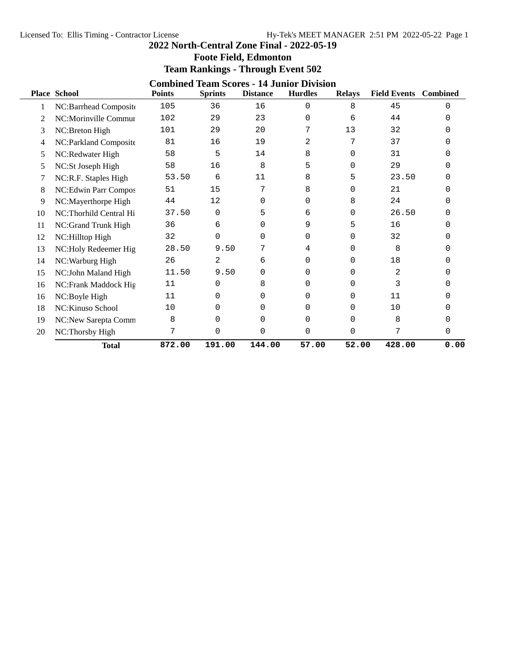|    | <b>Foote Field, Edmonton</b><br><b>Team Rankings - Through Event 502</b>                                                                                                                                   |        |                |        |          |             |                |      |  |  |
|----|------------------------------------------------------------------------------------------------------------------------------------------------------------------------------------------------------------|--------|----------------|--------|----------|-------------|----------------|------|--|--|
|    | <b>Combined Team Scores - 14 Junior Division</b><br><b>Place School</b><br><b>Hurdles</b><br><b>Field Events</b><br><b>Combined</b><br><b>Points</b><br><b>Sprints</b><br><b>Distance</b><br><b>Relays</b> |        |                |        |          |             |                |      |  |  |
| 1  | NC:Barrhead Composite                                                                                                                                                                                      | 105    | 36             | 16     | 0        | 8           | 45             | 0    |  |  |
| 2  | NC:Morinville Commur                                                                                                                                                                                       | 102    | 29             | 23     | $\Omega$ | 6           | 44             | U    |  |  |
| 3  | NC:Breton High                                                                                                                                                                                             | 101    | 29             | 20     | 7        | 13          | 32             | 0    |  |  |
| 4  | NC:Parkland Composite                                                                                                                                                                                      | 81     | 16             | 19     | 2        | 7           | 37             | U    |  |  |
| 5  | NC:Redwater High                                                                                                                                                                                           | 58     | 5              | 14     | 8        | 0           | 31             | 0    |  |  |
| 5  | NC:St Joseph High                                                                                                                                                                                          | 58     | 16             | 8      | 5        | $\Omega$    | 29             | 0    |  |  |
| 7  | NC:R.F. Staples High                                                                                                                                                                                       | 53.50  | 6              | 11     | 8        | 5           | 23.50          | 0    |  |  |
| 8  | NC:Edwin Parr Compos                                                                                                                                                                                       | 51     | 15             | 7      | 8        | 0           | 21             | 0    |  |  |
| 9  | NC:Mayerthorpe High                                                                                                                                                                                        | 44     | 12             | 0      | $\Omega$ | 8           | 24             | 0    |  |  |
| 10 | NC:Thorhild Central Hi                                                                                                                                                                                     | 37.50  | 0              | 5      | 6        | $\Omega$    | 26.50          | 0    |  |  |
| 11 | NC:Grand Trunk High                                                                                                                                                                                        | 36     | 6              | 0      | 9        | 5           | 16             | 0    |  |  |
| 12 | NC:Hilltop High                                                                                                                                                                                            | 32     | 0              | 0      | $\Omega$ | 0           | 32             | 0    |  |  |
| 13 | NC:Holy Redeemer Hig                                                                                                                                                                                       | 28.50  | 9.50           | 7      | 4        | $\Omega$    | 8              | 0    |  |  |
| 14 | NC: Warburg High                                                                                                                                                                                           | 26     | $\overline{a}$ | 6      | $\Omega$ | $\Omega$    | 18             | 0    |  |  |
| 15 | NC:John Maland High                                                                                                                                                                                        | 11.50  | 9.50           | 0      | $\Omega$ | 0           | $\overline{2}$ | 0    |  |  |
| 16 | NC:Frank Maddock Hig                                                                                                                                                                                       | 11     | 0              | 8      | 0        | 0           | 3              | 0    |  |  |
| 16 | NC:Boyle High                                                                                                                                                                                              | 11     | 0              | 0      | 0        | 0           | 11             | 0    |  |  |
| 18 | NC: Kinuso School                                                                                                                                                                                          | 10     | 0              | 0      | 0        | $\Omega$    | 10             | 0    |  |  |
| 19 | NC:New Sarepta Comm                                                                                                                                                                                        | 8      | 0              | 0      | $\Omega$ | 0           | 8              | 0    |  |  |
| 20 | NC:Thorsby High                                                                                                                                                                                            | 7      | 0              | 0      | $\Omega$ | $\mathbf 0$ | 7              | 0    |  |  |
|    | <b>Total</b>                                                                                                                                                                                               | 872.00 | 191.00         | 144.00 | 57.00    | 52.00       | 428.00         | 0.00 |  |  |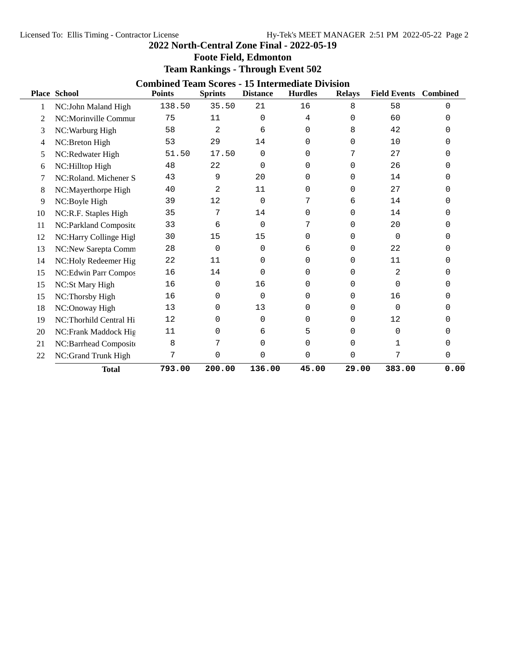# **Foote Field, Edmonton**

# **Team Rankings - Through Event 502**

|    | <b>Place School</b>    | <b>Combined Team Scores - 15 Intermediate Division</b><br><b>Points</b> | <b>Sprints</b> | <b>Distance</b> | <b>Hurdles</b> | <b>Relays</b> | <b>Field Events</b> | <b>Combined</b> |
|----|------------------------|-------------------------------------------------------------------------|----------------|-----------------|----------------|---------------|---------------------|-----------------|
|    |                        | 138.50                                                                  | 35.50          | 21              | 16             | 8             | 58                  | 0               |
|    | NC:John Maland High    |                                                                         |                |                 |                |               |                     |                 |
| 2  | NC:Morinville Commur   | 75                                                                      | 11             | $\Omega$        | 4              | $\Omega$      | 60                  | 0               |
| 3  | NC: Warburg High       | 58                                                                      | 2              | 6               | 0              | 8             | 42                  | 0               |
| 4  | NC:Breton High         | 53                                                                      | 29             | 14              | 0              | $\Omega$      | 10                  | 0               |
| 5  | NC:Redwater High       | 51.50                                                                   | 17.50          | 0               | $\Omega$       | 7             | 27                  | U               |
| 6  | NC:Hilltop High        | 48                                                                      | 22             | 0               | 0              | 0             | 26                  | 0               |
| 7  | NC:Roland. Michener S  | 43                                                                      | 9              | 20              | 0              | 0             | 14                  | 0               |
| 8  | NC:Mayerthorpe High    | 40                                                                      | 2              | 11              | 0              | $\Omega$      | 27                  | 0               |
| 9  | NC:Boyle High          | 39                                                                      | 12             | $\Omega$        | 7              | 6             | 14                  | U               |
| 10 | NC:R.F. Staples High   | 35                                                                      | 7              | 14              | 0              | 0             | 14                  | 0               |
| 11 | NC:Parkland Composite  | 33                                                                      | 6              | $\Omega$        | 7              | 0             | 20                  | U               |
| 12 | NC:Harry Collinge High | 30                                                                      | 15             | 15              | 0              | 0             | 0                   | 0               |
| 13 | NC:New Sarepta Comm    | 28                                                                      | 0              | $\Omega$        | 6              | $\Omega$      | 22                  | 0               |
| 14 | NC:Holy Redeemer Hig   | 22                                                                      | 11             | 0               | 0              | $\Omega$      | 11                  | 0               |
| 15 | NC:Edwin Parr Compos   | 16                                                                      | 14             | $\Omega$        | 0              | $\Omega$      | 2                   | 0               |
| 15 | NC:St Mary High        | 16                                                                      | 0              | 16              | 0              | $\Omega$      | $\Omega$            | U               |
| 15 | NC:Thorsby High        | 16                                                                      | 0              | $\Omega$        | 0              | $\Omega$      | 16                  | U               |
| 18 | NC:Onoway High         | 13                                                                      | 0              | 13              | 0              | $\Omega$      | $\Omega$            |                 |
| 19 | NC:Thorhild Central Hi | 12                                                                      | 0              | 0               | 0              | $\Omega$      | 12                  | 0               |
| 20 | NC:Frank Maddock Hig   | 11                                                                      | 0              | 6               | 5              | 0             | 0                   |                 |
| 21 | NC:Barrhead Composite  | 8                                                                       | 7              | 0               | 0              | $\Omega$      | 1                   | 0               |
| 22 | NC:Grand Trunk High    | 7                                                                       | 0              | $\mathbf 0$     | 0              | $\mathbf 0$   | 7                   | 0               |
|    | <b>Total</b>           | 793.00                                                                  | 200.00         | 136.00          | 45.00          | 29.00         | 383.00              | 0.00            |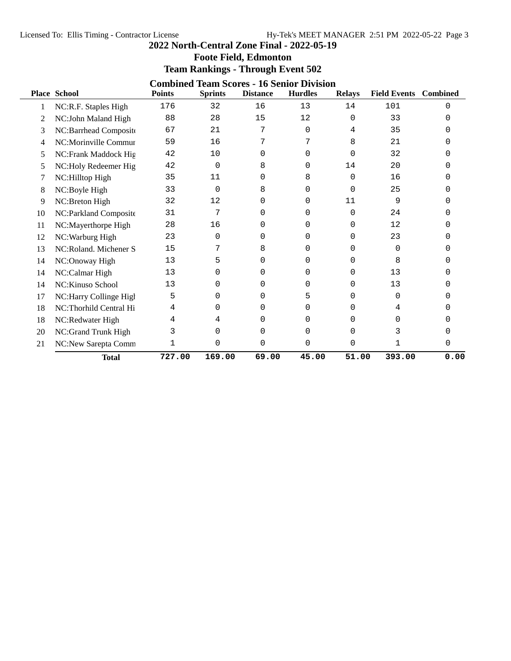# **Foote Field, Edmonton Team Rankings - Through Event 502**

|    | <b>Combined Team Scores - 16 Senior Division</b> |               |                |                 |                |               |                              |              |  |  |  |  |
|----|--------------------------------------------------|---------------|----------------|-----------------|----------------|---------------|------------------------------|--------------|--|--|--|--|
|    | <b>Place School</b>                              | <b>Points</b> | <b>Sprints</b> | <b>Distance</b> | <b>Hurdles</b> | <b>Relays</b> | <b>Field Events</b> Combined |              |  |  |  |  |
| 1  | NC:R.F. Staples High                             | 176           | 32             | 16              | 13             | 14            | 101                          | 0            |  |  |  |  |
| 2  | NC:John Maland High                              | 88            | 28             | 15              | 12             | $\Omega$      | 33                           | <sup>0</sup> |  |  |  |  |
| 3  | NC:Barrhead Composite                            | 67            | 21             | 7               | $\mathbf 0$    | 4             | 35                           | U            |  |  |  |  |
| 4  | NC:Morinville Commur                             | 59            | 16             | 7               | 7              | 8             | 21                           | U            |  |  |  |  |
| 5  | NC:Frank Maddock Hig                             | 42            | 10             | 0               | $\Omega$       | $\Omega$      | 32                           | U            |  |  |  |  |
| 5  | NC:Holy Redeemer Hig                             | 42            | 0              | 8               | $\Omega$       | 14            | 20                           | U            |  |  |  |  |
| 7  | NC:Hilltop High                                  | 35            | 11             | 0               | 8              | $\Omega$      | 16                           | U            |  |  |  |  |
| 8  | NC:Boyle High                                    | 33            | 0              | 8               | $\mathbf 0$    | $\Omega$      | 25                           | 0            |  |  |  |  |
| 9  | NC:Breton High                                   | 32            | 12             | 0               | 0              | 11            | 9                            | U            |  |  |  |  |
| 10 | NC:Parkland Composite                            | 31            | 7              | $\Omega$        | $\Omega$       | $\Omega$      | 24                           | U            |  |  |  |  |
| 11 | NC:Mayerthorpe High                              | 28            | 16             | 0               | $\Omega$       | $\Omega$      | 12                           | U            |  |  |  |  |
| 12 | NC: Warburg High                                 | 23            | 0              | 0               | 0              | 0             | 23                           | U            |  |  |  |  |
| 13 | NC:Roland. Michener S                            | 15            | 7              | 8               | 0              | 0             | 0                            | U            |  |  |  |  |
| 14 | NC:Onoway High                                   | 13            | 5              | 0               | $\Omega$       | $\Omega$      | 8                            | ∩            |  |  |  |  |
| 14 | NC:Calmar High                                   | 13            | 0              | 0               | 0              | 0             | 13                           | O            |  |  |  |  |
| 14 | NC:Kinuso School                                 | 13            | 0              | 0               | 0              | $\Omega$      | 13                           | U            |  |  |  |  |
| 17 | NC:Harry Collinge High                           | 5             | 0              | 0               | 5              | $\Omega$      | 0                            | 0            |  |  |  |  |
| 18 | NC:Thorhild Central Hi                           | 4             | 0              | <sup>0</sup>    | 0              | <sup>0</sup>  | 4                            |              |  |  |  |  |
| 18 | NC:Redwater High                                 | 4             | 4              | 0               | 0              | 0             | 0                            | U            |  |  |  |  |
| 20 | NC:Grand Trunk High                              | 3             | 0              | 0               | $\Omega$       | 0             | 3                            | 0            |  |  |  |  |
| 21 | NC:New Sarepta Comm                              | 1             | 0              | 0               | 0              | 0             | 1                            | 0            |  |  |  |  |
|    | <b>Total</b>                                     | 727.00        | 169.00         | 69.00           | 45.00          | 51.00         | 393.00                       | 0.00         |  |  |  |  |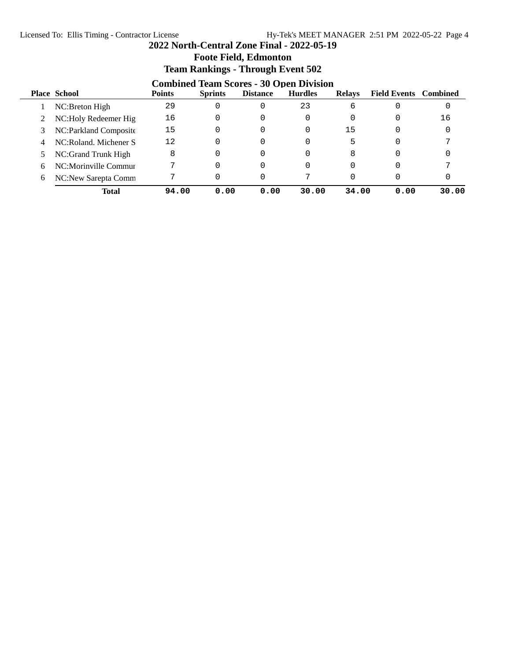# **Foote Field, Edmonton Team Rankings - Through Event 502**

|   | <b>Combined Team Scores - 30 Open Division</b> |               |                |                 |                |               |                              |       |  |  |
|---|------------------------------------------------|---------------|----------------|-----------------|----------------|---------------|------------------------------|-------|--|--|
|   | <b>Place School</b>                            | <b>Points</b> | <b>Sprints</b> | <b>Distance</b> | <b>Hurdles</b> | <b>Relays</b> | <b>Field Events</b> Combined |       |  |  |
|   | NC:Breton High                                 | 29            |                |                 | 23             | 6             |                              |       |  |  |
|   | NC: Holy Redeemer Hig                          | 16            |                |                 | 0              |               | 0                            | 16    |  |  |
|   | NC: Parkland Composite                         | 15            |                |                 |                | 15            |                              |       |  |  |
| 4 | NC:Roland, Michener S                          | 12            |                |                 |                | 5             |                              |       |  |  |
|   | NC:Grand Trunk High                            | 8             |                |                 |                | 8             |                              |       |  |  |
| 6 | NC:Morinville Commur                           |               |                |                 |                |               |                              |       |  |  |
| 6 | NC:New Sarepta Comm                            |               |                |                 |                |               |                              |       |  |  |
|   | Total                                          | 94.00         | 0.00           | 0.00            | 30.00          | 34.00         | 0.00                         | 30.00 |  |  |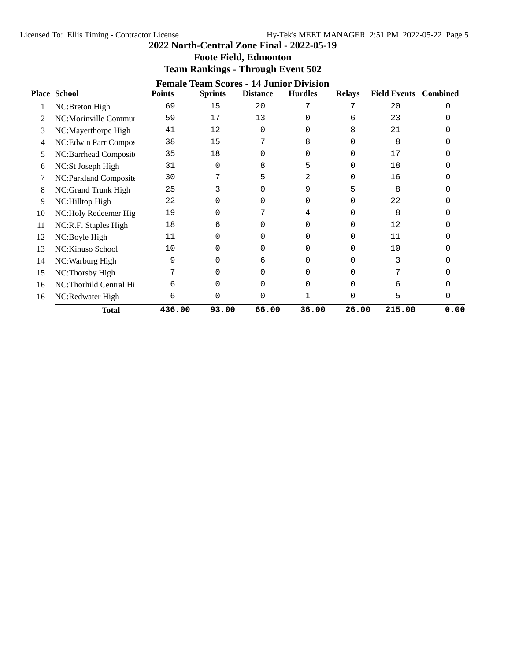# **Foote Field, Edmonton Team Rankings - Through Event 502**

|    | <b>Female Team Scores - 14 Junior Division</b> |               |                |                 |                |               |                              |      |  |  |  |  |
|----|------------------------------------------------|---------------|----------------|-----------------|----------------|---------------|------------------------------|------|--|--|--|--|
|    | <b>Place School</b>                            | <b>Points</b> | <b>Sprints</b> | <b>Distance</b> | <b>Hurdles</b> | <b>Relays</b> | <b>Field Events</b> Combined |      |  |  |  |  |
|    | NC:Breton High                                 | 69            | 15             | 20              | 7              |               | 20                           | ∩    |  |  |  |  |
|    | NC:Morinville Commur                           | 59            | 17             | 13              | 0              | 6             | 23                           |      |  |  |  |  |
| 3  | NC:Mayerthorpe High                            | 41            | 12             | $\Omega$        |                | 8             | 21                           |      |  |  |  |  |
| 4  | NC:Edwin Parr Compos                           | 38            | 15             |                 | 8              | U             | 8                            |      |  |  |  |  |
| 5  | NC:Barrhead Composite                          | 35            | 18             | 0               | 0              | 0             | 17                           |      |  |  |  |  |
| 6  | NC:St Joseph High                              | 31            | 0              | 8               | 5              |               | 18                           |      |  |  |  |  |
|    | NC:Parkland Composite                          | 30            |                | 5               | 2              | 0             | 16                           |      |  |  |  |  |
| 8  | NC:Grand Trunk High                            | 25            | 3              | $\Omega$        | 9              | 5             | 8                            |      |  |  |  |  |
| 9  | NC:Hilltop High                                | 22            | 0              | 0               | 0              | 0             | 22                           |      |  |  |  |  |
| 10 | NC: Holy Redeemer Hig                          | 19            | U              |                 | 4              | $\Omega$      | 8                            |      |  |  |  |  |
| 11 | NC:R.F. Staples High                           | 18            | 6              | 0               | O              | 0             | 12                           |      |  |  |  |  |
| 12 | NC:Boyle High                                  | 11            | $\Omega$       | O               | 0              | U             | 11                           |      |  |  |  |  |
| 13 | NC: Kinuso School                              | 10            | 0              | 0               | 0              | 0             | 10                           |      |  |  |  |  |
| 14 | NC: Warburg High                               | 9             | 0              | 6               | 0              |               |                              |      |  |  |  |  |
| 15 | NC:Thorsby High                                |               | 0              | 0               | 0              |               |                              |      |  |  |  |  |
| 16 | NC:Thorhild Central Hi                         | 6             |                |                 |                |               | 6                            |      |  |  |  |  |
| 16 | NC:Redwater High                               | 6             | 0              | 0               |                | 0             | 5                            | 0    |  |  |  |  |
|    | <b>Total</b>                                   | 436.00        | 93.00          | 66.00           | 36.00          | 26.00         | 215.00                       | 0.00 |  |  |  |  |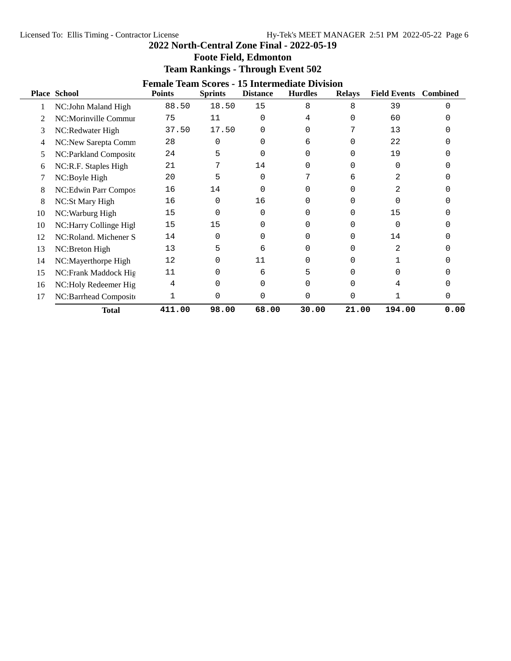|                                                      | <b>Foote Field, Edmonton</b> |               |                |                 |                                          |               |                              |  |  |  |  |
|------------------------------------------------------|------------------------------|---------------|----------------|-----------------|------------------------------------------|---------------|------------------------------|--|--|--|--|
|                                                      |                              |               |                |                 | <b>Team Rankings - Through Event 502</b> |               |                              |  |  |  |  |
| <b>Female Team Scores - 15 Intermediate Division</b> |                              |               |                |                 |                                          |               |                              |  |  |  |  |
|                                                      | <b>Place School</b>          | <b>Points</b> | <b>Sprints</b> | <b>Distance</b> | <b>Hurdles</b>                           | <b>Relays</b> | <b>Field Events</b> Combined |  |  |  |  |
|                                                      | NC:John Maland High          | 88.50         | 18.50          | -15             |                                          |               | 39                           |  |  |  |  |
|                                                      |                              |               |                |                 |                                          |               |                              |  |  |  |  |

|    | NC:John Maland High     | 88.50  | 18.50 | 15           | 8      | 8            | 39     |      |
|----|-------------------------|--------|-------|--------------|--------|--------------|--------|------|
|    | NC:Morinville Commur    | 75     | 11    | $\Omega$     | 4      | 0            | 60     |      |
| 3  | NC:Redwater High        | 37.50  | 17.50 | $\Omega$     | 0      |              | 13     |      |
| 4  | NC:New Sarepta Comm     | 28     | 0     | <sup>0</sup> | 6      | 0            | 22     |      |
| 5  | NC:Parkland Composite   | 24     | 5     | $\Omega$     | 0      | 0            | 19     |      |
| 6  | NC:R.F. Staples High    | 21     |       | 14           | U      | 0            | O      |      |
|    | NC:Boyle High           | 20     | 5     | ∩            |        | 6            | 2      |      |
| 8  | NC:Edwin Parr Compos    | 16     | 14    | ∩            | U      | <sup>0</sup> | 2.     |      |
| 8  | NC:St Mary High         | 16     | ∩     | 16           | U      | <sup>0</sup> | U      |      |
| 10 | NC: Warburg High        | 15     | ∩     | $\Omega$     | U      | 0            | 15     |      |
| 10 | NC: Harry Collinge High | 15     | 15    | $\Omega$     | $\cup$ | <sup>n</sup> | O      |      |
| 12 | NC:Roland. Michener S   | 14     | ∩     | $\Omega$     | 0      | 0            | 14     |      |
| 13 | NC:Breton High          | 13     | 5     | 6            | U      | 0            | 2      |      |
| 14 | NC:Mayerthorpe High     | 12     | U     | 11           | U      | 0            |        |      |
| 15 | NC:Frank Maddock Hig    | 11     | O     | 6            | 5      | <sup>n</sup> |        |      |
| 16 | NC:Holy Redeemer Hig    | 4      | ∩     | $\Omega$     | 0      | 0            |        |      |
| 17 | NC:Barrhead Composite   |        | 0     | $\Omega$     | U      | 0            |        |      |
|    | <b>Total</b>            | 411.00 | 98.00 | 68.00        | 30.00  | 21.00        | 194.00 | 0.00 |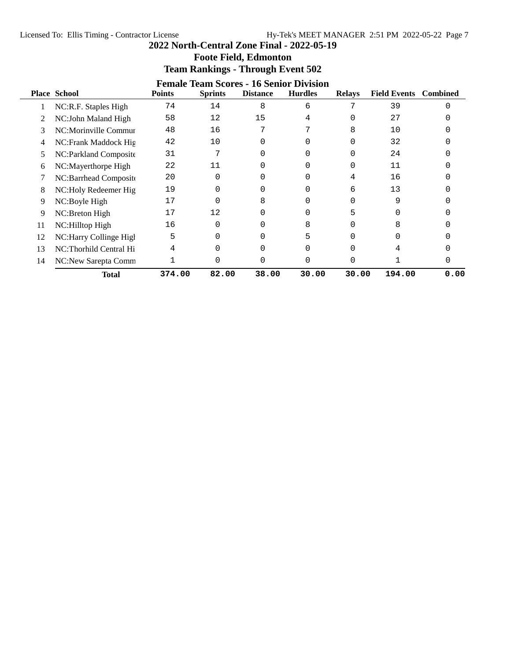| <b>Foote Field, Edmonton</b>                   |               |                |                 |                |               |                              |  |  |  |  |
|------------------------------------------------|---------------|----------------|-----------------|----------------|---------------|------------------------------|--|--|--|--|
| <b>Team Rankings - Through Event 502</b>       |               |                |                 |                |               |                              |  |  |  |  |
| <b>Female Team Scores - 16 Senior Division</b> |               |                |                 |                |               |                              |  |  |  |  |
| <b>Place School</b>                            | <b>Points</b> | <b>Sprints</b> | <b>Distance</b> | <b>Hurdles</b> | <b>Relavs</b> | <b>Field Events</b> Combined |  |  |  |  |
| $NCP F$ Staples High                           |               |                |                 |                |               |                              |  |  |  |  |

| 1 me | <b>DELIVUL</b>         | т оппер | рыше  | Distance | numu  | <b>Reduction</b> | т ки русню | <b>Compute</b> |
|------|------------------------|---------|-------|----------|-------|------------------|------------|----------------|
|      | NC:R.F. Staples High   | 74      | 14    | 8        | 6     |                  | 39         |                |
|      | NC:John Maland High    | 58      | 12    | 15       |       |                  | 27         |                |
| 3    | NC:Morinville Commur   | 48      | 16    |          |       | 8                | 10         |                |
| 4    | NC:Frank Maddock Hig   | 42      | 10    |          |       |                  | 32         |                |
| 5    | NC:Parkland Composite  | 31      |       |          |       |                  | 24         |                |
| 6    | NC:Mayerthorpe High    | 22      | 11    |          |       |                  | 11         |                |
|      | NC:Barrhead Composite  | 20      |       |          |       | 4                | 16         |                |
| 8    | NC:Holy Redeemer Hig   | 19      |       |          |       | 6                | 13         |                |
| 9    | NC:Boyle High          | 17      |       |          |       |                  |            |                |
| 9    | NC:Breton High         | 17      | 12    |          |       |                  |            |                |
| 11   | NC:Hilltop High        | 16      |       |          | Զ     |                  |            |                |
| 12   | NC:Harry Collinge High | 5       |       |          |       |                  |            |                |
| 13   | NC:Thorhild Central Hi | 4       |       |          |       |                  |            |                |
| 14   | NC:New Sarepta Comm    |         |       |          |       |                  |            |                |
|      | <b>Total</b>           | 374.00  | 82.00 | 38.00    | 30.00 | 30.00            | 194.00     | 0.00           |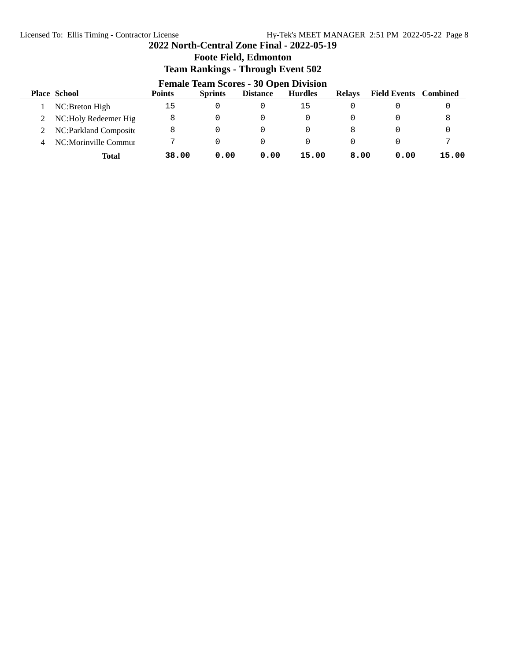# **Foote Field, Edmonton Team Rankings - Through Event 502 Female Team Scores - 30 Open Division**<br>Points **Distance** Hurdles **Place School Points Sprints Distance Hurdles Relays Field Events Combined**

|   | <b>Total</b>            | 38.00 | 0.00 | 0.00 | 15.00 | 8.00 | 0.00 | 15.00 |
|---|-------------------------|-------|------|------|-------|------|------|-------|
| 4 | NC:Morinville Commur    |       |      |      |       |      |      |       |
|   | 2 NC:Parkland Composite |       |      |      |       |      |      |       |
|   | 2 NC:Holy Redeemer Hig  |       |      |      |       |      |      |       |
|   | NC:Breton High          | ל ב   |      |      | 15    |      |      |       |
|   |                         |       |      |      |       |      |      |       |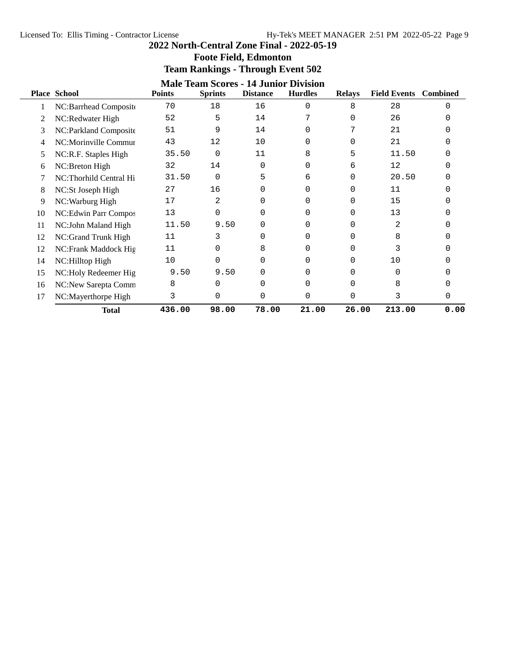|    | <b>Place School</b>    | <b>Points</b> | <b>Sprints</b> | <b>Distance</b> | <b>Male Team Scores - 14 Junior Division</b><br><b>Hurdles</b> | <b>Relays</b> | <b>Field Events</b> Combined |          |
|----|------------------------|---------------|----------------|-----------------|----------------------------------------------------------------|---------------|------------------------------|----------|
| 1  | NC:Barrhead Composite  | 70            | 18             | 16              | 0                                                              | 8             | 28                           | $\Omega$ |
| 2  | NC:Redwater High       | 52            | 5              | 14              |                                                                | 0             | 26                           |          |
| 3  | NC:Parkland Composite  | 51            | 9              | 14              | O                                                              |               | 21                           |          |
| 4  | NC:Morinville Commur   | 43            | 12             | 10              | 0                                                              | U             | 21                           |          |
| 5  | NC:R.F. Staples High   | 35.50         | $\Omega$       | 11              | 8                                                              | 5             | 11.50                        |          |
| h. | NC:Breton High         | 32            | 14             | $\Omega$        | 0                                                              | 6             | 12                           |          |
|    | NC:Thorhild Central Hi | 31.50         | 0              | 5               | 6                                                              | 0             | 20.50                        |          |
| 8  | NC:St Joseph High      | 27            | 16             | $\Omega$        | 0                                                              | 0             | 11                           |          |
| 9  | NC: Warburg High       | 17            | 2              | 0               | 0                                                              | 0             | 15                           |          |
| 10 | NC:Edwin Parr Compos   | 13            | 0              | 0               | O                                                              | 0             | 13                           |          |
| 11 | NC:John Maland High    | 11.50         | 9.50           | 0               | 0                                                              | 0             | 2                            |          |
| 12 | NC:Grand Trunk High    | 11            | 3              | $\Omega$        | 0                                                              | 0             | 8                            |          |
| 12 | NC:Frank Maddock Hig   | 11            | 0              | 8               | O                                                              | 0             | 3                            |          |
| 14 | NC:Hilltop High        | 10            | 0              | $\Omega$        | O                                                              | 0             | 10                           |          |
| 15 | NC:Holy Redeemer Hig   | 9.50          | 9.50           | 0               | 0                                                              | 0             | 0                            |          |
| 16 | NC:New Sarepta Comm    | 8             | 0              | O               | 0                                                              | U             | 8                            |          |
| 17 | NC:Mayerthorpe High    | 3             | 0              | $\Omega$        | $\Omega$                                                       | 0             | 3                            | 0        |
|    | <b>Total</b>           | 436.00        | 98.00          | 78.00           | 21.00                                                          | 26.00         | 213.00                       | 0.00     |

# **Team Rankings - Through Event 502**

**Foote Field, Edmonton**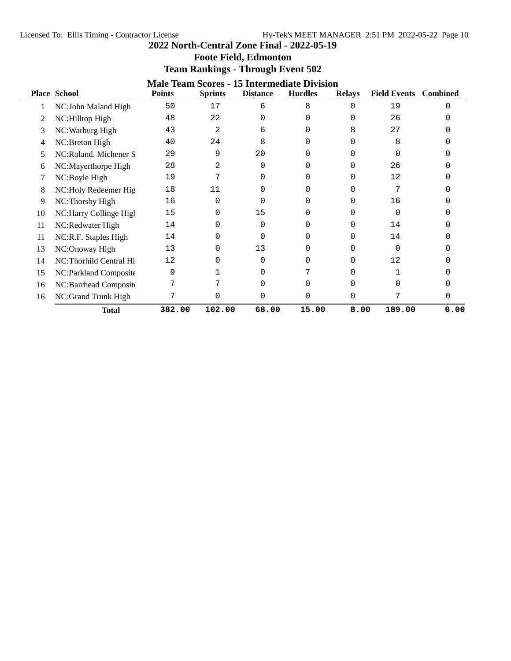| <b>Foote Field, Edmonton</b>             |  |
|------------------------------------------|--|
| <b>Team Rankings - Through Event 502</b> |  |

| <b>Male Team Scores - 15 Intermediate Division</b> |                         |               |                |                 |                |               |                     |                 |  |  |  |
|----------------------------------------------------|-------------------------|---------------|----------------|-----------------|----------------|---------------|---------------------|-----------------|--|--|--|
|                                                    | <b>Place School</b>     | <b>Points</b> | <b>Sprints</b> | <b>Distance</b> | <b>Hurdles</b> | <b>Relays</b> | <b>Field Events</b> | <b>Combined</b> |  |  |  |
|                                                    | NC:John Maland High     | 50            | 17             | 6               | 8              | 0             | 19                  | ∩               |  |  |  |
| 2                                                  | NC:Hilltop High         | 48            | 22             | ∩               | 0              |               | 26                  |                 |  |  |  |
| 3                                                  | NC: Warburg High        | 43            | 2              | 6               |                | 8             | 27                  |                 |  |  |  |
| 4                                                  | NC:Breton High          | 40            | 24             | 8               |                |               | 8                   |                 |  |  |  |
| 5                                                  | NC:Roland. Michener S   | 29            | 9              | 20              | 0              |               | <sup>0</sup>        |                 |  |  |  |
| 6                                                  | NC:Mayerthorpe High     | 28            | 2              | 0               | 0              |               | 26                  |                 |  |  |  |
|                                                    | NC:Boyle High           | 19            | 7              | ∩               | 0              |               | 12                  |                 |  |  |  |
| 8                                                  | NC:Holy Redeemer Hig    | 18            | 11             |                 | 0              |               | 7                   |                 |  |  |  |
| 9                                                  | NC:Thorsby High         | 16            | 0              | ∩               | 0              | 0             | 16                  |                 |  |  |  |
| 10                                                 | NC: Harry Collinge High | 15            | 0              | 15              | 0              |               | O                   |                 |  |  |  |
| 11                                                 | NC:Redwater High        | 14            | 0              | ∩               | 0              |               | 14                  |                 |  |  |  |
| 11                                                 | NC:R.F. Staples High    | 14            | 0              |                 |                |               | 14                  |                 |  |  |  |
| 13                                                 | NC:Onoway High          | 13            | 0              | 13              | 0              |               | <sup>0</sup>        |                 |  |  |  |
| 14                                                 | NC:Thorhild Central Hi  | 12            | 0              | $\Omega$        | 0              |               | 12                  |                 |  |  |  |
| 15                                                 | NC:Parkland Composite   | 9             |                | 0               |                |               |                     |                 |  |  |  |
| 16                                                 | NC:Barrhead Composite   |               |                |                 | U              |               | <sup>0</sup>        |                 |  |  |  |
| 16                                                 | NC:Grand Trunk High     | 7             | 0              |                 | 0              |               | 7                   |                 |  |  |  |
|                                                    | <b>Total</b>            | 382.00        | 102.00         | 68.00           | 15.00          | 8.00          | 189.00              | 0.00            |  |  |  |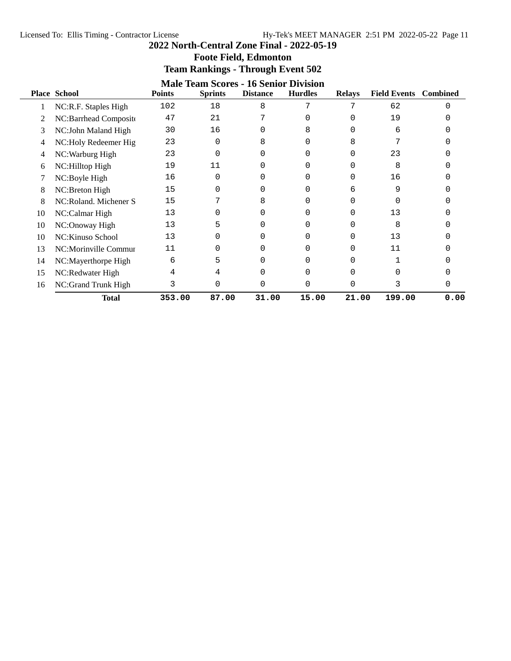| <b>Foote Field, Edmonton</b>             |  |
|------------------------------------------|--|
| <b>Team Rankings - Through Event 502</b> |  |

|    | <b>Male Team Scores - 16 Senior Division</b> |               |                |                 |                |               |                     |                 |  |  |  |
|----|----------------------------------------------|---------------|----------------|-----------------|----------------|---------------|---------------------|-----------------|--|--|--|
|    | <b>Place School</b>                          | <b>Points</b> | <b>Sprints</b> | <b>Distance</b> | <b>Hurdles</b> | <b>Relays</b> | <b>Field Events</b> | <b>Combined</b> |  |  |  |
|    | NC:R.F. Staples High                         | 102           | 18             | 8               | 7              |               | 62                  |                 |  |  |  |
|    | NC:Barrhead Composite                        | 47            | 21             |                 |                |               | 19                  |                 |  |  |  |
| 3  | NC:John Maland High                          | 30            | 16             |                 | 8              |               | 6                   |                 |  |  |  |
| 4  | NC: Holy Redeemer Hig                        | 23            | 0              | 8               |                | 8             |                     |                 |  |  |  |
| 4  | NC: Warburg High                             | 23            | $\Omega$       |                 |                |               | 23                  |                 |  |  |  |
| 6  | NC: Hilltop High                             | 19            | 11             |                 | Ω              |               | 8                   |                 |  |  |  |
|    | NC:Boyle High                                | 16            | 0              |                 | 0              |               | 16                  |                 |  |  |  |
| 8  | NC: Breton High                              | 15            | 0              |                 | 0              | 6             | 9                   |                 |  |  |  |
| 8  | NC:Roland. Michener S                        | 15            |                | 8               | U              |               |                     |                 |  |  |  |
| 10 | NC:Calmar High                               | 13            | O              |                 |                |               | 13                  |                 |  |  |  |
| 10 | NC:Onoway High                               | 13            | 5              |                 |                |               | 8                   |                 |  |  |  |
| 10 | NC: Kinuso School                            | 13            | O              |                 |                |               | 13                  |                 |  |  |  |
| 13 | NC:Morinville Commur                         | 11            | O              |                 |                |               | 11                  |                 |  |  |  |
| 14 | NC:Mayerthorpe High                          | 6             | 5              |                 |                |               |                     |                 |  |  |  |
| 15 | NC:Redwater High                             |               | 4              |                 | U              |               | U                   |                 |  |  |  |
| 16 | NC:Grand Trunk High                          | 3             | 0              | r               | 0              |               | 3                   |                 |  |  |  |
|    | <b>Total</b>                                 | 353.00        | 87.00          | 31.00           | 15.00          | 21.00         | 199.00              | 0.00            |  |  |  |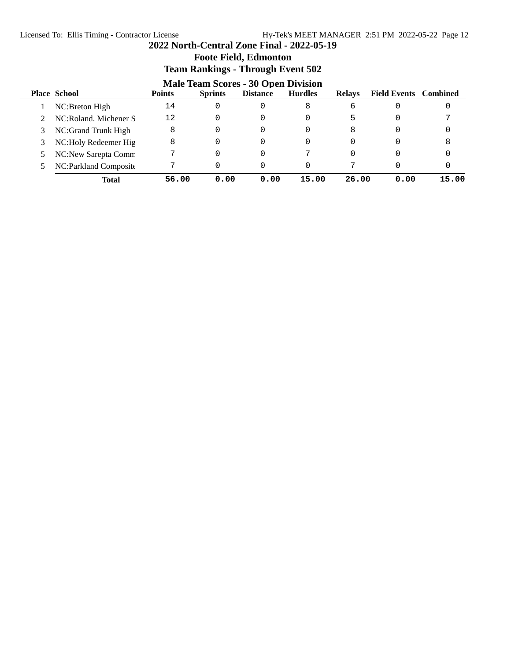# **Foote Field, Edmonton**

### **Team Rankings - Through Event 502**<br>Mala Trave Secure 20 Once Division **Male Team Scores - 30 Open Division**

|   | Male Team Scores - 30 Open Division |               |                |                 |                |               |                              |       |  |  |  |
|---|-------------------------------------|---------------|----------------|-----------------|----------------|---------------|------------------------------|-------|--|--|--|
|   | <b>Place School</b>                 | <b>Points</b> | <b>Sprints</b> | <b>Distance</b> | <b>Hurdles</b> | <b>Relays</b> | <b>Field Events</b> Combined |       |  |  |  |
|   | NC:Breton High                      | 14            | 0              |                 | 8              | 6             |                              | 0     |  |  |  |
|   | NC:Roland, Michener S               | 12            | 0              |                 |                | 5             |                              |       |  |  |  |
|   | NC:Grand Trunk High                 | 8             | 0              |                 |                | 8             |                              |       |  |  |  |
| 3 | NC: Holy Redeemer Hig               | 8             | 0              |                 | 0              |               |                              | 8     |  |  |  |
|   | NC:New Sarepta Comm                 |               | 0              |                 |                |               |                              |       |  |  |  |
|   | NC:Parkland Composite               |               | 0              |                 | O              |               |                              |       |  |  |  |
|   | <b>Total</b>                        | 56.00         | 0.00           | 0.00            | 15.00          | 26.00         | 0.00                         | 15.00 |  |  |  |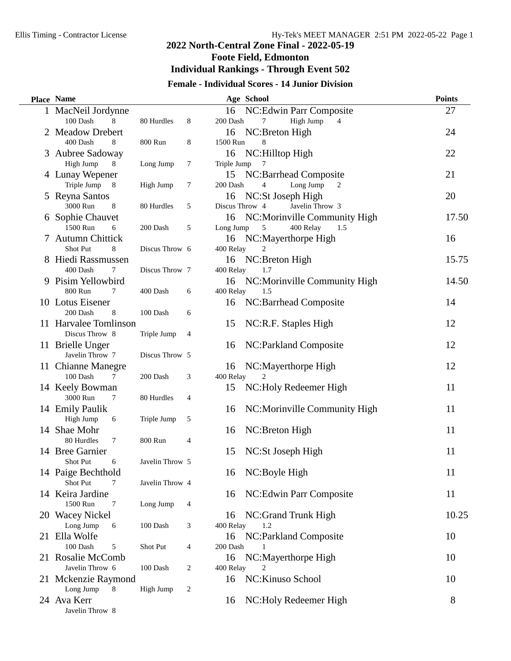# **2022 North-Central Zone Final - 2022-05-19 Foote Field, Edmonton Individual Rankings - Through Event 502**

# **Female - Individual Scores - 14 Junior Division**

| <b>Place Name</b>                  |                 |                  | Age School                                    |                              | <b>Points</b> |
|------------------------------------|-----------------|------------------|-----------------------------------------------|------------------------------|---------------|
| 1 MacNeil Jordynne                 |                 |                  | 16                                            | NC:Edwin Parr Composite      | 27            |
| 100 Dash<br>8                      | 80 Hurdles      | 8                | 200 Dash<br>7                                 | High Jump<br>$\overline{4}$  |               |
| 2 Meadow Drebert                   |                 |                  | NC:Breton High<br>16                          |                              | 24            |
| 400 Dash<br>8                      | 800 Run         | 8                | 1500 Run<br>8                                 |                              |               |
| 3 Aubree Sadoway                   |                 |                  | NC:Hilltop High<br>16                         |                              | 22            |
| High Jump<br>8                     | Long Jump       | $\tau$           | Triple Jump<br>7                              |                              |               |
| 4 Lunay Wepener                    |                 |                  | NC:Barrhead Composite<br>15                   |                              | 21            |
| Triple Jump<br>$8\phantom{.0}$     | High Jump       | $\boldsymbol{7}$ | 200 Dash<br>4                                 | Long Jump<br>2               |               |
| 5 Reyna Santos                     |                 |                  | NC:St Joseph High<br>16                       |                              | 20            |
| 3000 Run<br>8                      | 80 Hurdles      | 5                | Discus Throw 4                                | Javelin Throw 3              |               |
| 6 Sophie Chauvet<br>1500 Run       |                 |                  | 16                                            | NC:Morinville Community High | 17.50         |
| 6                                  | 200 Dash        | 5                | Long Jump<br>5                                | 400 Relay<br>1.5             |               |
| 7 Autumn Chittick<br>Shot Put<br>8 | Discus Throw 6  |                  | 16 NC:Mayerthorpe High<br>400 Relay           |                              | 16            |
| 8 Hiedi Rassmussen                 |                 |                  | NC:Breton High<br>16                          |                              | 15.75         |
| 400 Dash<br>7                      | Discus Throw 7  |                  | 400 Relay<br>1.7                              |                              |               |
| 9 Pisim Yellowbird                 |                 |                  | 16                                            | NC:Morinville Community High | 14.50         |
| 800 Run<br>7                       | 400 Dash        | 6                | 400 Relay<br>1.5                              |                              |               |
| 10 Lotus Eisener                   |                 |                  | NC:Barrhead Composite<br>16                   |                              | 14            |
| 200 Dash<br>8                      | 100 Dash        | 6                |                                               |                              |               |
| 11 Harvalee Tomlinson              |                 |                  | 15<br>NC:R.F. Staples High                    |                              | 12            |
| Discus Throw 8                     | Triple Jump     | $\overline{4}$   |                                               |                              |               |
| 11 Brielle Unger                   |                 |                  | NC:Parkland Composite<br>16                   |                              | 12            |
| Javelin Throw 7                    | Discus Throw 5  |                  |                                               |                              |               |
| 11 Chianne Manegre                 |                 |                  | NC:Mayerthorpe High<br>16                     |                              | 12            |
| 100 Dash<br>7                      | 200 Dash        | 3                | 400 Relay                                     |                              |               |
| 14 Keely Bowman                    |                 |                  | 15                                            | NC: Holy Redeemer High       | 11            |
| 3000 Run<br>7                      | 80 Hurdles      | $\overline{4}$   |                                               |                              |               |
| 14 Emily Paulik                    |                 |                  | 16                                            | NC:Morinville Community High | 11            |
| High Jump<br>6                     | Triple Jump     | 5                |                                               |                              |               |
| 14 Shae Mohr                       |                 |                  | NC:Breton High<br>16                          |                              | 11            |
| 80 Hurdles<br>7                    | 800 Run         | 4                |                                               |                              |               |
| 14 Bree Garnier                    |                 |                  | 15<br>NC:St Joseph High                       |                              | 11            |
| <b>Shot Put</b><br>6               | Javelin Throw 5 |                  |                                               |                              |               |
| 14 Paige Bechthold                 |                 |                  | NC:Boyle High<br>16                           |                              | 11            |
| Shot Put                           | Javelin Throw 4 |                  |                                               |                              |               |
| 14 Keira Jardine                   |                 |                  | 16                                            | NC:Edwin Parr Composite      | 11            |
| 1500 Run<br>7                      | Long Jump       | $\overline{4}$   |                                               |                              |               |
| 20 Wacey Nickel                    |                 |                  | NC:Grand Trunk High<br>16                     |                              | 10.25         |
| Long Jump<br>6<br>21 Ella Wolfe    | 100 Dash        | 3                | 400 Relay<br>1.2                              |                              |               |
| 100 Dash<br>5                      | Shot Put        |                  | NC:Parkland Composite<br>16<br>200 Dash<br>-1 |                              | 10            |
| 21 Rosalie McComb                  |                 | 4                | NC:Mayerthorpe High<br>16                     |                              | 10            |
| Javelin Throw 6                    | 100 Dash        | 2                | 400 Relay<br>2                                |                              |               |
| 21 Mckenzie Raymond                |                 |                  | NC: Kinuso School<br>16                       |                              | 10            |
| Long Jump<br>8                     | High Jump       | 2                |                                               |                              |               |
| 24 Ava Kerr                        |                 |                  | 16                                            | NC: Holy Redeemer High       | 8             |
| Javelin Throw 8                    |                 |                  |                                               |                              |               |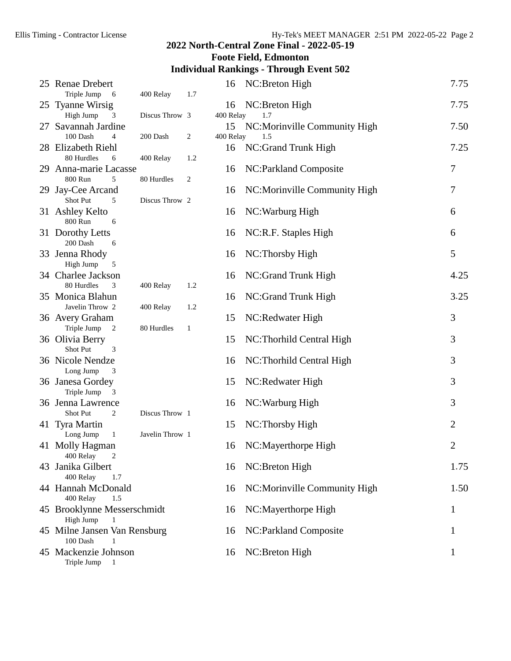# **Foote Field, Edmonton**

# **Individual Rankings - Through Event 502**

| 25 Renae Drebert                                    |                 |              | 16        | NC:Breton High               | 7.75           |
|-----------------------------------------------------|-----------------|--------------|-----------|------------------------------|----------------|
| Triple Jump<br>- 6<br>25 Tyanne Wirsig              | 400 Relay       | 1.7          | 16        | NC:Breton High               | 7.75           |
| High Jump<br>3                                      | Discus Throw 3  |              | 400 Relay | 1.7                          |                |
| Savannah Jardine                                    |                 |              | 15        | NC:Morinville Community High | 7.50           |
| 100 Dash<br>$\overline{4}$                          | 200 Dash        | 2            | 400 Relay | 1.5                          |                |
| 28 Elizabeth Riehl                                  |                 |              | 16        | NC:Grand Trunk High          | 7.25           |
| 80 Hurdles<br>6                                     | 400 Relay       | 1.2          |           |                              |                |
| 29 Anna-marie Lacasse                               |                 |              | 16        | NC:Parkland Composite        | 7              |
| 800 Run<br>5                                        | 80 Hurdles      | 2            |           |                              |                |
| 29 Jay-Cee Arcand                                   |                 |              | 16        | NC:Morinville Community High | 7              |
| Shot Put<br>5                                       | Discus Throw 2  |              |           |                              |                |
| 31 Ashley Kelto                                     |                 |              | 16        | NC: Warburg High             | 6              |
| 800 Run<br>6                                        |                 |              |           |                              |                |
| 31 Dorothy Letts                                    |                 |              | 16        | NC:R.F. Staples High         | 6              |
| 200 Dash<br>6                                       |                 |              |           |                              |                |
| 33 Jenna Rhody                                      |                 |              | 16        | NC: Thorsby High             | 5              |
| High Jump<br>5                                      |                 |              |           |                              |                |
| 34 Charlee Jackson                                  |                 |              | 16        | NC:Grand Trunk High          | 4.25           |
| 80 Hurdles<br>3                                     | 400 Relay       | 1.2          |           |                              |                |
| 35 Monica Blahun                                    |                 |              | 16        | NC:Grand Trunk High          | 3.25           |
| Javelin Throw 2                                     | 400 Relay       | 1.2          |           |                              |                |
| 36 Avery Graham<br>Triple Jump                      |                 |              | 15        | NC:Redwater High             | 3              |
| 2<br>36 Olivia Berry                                | 80 Hurdles      | $\mathbf{1}$ | 15        |                              | 3              |
| Shot Put<br>3                                       |                 |              |           | NC: Thorhild Central High    |                |
| 36 Nicole Nendze                                    |                 |              | 16        | NC:Thorhild Central High     | 3              |
| Long Jump<br>3                                      |                 |              |           |                              |                |
| 36 Janesa Gordey                                    |                 |              | 15        | NC:Redwater High             | 3              |
| Triple Jump<br>$\overline{\mathbf{3}}$              |                 |              |           |                              |                |
| 36 Jenna Lawrence                                   |                 |              | 16        | NC: Warburg High             | 3              |
| Shot Put<br>2                                       | Discus Throw 1  |              |           |                              |                |
| 41 Tyra Martin                                      |                 |              | 15        | NC:Thorsby High              | $\overline{2}$ |
| Long Jump<br>$\mathbf{1}$                           | Javelin Throw 1 |              |           |                              |                |
| 41 Molly Hagman                                     |                 |              | 16        | NC:Mayerthorpe High          | $\overline{2}$ |
| 400 Relay<br>2                                      |                 |              |           |                              |                |
| 43 Janika Gilbert                                   |                 |              | 16        | NC:Breton High               | 1.75           |
| 400 Relay<br>1.7                                    |                 |              |           |                              |                |
| 44 Hannah McDonald                                  |                 |              | 16        | NC:Morinville Community High | 1.50           |
| 400 Relay<br>1.5                                    |                 |              |           |                              |                |
| 45 Brooklynne Messerschmidt                         |                 |              | 16        | NC:Mayerthorpe High          | 1              |
| High Jump                                           |                 |              |           |                              |                |
| 45 Milne Jansen Van Rensburg                        |                 |              | 16        | NC: Parkland Composite       | 1              |
| 100 Dash<br>1                                       |                 |              |           |                              |                |
| 45 Mackenzie Johnson<br>Triple Jump<br>$\mathbf{1}$ |                 |              | 16        | NC:Breton High               | 1              |
|                                                     |                 |              |           |                              |                |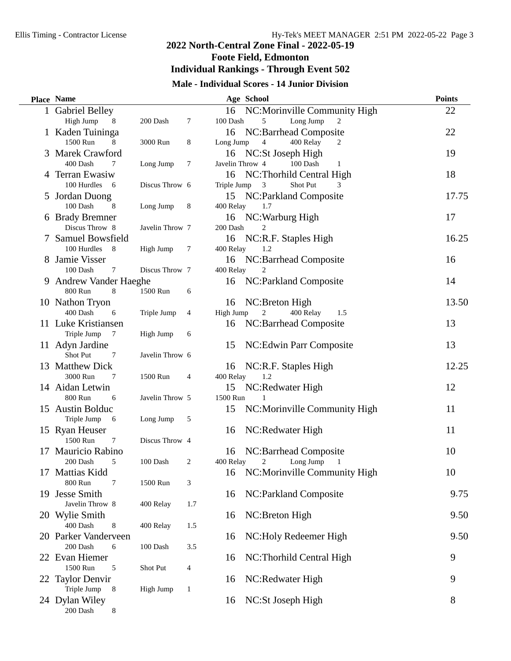$\overline{\phantom{0}}$ 

# **2022 North-Central Zone Final - 2022-05-19 Foote Field, Edmonton Individual Rankings - Through Event 502**

# **Male - Individual Scores - 14 Junior Division**

|    | Place Name                       |                 |                |                 | Age School                         | <b>Points</b> |
|----|----------------------------------|-----------------|----------------|-----------------|------------------------------------|---------------|
|    | 1 Gabriel Belley                 |                 |                |                 | 16 NC: Morinville Community High   | 22            |
|    | High Jump<br>8                   | 200 Dash        | 7              | 100 Dash        | 5<br>Long Jump<br>2                |               |
|    | 1 Kaden Tuininga                 |                 |                | 16              | NC:Barrhead Composite              | 22            |
|    | 1500 Run<br>8                    | 3000 Run        | 8              | Long Jump       | 400 Relay<br>4<br>2                |               |
| 3  | Marek Crawford                   |                 |                |                 | 16 NC:St Joseph High               | 19            |
|    | 400 Dash<br>7                    | Long Jump       | $\tau$         | Javelin Throw 4 | 100 Dash<br>1                      |               |
| 4  | Terran Ewasiw                    |                 |                | 16              | NC:Thorhild Central High           | 18            |
|    | 100 Hurdles 6                    | Discus Throw 6  |                | Triple Jump     | 3<br>Shot Put<br>3                 |               |
| 5  | Jordan Duong                     |                 |                | 15              | NC:Parkland Composite              | 17.75         |
|    | 100 Dash<br>8                    | Long Jump       | 8              | 400 Relay       | 1.7                                |               |
|    | 6 Brady Bremner                  |                 |                |                 | 16 NC: Warburg High                | 17            |
|    | Discus Throw 8                   | Javelin Throw 7 |                | 200 Dash        | 2                                  |               |
|    | Samuel Bowsfield                 |                 |                | 16              | NC:R.F. Staples High               | 16.25         |
|    | 100 Hurdles<br>8                 | High Jump       | 7              | 400 Relay       | 1.2                                |               |
|    | 8 Jamie Visser                   |                 |                | 16              | NC:Barrhead Composite              | 16            |
|    | 100 Dash<br>7                    | Discus Throw 7  |                | 400 Relay       | 2                                  |               |
|    | 9 Andrew Vander Haeghe           |                 |                | 16              | NC:Parkland Composite              | 14            |
|    | 8<br>800 Run                     | 1500 Run        | 6              |                 |                                    |               |
|    | 10 Nathon Tryon                  |                 |                | 16              | NC:Breton High                     | 13.50         |
|    | 400 Dash<br>6                    | Triple Jump     | 4              | High Jump       | $\overline{c}$<br>400 Relay<br>1.5 |               |
|    | 11 Luke Kristiansen              |                 |                | 16              | NC:Barrhead Composite              | 13            |
|    | Triple Jump<br>-7                | High Jump       | 6              |                 |                                    |               |
|    | 11 Adyn Jardine                  |                 |                | 15              | NC: Edwin Parr Composite           | 13            |
|    | Shot Put<br>7                    | Javelin Throw 6 |                |                 |                                    |               |
|    | 13 Matthew Dick                  |                 |                | 16              | NC:R.F. Staples High               | 12.25         |
|    | 3000 Run<br>7<br>14 Aidan Letwin | 1500 Run        | $\overline{4}$ | 400 Relay       | 1.2                                | 12            |
|    | 800 Run<br>6                     | Javelin Throw 5 |                | 15<br>1500 Run  | NC:Redwater High                   |               |
|    | 15 Austin Bolduc                 |                 |                | 15              | NC:Morinville Community High       | 11            |
|    | Triple Jump<br>- 6               | Long Jump       | 5              |                 |                                    |               |
|    | 15 Ryan Heuser                   |                 |                | 16              | NC:Redwater High                   | 11            |
|    | 1500 Run<br>7                    | Discus Throw 4  |                |                 |                                    |               |
| 17 | Mauricio Rabino                  |                 |                | 16              | NC:Barrhead Composite              | 10            |
|    | 5<br>200 Dash                    | 100 Dash        | $\overline{c}$ | 400 Relay       | 2<br>Long Jump<br>$\mathbf{1}$     |               |
| 17 | Mattias Kidd                     |                 |                | 16              | NC:Morinville Community High       | 10            |
|    | 800 Run<br>7                     | 1500 Run        | 3              |                 |                                    |               |
| 19 | Jesse Smith                      |                 |                | 16              | NC:Parkland Composite              | 9.75          |
|    | Javelin Throw 8                  | 400 Relay       | 1.7            |                 |                                    |               |
|    | 20 Wylie Smith                   |                 |                | 16              | NC:Breton High                     | 9.50          |
|    | 400 Dash<br>8                    | 400 Relay       | 1.5            |                 |                                    |               |
|    | 20 Parker Vanderveen             |                 |                | 16              | NC: Holy Redeemer High             | 9.50          |
|    | 200 Dash<br>6                    | 100 Dash        | 3.5            |                 |                                    |               |
|    | 22 Evan Hiemer                   |                 |                | 16              | NC:Thorhild Central High           | 9             |
|    | 1500 Run<br>5                    | Shot Put        | 4              |                 |                                    |               |
|    | 22 Taylor Denvir                 |                 |                | 16              | NC:Redwater High                   | 9             |
|    | Triple Jump<br>8                 | High Jump       | 1              |                 |                                    |               |
|    | 24 Dylan Wiley                   |                 |                | 16              | NC:St Joseph High                  | 8             |
|    | 200 Dash<br>8                    |                 |                |                 |                                    |               |
|    |                                  |                 |                |                 |                                    |               |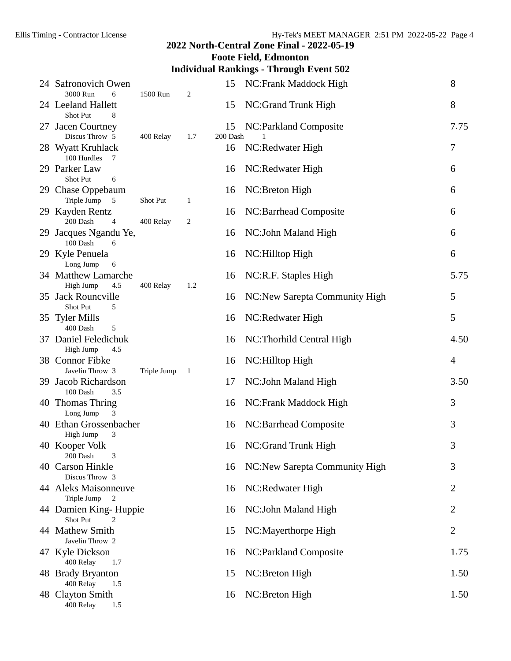# **Foote Field, Edmonton**

## **Individual Rankings - Through Event 502**

| 24 Safronovich Owen<br>3000 Run<br>6                  | 1500 Run    | 2   | 15             | NC: Frank Maddock High         | 8    |
|-------------------------------------------------------|-------------|-----|----------------|--------------------------------|------|
| 24 Leeland Hallett<br>Shot Put<br>8                   |             |     | 15             | NC:Grand Trunk High            | 8    |
| 27 Jacen Courtney<br>Discus Throw 5                   | 400 Relay   | 1.7 | 15<br>200 Dash | NC:Parkland Composite          | 7.75 |
| 28 Wyatt Kruhlack<br>100 Hurdles<br>7                 |             |     | 16             | NC:Redwater High               | 7    |
| 29 Parker Law<br>Shot Put<br>6                        |             |     | 16             | NC:Redwater High               | 6    |
| 29 Chase Oppebaum<br>Triple Jump<br>$\overline{5}$    | Shot Put    | 1   | 16             | NC:Breton High                 | 6    |
| 29 Kayden Rentz<br>200 Dash<br>4                      | 400 Relay   | 2   | 16             | NC:Barrhead Composite          | 6    |
| 29 Jacques Ngandu Ye,<br>100 Dash<br>- 6              |             |     | 16             | NC: John Maland High           | 6    |
| 29 Kyle Penuela<br>Long Jump<br>6                     |             |     | 16             | NC:Hilltop High                | 6    |
| 34 Matthew Lamarche<br>High Jump<br>4.5               | 400 Relay   | 1.2 | 16             | NC:R.F. Staples High           | 5.75 |
| 35 Jack Rouncville<br>Shot Put<br>5                   |             |     | 16             | NC:New Sarepta Community High  | 5    |
| 35 Tyler Mills<br>400 Dash<br>5                       |             |     | 16             | NC:Redwater High               | 5    |
| 37 Daniel Feledichuk<br>High Jump<br>4.5              |             |     | 16             | NC: Thorhild Central High      | 4.50 |
| 38 Connor Fibke<br>Javelin Throw 3                    | Triple Jump | 1   | 16             | NC: Hilltop High               | 4    |
| 39 Jacob Richardson<br>100 Dash<br>3.5                |             |     | 17             | NC: John Maland High           | 3.50 |
| 40 Thomas Thring<br>Long Jump<br>3                    |             |     | 16             | NC:Frank Maddock High          | 3    |
| 40 Ethan Grossenbacher<br>High Jump<br>3              |             |     | 16             | NC:Barrhead Composite          | 3    |
| 40 Kooper Volk<br>200 Dash<br>3                       |             |     | 16             | NC:Grand Trunk High            | 3    |
| 40 Carson Hinkle<br>Discus Throw 3                    |             |     | 16             | NC: New Sarepta Community High | 3    |
| 44 Aleks Maisonneuve<br>Triple Jump<br>$\overline{2}$ |             |     | 16             | NC:Redwater High               | 2    |
| 44 Damien King-Huppie<br>Shot Put<br>2                |             |     | 16             | NC: John Maland High           | 2    |
| 44 Mathew Smith<br>Javelin Throw 2                    |             |     | 15             | NC:Mayerthorpe High            | 2    |
| 47 Kyle Dickson<br>400 Relay<br>1.7                   |             |     | 16             | NC:Parkland Composite          | 1.75 |
| 48 Brady Bryanton<br>400 Relay<br>1.5                 |             |     | 15             | NC:Breton High                 | 1.50 |
| 48 Clayton Smith<br>400 Relay<br>1.5                  |             |     | 16             | NC:Breton High                 | 1.50 |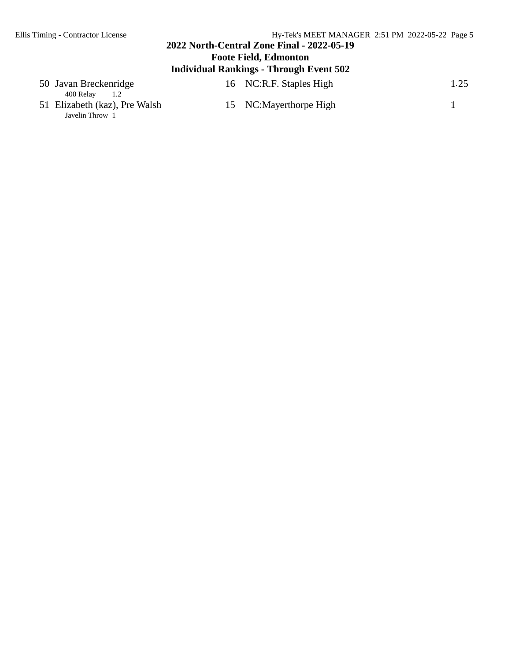# **2022 North-Central Zone Final - 2022-05-19 Foote Field, Edmonton Individual Rankings - Through Event 502**

| 50 Javan Breckenridge<br>400 Relav<br>1.2 | 16 NC:R.F. Staples High | 1.25 |
|-------------------------------------------|-------------------------|------|
| 51 Elizabeth (kaz), Pre Walsh             | 15 NC:Mayerthorpe High  |      |
| Javelin Throw 1                           |                         |      |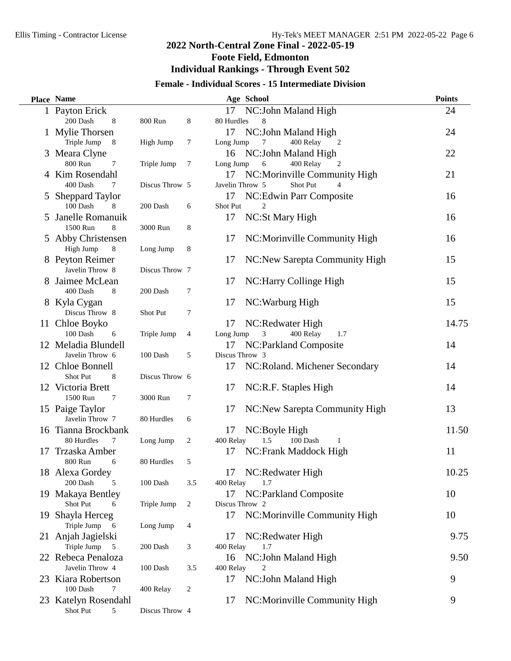$\overline{\phantom{0}}$ 

# **2022 North-Central Zone Final - 2022-05-19 Foote Field, Edmonton Individual Rankings - Through Event 502**

# **Female - Individual Scores - 15 Intermediate Division**

| NC:John Maland High<br>1 Payton Erick<br>17<br>24<br>200 Dash<br>800 Run<br>8<br>80 Hurdles<br>8<br>8<br>1 Mylie Thorsen<br>NC:John Maland High<br>17<br>24<br>Triple Jump<br>8<br>High Jump<br>7<br>Long Jump<br>400 Relay<br>7<br>2<br>22<br>Meara Clyne<br>NC: John Maland High<br>16<br>3<br>800 Run<br>Triple Jump<br>7<br>6<br>400 Relay<br>7<br>Long Jump<br>2<br>Kim Rosendahl<br>21<br>NC:Morinville Community High<br>17<br>400 Dash<br>Discus Throw 5<br>Javelin Throw 5<br>Shot Put<br>7<br>4<br>NC: Edwin Parr Composite<br>16<br><b>Sheppard Taylor</b><br>17<br>5<br>100 Dash<br>Shot Put<br>8<br>200 Dash<br>6<br>2<br>Janelle Romanuik<br>17<br>NC:St Mary High<br>16<br>5<br>1500 Run<br>8<br>3000 Run<br>8<br>5 Abby Christensen<br>NC:Morinville Community High<br>16<br>17<br>High Jump<br>$\,8\,$<br>Long Jump<br>8<br>15<br>8 Peyton Reimer<br>NC:New Sarepta Community High<br>17<br>Javelin Throw 8<br>Discus Throw 7<br>15<br>Jaimee McLean<br>NC: Harry Collinge High<br>17<br>400 Dash<br>8<br>200 Dash<br>7<br>15<br>8 Kyla Cygan<br>17<br>NC: Warburg High<br>Discus Throw 8<br>7<br>Shot Put<br>14.75<br>11 Chloe Boyko<br>NC:Redwater High<br>17<br>100 Dash<br>400 Relay<br>3<br>6<br>Triple Jump<br>4<br>Long Jump<br>1.7<br>12 Meladia Blundell<br>NC:Parkland Composite<br>14<br>17<br>Javelin Throw 6<br>Discus Throw 3<br>100 Dash<br>5<br>12 Chloe Bonnell<br>NC:Roland. Michener Secondary<br>14<br>17<br>Shot Put<br>Discus Throw 6<br>8<br>12 Victoria Brett<br>17<br>NC:R.F. Staples High<br>14<br>1500 Run<br>7<br>3000 Run<br>7<br>15 Paige Taylor<br>NC:New Sarepta Community High<br>13<br>17<br>Javelin Throw 7<br>80 Hurdles<br>6<br>11.50<br>16 Tianna Brockbank<br>17<br>NC:Boyle High<br>1.5<br>80 Hurdles<br>7<br>Long Jump<br>2<br>400 Relay<br>100 Dash<br>1<br>NC:Frank Maddock High<br>Trzaska Amber<br>11<br>17<br>17<br>800 Run<br>80 Hurdles<br>5<br>6<br>10.25<br>18 Alexa Gordey<br>17<br>NC:Redwater High<br>200 Dash<br>400 Relay<br>100 Dash<br>3.5<br>5<br>1.7<br>19 Makaya Bentley<br>NC:Parkland Composite<br>10<br>17<br>Shot Put<br>Triple Jump<br>2<br>Discus Throw 2<br>6<br>Shayla Herceg<br>17<br>NC:Morinville Community High<br>10<br>19<br>Triple Jump<br>6<br>Long Jump<br>4<br>21 Anjah Jagielski<br>NC:Redwater High<br>9.75<br>17<br>Triple Jump<br>200 Dash<br>400 Relay<br>5<br>3<br>1.7<br>22 Rebeca Penaloza<br>NC:John Maland High<br>9.50<br>16<br>Javelin Throw 4<br>100 Dash<br>3.5<br>400 Relay<br>2<br>NC:John Maland High<br>23 Kiara Robertson<br>17<br>9<br>100 Dash<br>7<br>400 Relay<br>2<br>Katelyn Rosendahl<br>NC:Morinville Community High<br>17<br>9<br>23<br>Shot Put<br>Discus Throw 4<br>5 | Place Name |  | Age School | <b>Points</b> |
|----------------------------------------------------------------------------------------------------------------------------------------------------------------------------------------------------------------------------------------------------------------------------------------------------------------------------------------------------------------------------------------------------------------------------------------------------------------------------------------------------------------------------------------------------------------------------------------------------------------------------------------------------------------------------------------------------------------------------------------------------------------------------------------------------------------------------------------------------------------------------------------------------------------------------------------------------------------------------------------------------------------------------------------------------------------------------------------------------------------------------------------------------------------------------------------------------------------------------------------------------------------------------------------------------------------------------------------------------------------------------------------------------------------------------------------------------------------------------------------------------------------------------------------------------------------------------------------------------------------------------------------------------------------------------------------------------------------------------------------------------------------------------------------------------------------------------------------------------------------------------------------------------------------------------------------------------------------------------------------------------------------------------------------------------------------------------------------------------------------------------------------------------------------------------------------------------------------------------------------------------------------------------------------------------------------------------------------------------------------------------------------------------------------------------------------------------------------------------------------------------------------------------------------------------------------------------------------------------------------------------------------------------------------------------------------------------|------------|--|------------|---------------|
|                                                                                                                                                                                                                                                                                                                                                                                                                                                                                                                                                                                                                                                                                                                                                                                                                                                                                                                                                                                                                                                                                                                                                                                                                                                                                                                                                                                                                                                                                                                                                                                                                                                                                                                                                                                                                                                                                                                                                                                                                                                                                                                                                                                                                                                                                                                                                                                                                                                                                                                                                                                                                                                                                                    |            |  |            |               |
|                                                                                                                                                                                                                                                                                                                                                                                                                                                                                                                                                                                                                                                                                                                                                                                                                                                                                                                                                                                                                                                                                                                                                                                                                                                                                                                                                                                                                                                                                                                                                                                                                                                                                                                                                                                                                                                                                                                                                                                                                                                                                                                                                                                                                                                                                                                                                                                                                                                                                                                                                                                                                                                                                                    |            |  |            |               |
|                                                                                                                                                                                                                                                                                                                                                                                                                                                                                                                                                                                                                                                                                                                                                                                                                                                                                                                                                                                                                                                                                                                                                                                                                                                                                                                                                                                                                                                                                                                                                                                                                                                                                                                                                                                                                                                                                                                                                                                                                                                                                                                                                                                                                                                                                                                                                                                                                                                                                                                                                                                                                                                                                                    |            |  |            |               |
|                                                                                                                                                                                                                                                                                                                                                                                                                                                                                                                                                                                                                                                                                                                                                                                                                                                                                                                                                                                                                                                                                                                                                                                                                                                                                                                                                                                                                                                                                                                                                                                                                                                                                                                                                                                                                                                                                                                                                                                                                                                                                                                                                                                                                                                                                                                                                                                                                                                                                                                                                                                                                                                                                                    |            |  |            |               |
|                                                                                                                                                                                                                                                                                                                                                                                                                                                                                                                                                                                                                                                                                                                                                                                                                                                                                                                                                                                                                                                                                                                                                                                                                                                                                                                                                                                                                                                                                                                                                                                                                                                                                                                                                                                                                                                                                                                                                                                                                                                                                                                                                                                                                                                                                                                                                                                                                                                                                                                                                                                                                                                                                                    |            |  |            |               |
|                                                                                                                                                                                                                                                                                                                                                                                                                                                                                                                                                                                                                                                                                                                                                                                                                                                                                                                                                                                                                                                                                                                                                                                                                                                                                                                                                                                                                                                                                                                                                                                                                                                                                                                                                                                                                                                                                                                                                                                                                                                                                                                                                                                                                                                                                                                                                                                                                                                                                                                                                                                                                                                                                                    |            |  |            |               |
|                                                                                                                                                                                                                                                                                                                                                                                                                                                                                                                                                                                                                                                                                                                                                                                                                                                                                                                                                                                                                                                                                                                                                                                                                                                                                                                                                                                                                                                                                                                                                                                                                                                                                                                                                                                                                                                                                                                                                                                                                                                                                                                                                                                                                                                                                                                                                                                                                                                                                                                                                                                                                                                                                                    |            |  |            |               |
|                                                                                                                                                                                                                                                                                                                                                                                                                                                                                                                                                                                                                                                                                                                                                                                                                                                                                                                                                                                                                                                                                                                                                                                                                                                                                                                                                                                                                                                                                                                                                                                                                                                                                                                                                                                                                                                                                                                                                                                                                                                                                                                                                                                                                                                                                                                                                                                                                                                                                                                                                                                                                                                                                                    |            |  |            |               |
|                                                                                                                                                                                                                                                                                                                                                                                                                                                                                                                                                                                                                                                                                                                                                                                                                                                                                                                                                                                                                                                                                                                                                                                                                                                                                                                                                                                                                                                                                                                                                                                                                                                                                                                                                                                                                                                                                                                                                                                                                                                                                                                                                                                                                                                                                                                                                                                                                                                                                                                                                                                                                                                                                                    |            |  |            |               |
|                                                                                                                                                                                                                                                                                                                                                                                                                                                                                                                                                                                                                                                                                                                                                                                                                                                                                                                                                                                                                                                                                                                                                                                                                                                                                                                                                                                                                                                                                                                                                                                                                                                                                                                                                                                                                                                                                                                                                                                                                                                                                                                                                                                                                                                                                                                                                                                                                                                                                                                                                                                                                                                                                                    |            |  |            |               |
|                                                                                                                                                                                                                                                                                                                                                                                                                                                                                                                                                                                                                                                                                                                                                                                                                                                                                                                                                                                                                                                                                                                                                                                                                                                                                                                                                                                                                                                                                                                                                                                                                                                                                                                                                                                                                                                                                                                                                                                                                                                                                                                                                                                                                                                                                                                                                                                                                                                                                                                                                                                                                                                                                                    |            |  |            |               |
|                                                                                                                                                                                                                                                                                                                                                                                                                                                                                                                                                                                                                                                                                                                                                                                                                                                                                                                                                                                                                                                                                                                                                                                                                                                                                                                                                                                                                                                                                                                                                                                                                                                                                                                                                                                                                                                                                                                                                                                                                                                                                                                                                                                                                                                                                                                                                                                                                                                                                                                                                                                                                                                                                                    |            |  |            |               |
|                                                                                                                                                                                                                                                                                                                                                                                                                                                                                                                                                                                                                                                                                                                                                                                                                                                                                                                                                                                                                                                                                                                                                                                                                                                                                                                                                                                                                                                                                                                                                                                                                                                                                                                                                                                                                                                                                                                                                                                                                                                                                                                                                                                                                                                                                                                                                                                                                                                                                                                                                                                                                                                                                                    |            |  |            |               |
|                                                                                                                                                                                                                                                                                                                                                                                                                                                                                                                                                                                                                                                                                                                                                                                                                                                                                                                                                                                                                                                                                                                                                                                                                                                                                                                                                                                                                                                                                                                                                                                                                                                                                                                                                                                                                                                                                                                                                                                                                                                                                                                                                                                                                                                                                                                                                                                                                                                                                                                                                                                                                                                                                                    |            |  |            |               |
|                                                                                                                                                                                                                                                                                                                                                                                                                                                                                                                                                                                                                                                                                                                                                                                                                                                                                                                                                                                                                                                                                                                                                                                                                                                                                                                                                                                                                                                                                                                                                                                                                                                                                                                                                                                                                                                                                                                                                                                                                                                                                                                                                                                                                                                                                                                                                                                                                                                                                                                                                                                                                                                                                                    |            |  |            |               |
|                                                                                                                                                                                                                                                                                                                                                                                                                                                                                                                                                                                                                                                                                                                                                                                                                                                                                                                                                                                                                                                                                                                                                                                                                                                                                                                                                                                                                                                                                                                                                                                                                                                                                                                                                                                                                                                                                                                                                                                                                                                                                                                                                                                                                                                                                                                                                                                                                                                                                                                                                                                                                                                                                                    |            |  |            |               |
|                                                                                                                                                                                                                                                                                                                                                                                                                                                                                                                                                                                                                                                                                                                                                                                                                                                                                                                                                                                                                                                                                                                                                                                                                                                                                                                                                                                                                                                                                                                                                                                                                                                                                                                                                                                                                                                                                                                                                                                                                                                                                                                                                                                                                                                                                                                                                                                                                                                                                                                                                                                                                                                                                                    |            |  |            |               |
|                                                                                                                                                                                                                                                                                                                                                                                                                                                                                                                                                                                                                                                                                                                                                                                                                                                                                                                                                                                                                                                                                                                                                                                                                                                                                                                                                                                                                                                                                                                                                                                                                                                                                                                                                                                                                                                                                                                                                                                                                                                                                                                                                                                                                                                                                                                                                                                                                                                                                                                                                                                                                                                                                                    |            |  |            |               |
|                                                                                                                                                                                                                                                                                                                                                                                                                                                                                                                                                                                                                                                                                                                                                                                                                                                                                                                                                                                                                                                                                                                                                                                                                                                                                                                                                                                                                                                                                                                                                                                                                                                                                                                                                                                                                                                                                                                                                                                                                                                                                                                                                                                                                                                                                                                                                                                                                                                                                                                                                                                                                                                                                                    |            |  |            |               |
|                                                                                                                                                                                                                                                                                                                                                                                                                                                                                                                                                                                                                                                                                                                                                                                                                                                                                                                                                                                                                                                                                                                                                                                                                                                                                                                                                                                                                                                                                                                                                                                                                                                                                                                                                                                                                                                                                                                                                                                                                                                                                                                                                                                                                                                                                                                                                                                                                                                                                                                                                                                                                                                                                                    |            |  |            |               |
|                                                                                                                                                                                                                                                                                                                                                                                                                                                                                                                                                                                                                                                                                                                                                                                                                                                                                                                                                                                                                                                                                                                                                                                                                                                                                                                                                                                                                                                                                                                                                                                                                                                                                                                                                                                                                                                                                                                                                                                                                                                                                                                                                                                                                                                                                                                                                                                                                                                                                                                                                                                                                                                                                                    |            |  |            |               |
|                                                                                                                                                                                                                                                                                                                                                                                                                                                                                                                                                                                                                                                                                                                                                                                                                                                                                                                                                                                                                                                                                                                                                                                                                                                                                                                                                                                                                                                                                                                                                                                                                                                                                                                                                                                                                                                                                                                                                                                                                                                                                                                                                                                                                                                                                                                                                                                                                                                                                                                                                                                                                                                                                                    |            |  |            |               |
|                                                                                                                                                                                                                                                                                                                                                                                                                                                                                                                                                                                                                                                                                                                                                                                                                                                                                                                                                                                                                                                                                                                                                                                                                                                                                                                                                                                                                                                                                                                                                                                                                                                                                                                                                                                                                                                                                                                                                                                                                                                                                                                                                                                                                                                                                                                                                                                                                                                                                                                                                                                                                                                                                                    |            |  |            |               |
|                                                                                                                                                                                                                                                                                                                                                                                                                                                                                                                                                                                                                                                                                                                                                                                                                                                                                                                                                                                                                                                                                                                                                                                                                                                                                                                                                                                                                                                                                                                                                                                                                                                                                                                                                                                                                                                                                                                                                                                                                                                                                                                                                                                                                                                                                                                                                                                                                                                                                                                                                                                                                                                                                                    |            |  |            |               |
|                                                                                                                                                                                                                                                                                                                                                                                                                                                                                                                                                                                                                                                                                                                                                                                                                                                                                                                                                                                                                                                                                                                                                                                                                                                                                                                                                                                                                                                                                                                                                                                                                                                                                                                                                                                                                                                                                                                                                                                                                                                                                                                                                                                                                                                                                                                                                                                                                                                                                                                                                                                                                                                                                                    |            |  |            |               |
|                                                                                                                                                                                                                                                                                                                                                                                                                                                                                                                                                                                                                                                                                                                                                                                                                                                                                                                                                                                                                                                                                                                                                                                                                                                                                                                                                                                                                                                                                                                                                                                                                                                                                                                                                                                                                                                                                                                                                                                                                                                                                                                                                                                                                                                                                                                                                                                                                                                                                                                                                                                                                                                                                                    |            |  |            |               |
|                                                                                                                                                                                                                                                                                                                                                                                                                                                                                                                                                                                                                                                                                                                                                                                                                                                                                                                                                                                                                                                                                                                                                                                                                                                                                                                                                                                                                                                                                                                                                                                                                                                                                                                                                                                                                                                                                                                                                                                                                                                                                                                                                                                                                                                                                                                                                                                                                                                                                                                                                                                                                                                                                                    |            |  |            |               |
|                                                                                                                                                                                                                                                                                                                                                                                                                                                                                                                                                                                                                                                                                                                                                                                                                                                                                                                                                                                                                                                                                                                                                                                                                                                                                                                                                                                                                                                                                                                                                                                                                                                                                                                                                                                                                                                                                                                                                                                                                                                                                                                                                                                                                                                                                                                                                                                                                                                                                                                                                                                                                                                                                                    |            |  |            |               |
|                                                                                                                                                                                                                                                                                                                                                                                                                                                                                                                                                                                                                                                                                                                                                                                                                                                                                                                                                                                                                                                                                                                                                                                                                                                                                                                                                                                                                                                                                                                                                                                                                                                                                                                                                                                                                                                                                                                                                                                                                                                                                                                                                                                                                                                                                                                                                                                                                                                                                                                                                                                                                                                                                                    |            |  |            |               |
|                                                                                                                                                                                                                                                                                                                                                                                                                                                                                                                                                                                                                                                                                                                                                                                                                                                                                                                                                                                                                                                                                                                                                                                                                                                                                                                                                                                                                                                                                                                                                                                                                                                                                                                                                                                                                                                                                                                                                                                                                                                                                                                                                                                                                                                                                                                                                                                                                                                                                                                                                                                                                                                                                                    |            |  |            |               |
|                                                                                                                                                                                                                                                                                                                                                                                                                                                                                                                                                                                                                                                                                                                                                                                                                                                                                                                                                                                                                                                                                                                                                                                                                                                                                                                                                                                                                                                                                                                                                                                                                                                                                                                                                                                                                                                                                                                                                                                                                                                                                                                                                                                                                                                                                                                                                                                                                                                                                                                                                                                                                                                                                                    |            |  |            |               |
|                                                                                                                                                                                                                                                                                                                                                                                                                                                                                                                                                                                                                                                                                                                                                                                                                                                                                                                                                                                                                                                                                                                                                                                                                                                                                                                                                                                                                                                                                                                                                                                                                                                                                                                                                                                                                                                                                                                                                                                                                                                                                                                                                                                                                                                                                                                                                                                                                                                                                                                                                                                                                                                                                                    |            |  |            |               |
|                                                                                                                                                                                                                                                                                                                                                                                                                                                                                                                                                                                                                                                                                                                                                                                                                                                                                                                                                                                                                                                                                                                                                                                                                                                                                                                                                                                                                                                                                                                                                                                                                                                                                                                                                                                                                                                                                                                                                                                                                                                                                                                                                                                                                                                                                                                                                                                                                                                                                                                                                                                                                                                                                                    |            |  |            |               |
|                                                                                                                                                                                                                                                                                                                                                                                                                                                                                                                                                                                                                                                                                                                                                                                                                                                                                                                                                                                                                                                                                                                                                                                                                                                                                                                                                                                                                                                                                                                                                                                                                                                                                                                                                                                                                                                                                                                                                                                                                                                                                                                                                                                                                                                                                                                                                                                                                                                                                                                                                                                                                                                                                                    |            |  |            |               |
|                                                                                                                                                                                                                                                                                                                                                                                                                                                                                                                                                                                                                                                                                                                                                                                                                                                                                                                                                                                                                                                                                                                                                                                                                                                                                                                                                                                                                                                                                                                                                                                                                                                                                                                                                                                                                                                                                                                                                                                                                                                                                                                                                                                                                                                                                                                                                                                                                                                                                                                                                                                                                                                                                                    |            |  |            |               |
|                                                                                                                                                                                                                                                                                                                                                                                                                                                                                                                                                                                                                                                                                                                                                                                                                                                                                                                                                                                                                                                                                                                                                                                                                                                                                                                                                                                                                                                                                                                                                                                                                                                                                                                                                                                                                                                                                                                                                                                                                                                                                                                                                                                                                                                                                                                                                                                                                                                                                                                                                                                                                                                                                                    |            |  |            |               |
|                                                                                                                                                                                                                                                                                                                                                                                                                                                                                                                                                                                                                                                                                                                                                                                                                                                                                                                                                                                                                                                                                                                                                                                                                                                                                                                                                                                                                                                                                                                                                                                                                                                                                                                                                                                                                                                                                                                                                                                                                                                                                                                                                                                                                                                                                                                                                                                                                                                                                                                                                                                                                                                                                                    |            |  |            |               |
|                                                                                                                                                                                                                                                                                                                                                                                                                                                                                                                                                                                                                                                                                                                                                                                                                                                                                                                                                                                                                                                                                                                                                                                                                                                                                                                                                                                                                                                                                                                                                                                                                                                                                                                                                                                                                                                                                                                                                                                                                                                                                                                                                                                                                                                                                                                                                                                                                                                                                                                                                                                                                                                                                                    |            |  |            |               |
|                                                                                                                                                                                                                                                                                                                                                                                                                                                                                                                                                                                                                                                                                                                                                                                                                                                                                                                                                                                                                                                                                                                                                                                                                                                                                                                                                                                                                                                                                                                                                                                                                                                                                                                                                                                                                                                                                                                                                                                                                                                                                                                                                                                                                                                                                                                                                                                                                                                                                                                                                                                                                                                                                                    |            |  |            |               |
|                                                                                                                                                                                                                                                                                                                                                                                                                                                                                                                                                                                                                                                                                                                                                                                                                                                                                                                                                                                                                                                                                                                                                                                                                                                                                                                                                                                                                                                                                                                                                                                                                                                                                                                                                                                                                                                                                                                                                                                                                                                                                                                                                                                                                                                                                                                                                                                                                                                                                                                                                                                                                                                                                                    |            |  |            |               |
|                                                                                                                                                                                                                                                                                                                                                                                                                                                                                                                                                                                                                                                                                                                                                                                                                                                                                                                                                                                                                                                                                                                                                                                                                                                                                                                                                                                                                                                                                                                                                                                                                                                                                                                                                                                                                                                                                                                                                                                                                                                                                                                                                                                                                                                                                                                                                                                                                                                                                                                                                                                                                                                                                                    |            |  |            |               |
|                                                                                                                                                                                                                                                                                                                                                                                                                                                                                                                                                                                                                                                                                                                                                                                                                                                                                                                                                                                                                                                                                                                                                                                                                                                                                                                                                                                                                                                                                                                                                                                                                                                                                                                                                                                                                                                                                                                                                                                                                                                                                                                                                                                                                                                                                                                                                                                                                                                                                                                                                                                                                                                                                                    |            |  |            |               |
|                                                                                                                                                                                                                                                                                                                                                                                                                                                                                                                                                                                                                                                                                                                                                                                                                                                                                                                                                                                                                                                                                                                                                                                                                                                                                                                                                                                                                                                                                                                                                                                                                                                                                                                                                                                                                                                                                                                                                                                                                                                                                                                                                                                                                                                                                                                                                                                                                                                                                                                                                                                                                                                                                                    |            |  |            |               |
|                                                                                                                                                                                                                                                                                                                                                                                                                                                                                                                                                                                                                                                                                                                                                                                                                                                                                                                                                                                                                                                                                                                                                                                                                                                                                                                                                                                                                                                                                                                                                                                                                                                                                                                                                                                                                                                                                                                                                                                                                                                                                                                                                                                                                                                                                                                                                                                                                                                                                                                                                                                                                                                                                                    |            |  |            |               |
|                                                                                                                                                                                                                                                                                                                                                                                                                                                                                                                                                                                                                                                                                                                                                                                                                                                                                                                                                                                                                                                                                                                                                                                                                                                                                                                                                                                                                                                                                                                                                                                                                                                                                                                                                                                                                                                                                                                                                                                                                                                                                                                                                                                                                                                                                                                                                                                                                                                                                                                                                                                                                                                                                                    |            |  |            |               |
|                                                                                                                                                                                                                                                                                                                                                                                                                                                                                                                                                                                                                                                                                                                                                                                                                                                                                                                                                                                                                                                                                                                                                                                                                                                                                                                                                                                                                                                                                                                                                                                                                                                                                                                                                                                                                                                                                                                                                                                                                                                                                                                                                                                                                                                                                                                                                                                                                                                                                                                                                                                                                                                                                                    |            |  |            |               |
|                                                                                                                                                                                                                                                                                                                                                                                                                                                                                                                                                                                                                                                                                                                                                                                                                                                                                                                                                                                                                                                                                                                                                                                                                                                                                                                                                                                                                                                                                                                                                                                                                                                                                                                                                                                                                                                                                                                                                                                                                                                                                                                                                                                                                                                                                                                                                                                                                                                                                                                                                                                                                                                                                                    |            |  |            |               |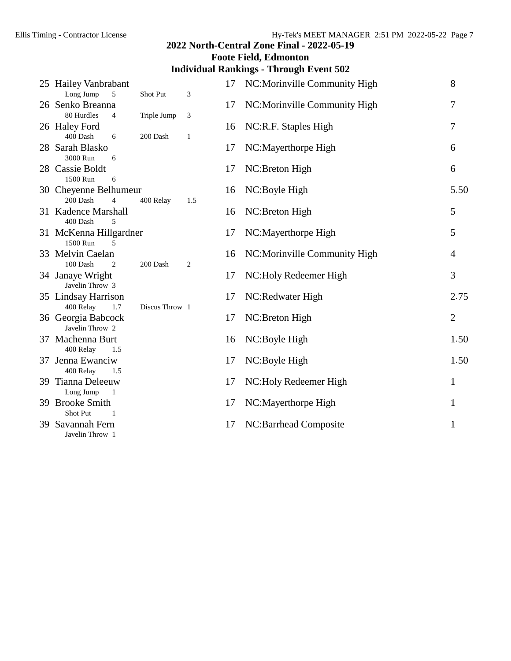|                                                     |                |     |    | <b>Foote Field, Edmonton</b>                   |                |
|-----------------------------------------------------|----------------|-----|----|------------------------------------------------|----------------|
|                                                     |                |     |    | <b>Individual Rankings - Through Event 502</b> |                |
| 25 Hailey Vanbrabant<br>Long Jump<br>5              | Shot Put       | 3   | 17 | NC:Morinville Community High                   | 8              |
| 26 Senko Breanna<br>80 Hurdles<br>4                 | Triple Jump    | 3   | 17 | NC:Morinville Community High                   | 7              |
| 26 Haley Ford<br>400 Dash<br>6                      | 200 Dash       | 1   | 16 | NC:R.F. Staples High                           | 7              |
| 28 Sarah Blasko<br>3000 Run<br>6                    |                |     | 17 | NC:Mayerthorpe High                            | 6              |
| 28 Cassie Boldt<br>1500 Run<br>6                    |                |     | 17 | NC:Breton High                                 | 6              |
| 30 Cheyenne Belhumeur<br>200 Dash<br>$\overline{4}$ | 400 Relay      | 1.5 | 16 | NC:Boyle High                                  | 5.50           |
| 31 Kadence Marshall<br>400 Dash<br>5                |                |     | 16 | NC:Breton High                                 | 5              |
| 31 McKenna Hillgardner<br>1500 Run<br>5             |                |     | 17 | NC:Mayerthorpe High                            | 5              |
| 33 Melvin Caelan<br>100 Dash<br>2                   | 200 Dash       | 2   | 16 | NC: Morinville Community High                  | $\overline{4}$ |
| 34 Janaye Wright<br>Javelin Throw 3                 |                |     | 17 | NC: Holy Redeemer High                         | 3              |
| 35 Lindsay Harrison<br>400 Relay<br>1.7             | Discus Throw 1 |     | 17 | NC:Redwater High                               | 2.75           |
| 36 Georgia Babcock<br>Javelin Throw 2               |                |     | 17 | NC:Breton High                                 | $\overline{2}$ |
| 37 Machenna Burt<br>400 Relay<br>1.5                |                |     | 16 | NC:Boyle High                                  | 1.50           |
| 37 Jenna Ewanciw<br>400 Relay<br>1.5                |                |     | 17 | NC:Boyle High                                  | 1.50           |
| 39 Tianna Deleeuw<br>Long Jump<br>-1                |                |     | 17 | NC: Holy Redeemer High                         | $\mathbf{1}$   |
| 39 Brooke Smith<br>Shot Put<br>1                    |                |     | 17 | NC:Mayerthorpe High                            | 1              |
| 39 Savannah Fern<br>Javelin Throw 1                 |                |     | 17 | NC:Barrhead Composite                          | 1              |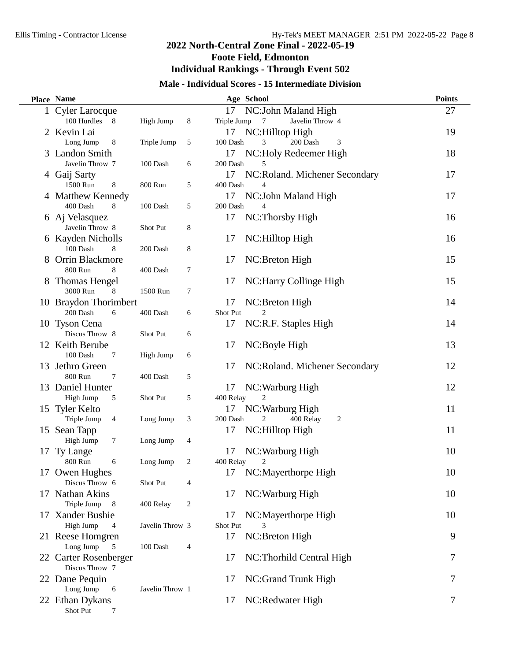$\overline{\phantom{0}}$ 

# **2022 North-Central Zone Final - 2022-05-19 Foote Field, Edmonton Individual Rankings - Through Event 502**

# **Male - Individual Scores - 15 Intermediate Division**

|     | Place Name                        |                 |   |                | Age School                     | <b>Points</b> |
|-----|-----------------------------------|-----------------|---|----------------|--------------------------------|---------------|
|     | 1 Cyler Larocque                  |                 |   | 17             | NC: John Maland High           | 27            |
|     | 100 Hurdles 8                     | High Jump       | 8 | Triple Jump    | Javelin Throw 4<br>7           |               |
| 2   | Kevin Lai                         |                 |   | 17             | NC:Hilltop High                | 19            |
|     | Long Jump<br>8                    | Triple Jump     | 5 | 100 Dash       | 200 Dash<br>3<br>3             |               |
|     | 3 Landon Smith                    |                 |   | 17             | NC: Holy Redeemer High         | 18            |
|     | Javelin Throw 7                   | 100 Dash        | 6 | 200 Dash       | 5                              |               |
|     | 4 Gaij Sarty                      |                 |   | 17             | NC:Roland. Michener Secondary  | 17            |
|     | 1500 Run<br>$\,8\,$               | 800 Run         | 5 | 400 Dash       | $\overline{4}$                 |               |
|     | 4 Matthew Kennedy                 |                 |   | 17             | NC: John Maland High           | 17            |
|     | 400 Dash<br>8                     | 100 Dash        | 5 | 200 Dash       | $\overline{4}$                 |               |
|     | 6 Aj Velasquez                    |                 |   | 17             | NC:Thorsby High                | 16            |
|     | Javelin Throw 8                   | Shot Put        | 8 |                |                                |               |
|     | 6 Kayden Nicholls                 |                 |   | 17             | NC:Hilltop High                | 16            |
|     | 100 Dash<br>8                     | 200 Dash        | 8 |                |                                |               |
|     | 8 Orrin Blackmore<br>8            |                 |   | 17             | NC:Breton High                 | 15            |
|     | 800 Run                           | 400 Dash        | 7 | 17             | NC:Harry Collinge High         | 15            |
|     | 8 Thomas Hengel<br>3000 Run<br>8  | 1500 Run        | 7 |                |                                |               |
|     | 10 Braydon Thorimbert             |                 |   | 17             | NC:Breton High                 | 14            |
|     | 200 Dash<br>6                     | 400 Dash        | 6 | Shot Put       | 2                              |               |
|     | 10 Tyson Cena                     |                 |   | 17             | NC:R.F. Staples High           | 14            |
|     | Discus Throw 8                    | Shot Put        | 6 |                |                                |               |
|     | 12 Keith Berube                   |                 |   | 17             | NC:Boyle High                  | 13            |
|     | 100 Dash<br>7                     | High Jump       | 6 |                |                                |               |
|     | 13 Jethro Green                   |                 |   | 17             | NC: Roland. Michener Secondary | 12            |
|     | 800 Run<br>$\tau$                 | 400 Dash        | 5 |                |                                |               |
|     | 13 Daniel Hunter                  |                 |   | 17             | NC: Warburg High               | 12            |
|     | High Jump<br>5                    | Shot Put        | 5 | 400 Relay      |                                |               |
|     | 15 Tyler Kelto                    |                 |   | 17             | NC: Warburg High               | 11            |
|     | Triple Jump<br>$\overline{4}$     | Long Jump       | 3 | 200 Dash       | 400 Relay<br>2<br>2            |               |
|     | 15 Sean Tapp                      |                 |   | 17             | NC:Hilltop High                | 11            |
|     | High Jump<br>$\tau$               | Long Jump       | 4 |                |                                |               |
| 17  | Ty Lange                          |                 |   | 17             | NC: Warburg High               | 10            |
|     | 800 Run<br>6                      | Long Jump       | 2 | 400 Relay      | 2                              |               |
|     | 17 Owen Hughes                    |                 |   | 17             | NC:Mayerthorpe High            | 10            |
|     | Discus Throw 6                    | Shot Put        | 4 |                |                                |               |
|     | 17 Nathan Akins                   |                 |   | 17             | NC: Warburg High               | 10            |
|     | Triple Jump<br>8<br>Xander Bushie | 400 Relay       | 2 |                |                                |               |
| 17. | High Jump<br>$\overline{4}$       | Javelin Throw 3 |   | 17<br>Shot Put | NC:Mayerthorpe High<br>3       | 10            |
|     | 21 Reese Homgren                  |                 |   | 17             | NC:Breton High                 | 9             |
|     | Long Jump<br>5                    | 100 Dash        | 4 |                |                                |               |
|     | 22 Carter Rosenberger             |                 |   | 17             | NC:Thorhild Central High       | 7             |
|     | Discus Throw 7                    |                 |   |                |                                |               |
|     | 22 Dane Pequin                    |                 |   | 17             | NC:Grand Trunk High            | 7             |
|     | Long Jump<br>6                    | Javelin Throw 1 |   |                |                                |               |
|     | 22 Ethan Dykans                   |                 |   | 17             | NC:Redwater High               | 7             |
|     | Shot Put<br>7                     |                 |   |                |                                |               |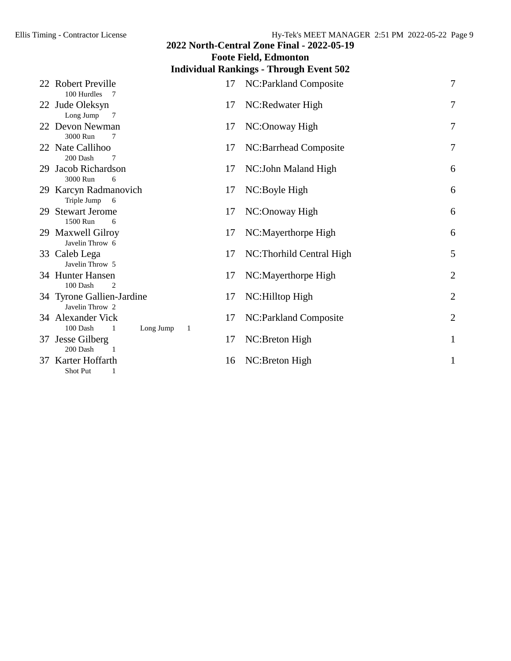|                                                |           |         | 2022 North-Central Zone Final - 2022-05-19 |                |  |  |  |  |  |
|------------------------------------------------|-----------|---------|--------------------------------------------|----------------|--|--|--|--|--|
|                                                |           |         | <b>Foote Field, Edmonton</b>               |                |  |  |  |  |  |
| <b>Individual Rankings - Through Event 502</b> |           |         |                                            |                |  |  |  |  |  |
| 22 Robert Preville<br>100 Hurdles<br>- 7       |           | 17      | NC: Parkland Composite                     | $\overline{7}$ |  |  |  |  |  |
| 22 Jude Oleksyn<br>Long Jump<br>7              |           | 17      | NC:Redwater High                           | $\overline{7}$ |  |  |  |  |  |
| 22 Devon Newman<br>3000 Run<br>7               |           | 17      | NC:Onoway High                             | 7              |  |  |  |  |  |
| 22 Nate Callihoo<br>200 Dash<br>7              |           | 17      | NC:Barrhead Composite                      | 7              |  |  |  |  |  |
| 29 Jacob Richardson<br>3000 Run<br>6           |           | 17      | NC: John Maland High                       | 6              |  |  |  |  |  |
| 29 Karcyn Radmanovich<br>Triple Jump<br>6      |           | 17      | NC:Boyle High                              | 6              |  |  |  |  |  |
| 29 Stewart Jerome<br>1500 Run<br>6             |           | 17      | NC:Onoway High                             | 6              |  |  |  |  |  |
| 29 Maxwell Gilroy<br>Javelin Throw 6           |           | 17      | NC:Mayerthorpe High                        | 6              |  |  |  |  |  |
| 33 Caleb Lega<br>Javelin Throw 5               |           | 17      | NC:Thorhild Central High                   | 5              |  |  |  |  |  |
| 34 Hunter Hansen<br>100 Dash<br>$\overline{2}$ |           | 17      | NC:Mayerthorpe High                        | $\overline{2}$ |  |  |  |  |  |
| 34 Tyrone Gallien-Jardine<br>Javelin Throw 2   |           | 17      | NC:Hilltop High                            | $\sqrt{2}$     |  |  |  |  |  |
| 34 Alexander Vick<br>100 Dash<br>1             | Long Jump | 17<br>1 | NC: Parkland Composite                     | $\overline{2}$ |  |  |  |  |  |
| 37 Jesse Gilberg<br>200 Dash                   |           | 17      | NC:Breton High                             | $\mathbf{1}$   |  |  |  |  |  |
| 37 Karter Hoffarth<br>Shot Put<br>1            |           | 16      | NC:Breton High                             | $\mathbf{1}$   |  |  |  |  |  |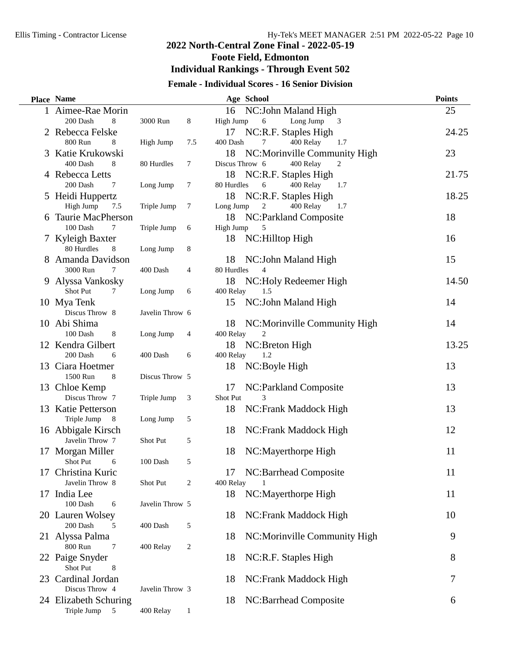$\overline{\phantom{0}}$ 

# **2022 North-Central Zone Final - 2022-05-19 Foote Field, Edmonton Individual Rankings - Through Event 502**

# **Female - Individual Scores - 16 Senior Division**

|    | <b>Place Name</b>                         |                 |                | Age School                                        | <b>Points</b> |
|----|-------------------------------------------|-----------------|----------------|---------------------------------------------------|---------------|
|    | 1 Aimee-Rae Morin                         |                 |                | 16<br>NC: John Maland High                        | 25            |
|    | 200 Dash<br>8                             | 3000 Run        | 8              | Long Jump<br>High Jump<br>6<br>3                  |               |
|    | Rebecca Felske                            |                 |                | 17<br>NC:R.F. Staples High                        | 24.25         |
|    | 800 Run<br>8                              | High Jump       | 7.5            | 400 Relay<br>400 Dash<br>7<br>1.7                 |               |
| 3  | Katie Krukowski                           |                 |                | 18<br>NC:Morinville Community High                | 23            |
|    | 400 Dash<br>8                             | 80 Hurdles      | $\tau$         | Discus Throw 6<br>400 Relay<br>2                  |               |
|    | 4 Rebecca Letts                           |                 |                | 18<br>NC:R.F. Staples High                        | 21.75         |
|    | 200 Dash<br>7                             | Long Jump       | $\tau$         | 80 Hurdles<br>6<br>400 Relay<br>1.7               |               |
|    | 5 Heidi Huppertz                          |                 |                | 18<br>NC:R.F. Staples High                        | 18.25         |
|    | High Jump<br>7.5                          | Triple Jump     | 7              | $\boldsymbol{2}$<br>400 Relay<br>Long Jump<br>1.7 |               |
|    | <b>Taurie MacPherson</b><br>100 Dash<br>7 | Triple Jump     |                | 18<br>NC:Parkland Composite<br>High Jump          | 18            |
|    |                                           |                 | 6              | 18                                                | 16            |
|    | 7 Kyleigh Baxter<br>80 Hurdles<br>8       | Long Jump       | 8              | NC:Hilltop High                                   |               |
| 8. | Amanda Davidson                           |                 |                | 18<br>NC: John Maland High                        | 15            |
|    | 3000 Run<br>$\tau$                        | 400 Dash        | $\overline{4}$ | 80 Hurdles<br>$\overline{4}$                      |               |
|    | 9 Alyssa Vankosky                         |                 |                | 18<br>NC:Holy Redeemer High                       | 14.50         |
|    | Shot Put<br>7                             | Long Jump       | 6              | 400 Relay<br>1.5                                  |               |
|    | 10 Mya Tenk                               |                 |                | NC: John Maland High<br>15                        | 14            |
|    | Discus Throw 8                            | Javelin Throw 6 |                |                                                   |               |
|    | 10 Abi Shima                              |                 |                | NC:Morinville Community High<br>18                | 14            |
|    | 100 Dash<br>8                             | Long Jump       | $\overline{4}$ | 400 Relay<br>2                                    |               |
|    | 12 Kendra Gilbert                         |                 |                | 18<br>NC:Breton High                              | 13.25         |
|    | 200 Dash<br>6                             | 400 Dash        | 6              | 1.2<br>400 Relay                                  |               |
| 13 | Ciara Hoetmer                             |                 |                | 18<br>NC:Boyle High                               | 13            |
|    | 1500 Run<br>8                             | Discus Throw 5  |                |                                                   |               |
|    | 13 Chloe Kemp                             |                 |                | 17<br>NC: Parkland Composite                      | 13            |
|    | Discus Throw 7                            | Triple Jump     | 3              | Shot Put                                          |               |
|    | 13 Katie Petterson                        |                 |                | 18<br>NC:Frank Maddock High                       | 13            |
|    | Triple Jump<br>8                          | Long Jump       | 5              |                                                   |               |
|    | 16 Abbigale Kirsch                        |                 |                | 18<br>NC:Frank Maddock High                       | 12            |
|    | Javelin Throw 7                           | Shot Put        | 5              |                                                   |               |
| 17 | Morgan Miller                             |                 |                | 18<br>NC:Mayerthorpe High                         | 11            |
|    | Shot Put<br>6<br>Christina Kuric          | 100 Dash        | 5              |                                                   | 11            |
| 17 | Javelin Throw 8                           | Shot Put        | 2              | NC:Barrhead Composite<br>17<br>400 Relay          |               |
|    | 17 India Lee                              |                 |                | 18<br>NC:Mayerthorpe High                         | 11            |
|    | 100 Dash<br>6                             | Javelin Throw 5 |                |                                                   |               |
|    | 20 Lauren Wolsey                          |                 |                | 18<br>NC:Frank Maddock High                       | 10            |
|    | 200 Dash<br>5                             | 400 Dash        | 5              |                                                   |               |
|    | 21 Alyssa Palma                           |                 |                | 18<br>NC:Morinville Community High                | 9             |
|    | 800 Run<br>$\tau$                         | 400 Relay       | 2              |                                                   |               |
|    | 22 Paige Snyder                           |                 |                | NC:R.F. Staples High<br>18                        | 8             |
|    | Shot Put<br>8                             |                 |                |                                                   |               |
| 23 | Cardinal Jordan                           |                 |                | 18<br>NC:Frank Maddock High                       | 7             |
|    | Discus Throw 4                            | Javelin Throw 3 |                |                                                   |               |
|    | 24 Elizabeth Schuring                     |                 |                | 18<br>NC:Barrhead Composite                       | 6             |
|    | Triple Jump<br>5                          | 400 Relay       | $\mathbf{1}$   |                                                   |               |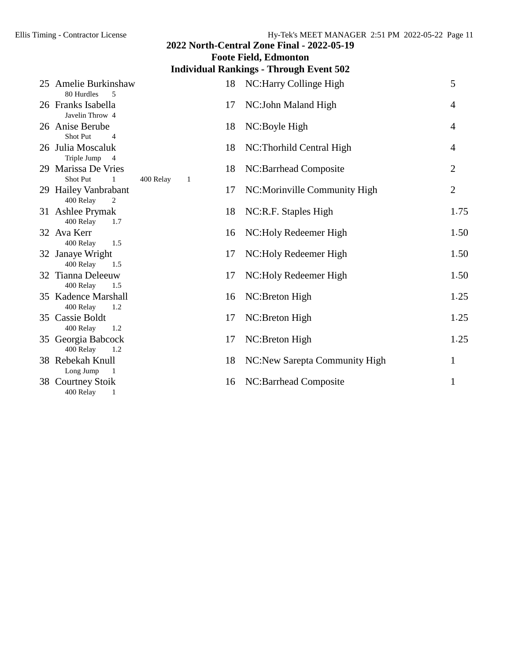| 2022 North-Central Zone Final - 2022-05-19         |                |    |                                |                |  |  |  |  |  |
|----------------------------------------------------|----------------|----|--------------------------------|----------------|--|--|--|--|--|
| <b>Foote Field, Edmonton</b>                       |                |    |                                |                |  |  |  |  |  |
| <b>Individual Rankings - Through Event 502</b>     |                |    |                                |                |  |  |  |  |  |
| 25 Amelie Burkinshaw<br>80 Hurdles<br>5            |                | 18 | NC: Harry Collinge High        | 5              |  |  |  |  |  |
| 26 Franks Isabella<br>Javelin Throw 4              |                | 17 | NC: John Maland High           | $\overline{4}$ |  |  |  |  |  |
| 26 Anise Berube<br><b>Shot Put</b><br>4            |                | 18 | NC:Boyle High                  | $\overline{4}$ |  |  |  |  |  |
| 26 Julia Moscaluk<br>Triple Jump<br>$\overline{4}$ |                | 18 | NC:Thorhild Central High       | $\overline{4}$ |  |  |  |  |  |
| 29 Marissa De Vries<br>Shot Put<br>1               | 400 Relay<br>1 | 18 | NC:Barrhead Composite          | $\overline{2}$ |  |  |  |  |  |
| 29 Hailey Vanbrabant<br>400 Relay<br>2             |                | 17 | NC:Morinville Community High   | $\overline{2}$ |  |  |  |  |  |
| 31 Ashlee Prymak<br>400 Relay<br>1.7               |                | 18 | NC:R.F. Staples High           | 1.75           |  |  |  |  |  |
| 32 Ava Kerr<br>400 Relay<br>1.5                    |                | 16 | NC: Holy Redeemer High         | 1.50           |  |  |  |  |  |
| 32 Janaye Wright<br>400 Relay<br>1.5               |                | 17 | NC:Holy Redeemer High          | 1.50           |  |  |  |  |  |
| 32 Tianna Deleeuw<br>400 Relay<br>1.5              |                | 17 | NC: Holy Redeemer High         | 1.50           |  |  |  |  |  |
| 35 Kadence Marshall<br>400 Relay<br>1.2            |                | 16 | NC:Breton High                 | 1.25           |  |  |  |  |  |
| 35 Cassie Boldt<br>400 Relay<br>1.2                |                | 17 | NC:Breton High                 | 1.25           |  |  |  |  |  |
| 35 Georgia Babcock<br>400 Relay<br>1.2             |                | 17 | NC:Breton High                 | 1.25           |  |  |  |  |  |
| 38 Rebekah Knull<br>Long Jump<br>-1                |                | 18 | NC: New Sarepta Community High | 1              |  |  |  |  |  |
| 38 Courtney Stoik<br>400 Relay<br>1                |                | 16 | NC:Barrhead Composite          | $\mathbf{1}$   |  |  |  |  |  |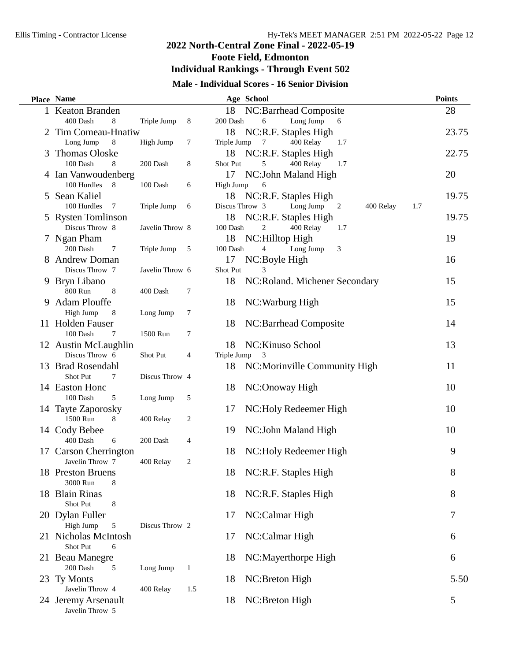# **2022 North-Central Zone Final - 2022-05-19 Foote Field, Edmonton Individual Rankings - Through Event 502**

# **Male - Individual Scores - 16 Senior Division**

|   | <b>Place Name</b>              |                 |                | Age School                                           | <b>Points</b> |
|---|--------------------------------|-----------------|----------------|------------------------------------------------------|---------------|
|   | 1 Keaton Branden               |                 |                | NC:Barrhead Composite<br>18                          | 28            |
|   | 400 Dash<br>8                  | Triple Jump     | 8              | Long Jump<br>200 Dash<br>6<br>6                      |               |
|   | 2 Tim Comeau-Hnatiw            |                 |                | 18<br>NC:R.F. Staples High                           | 23.75         |
|   | Long Jump<br>8                 | High Jump       | 7              | 400 Relay<br>Triple Jump<br>7<br>1.7                 |               |
| 3 | <b>Thomas Oloske</b>           |                 |                | NC:R.F. Staples High<br>18                           | 22.75         |
|   | 100 Dash<br>8                  | 200 Dash        | 8              | 400 Relay<br>Shot Put<br>5<br>1.7                    |               |
|   | 4 Ian Vanwoudenberg            |                 |                | NC: John Maland High<br>17                           | 20            |
|   | 100 Hurdles<br>8               | $100$ Dash $\,$ | 6              | High Jump<br>6                                       |               |
|   | 5 Sean Kaliel                  |                 |                | NC:R.F. Staples High<br>18                           | 19.75         |
|   | 100 Hurdles<br>$7\phantom{.0}$ | Triple Jump     | 6              | Discus Throw 3<br>Long Jump<br>400 Relay<br>1.7<br>2 |               |
|   | 5 Rysten Tomlinson             |                 |                | NC:R.F. Staples High<br>18                           | 19.75         |
|   | Discus Throw 8                 | Javelin Throw 8 |                | 100 Dash<br>$\overline{c}$<br>400 Relay<br>1.7       |               |
|   | 7 Ngan Pham                    |                 |                | 18<br>NC:Hilltop High                                | 19            |
|   | 200 Dash<br>7                  | Triple Jump     | $\overline{5}$ | 100 Dash<br>Long Jump<br>3<br>4                      |               |
|   | 8 Andrew Doman                 |                 |                | 17<br>NC:Boyle High                                  | 16            |
|   | Discus Throw 7                 | Javelin Throw 6 |                | <b>Shot Put</b>                                      |               |
|   | 9 Bryn Libano<br>800 Run       |                 |                | 18<br>NC: Roland. Michener Secondary                 | 15            |
|   | 8<br>9 Adam Plouffe            | 400 Dash        | 7              |                                                      | 15            |
|   | High Jump                      |                 | 7              | NC: Warburg High<br>18                               |               |
|   | 8<br>11 Holden Fauser          | Long Jump       |                | NC:Barrhead Composite<br>18                          | 14            |
|   | 100 Dash<br>7                  | 1500 Run        | 7              |                                                      |               |
|   | 12 Austin McLaughlin           |                 |                | NC: Kinuso School<br>18                              | 13            |
|   | Discus Throw 6                 | Shot Put        | 4              | Triple Jump<br>3                                     |               |
|   | 13 Brad Rosendahl              |                 |                | 18<br>NC: Morinville Community High                  | 11            |
|   | Shot Put<br>$\tau$             | Discus Throw 4  |                |                                                      |               |
|   | 14 Easton Honc                 |                 |                | NC:Onoway High<br>18                                 | 10            |
|   | 100 Dash<br>5                  | Long Jump       | 5              |                                                      |               |
|   | 14 Tayte Zaporosky             |                 |                | NC: Holy Redeemer High<br>17                         | 10            |
|   | 1500 Run<br>8                  | 400 Relay       | 2              |                                                      |               |
|   | 14 Cody Bebee                  |                 |                | NC: John Maland High<br>19                           | 10            |
|   | 400 Dash<br>6                  | 200 Dash        | 4              |                                                      |               |
|   | 17 Carson Cherrington          |                 |                | NC:Holy Redeemer High<br>18                          | 9             |
|   | Javelin Throw 7                | 400 Relay       | 2              |                                                      |               |
|   | 18 Preston Bruens              |                 |                | NC:R.F. Staples High<br>18                           | 8             |
|   | 3000 Run<br>8                  |                 |                |                                                      |               |
|   | 18 Blain Rinas                 |                 |                | NC:R.F. Staples High<br>18                           | 8             |
|   | Shot Put<br>8                  |                 |                |                                                      |               |
|   | 20 Dylan Fuller                |                 |                | NC:Calmar High<br>17                                 | 7             |
|   | High Jump<br>5                 | Discus Throw 2  |                |                                                      |               |
|   | 21 Nicholas McIntosh           |                 |                | NC:Calmar High<br>17                                 | 6             |
|   | Shot Put<br>6                  |                 |                |                                                      |               |
|   | 21 Beau Manegre                |                 |                | NC:Mayerthorpe High<br>18                            | 6             |
|   | 200 Dash<br>5                  | Long Jump       | $\mathbf{1}$   |                                                      |               |
|   | 23 Ty Monts<br>Javelin Throw 4 | 400 Relay       | 1.5            | NC:Breton High<br>18                                 | 5.50          |
|   | 24 Jeremy Arsenault            |                 |                | NC:Breton High<br>18                                 | 5             |
|   | Javelin Throw 5                |                 |                |                                                      |               |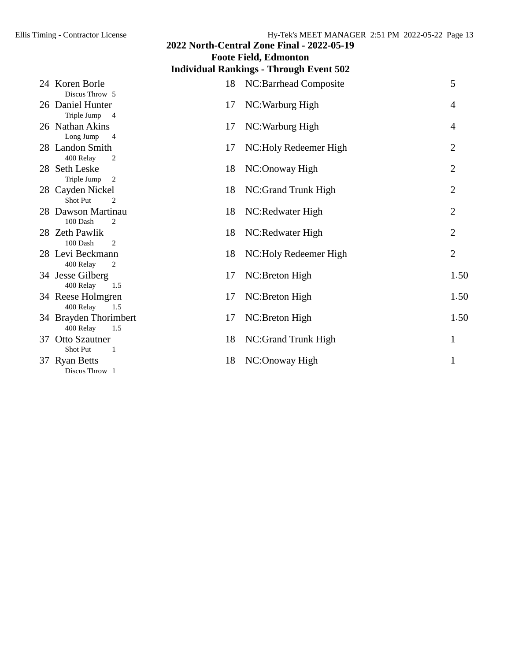## **Foote Field, Edmonton Individual Rankings - Through Event 502** 24 Koren Borle 18 NC:Barrhead Composite 5 Discus Throw 5 26 Daniel Hunter 17 NC:Warburg High 4 Triple Jump 4 26 Nathan Akins 17 NC:Warburg High 4 Long Jump 4 28 Landon Smith 17 NC: Holy Redeemer High 2 400 Relay 2 28 Seth Leske 18 NC:Onoway High 2 Triple Jump 2 28 Cayden Nickel 28 NC:Grand Trunk High 2 Shot Put 2 28 Dawson Martinau 18 NC:Redwater High 2 100 Dash 2 28 Zeth Pawlik 18 NC:Redwater High 2<br>
18 NC:Redwater High 2 100 Dash 2 28 Levi Beckmann 18 NC:Holy Redeemer High 2 400 Relay 2 34 Jesse Gilberg 17 NC:Breton High 1.50 400 Relay 1.5 34 Reese Holmgren 17 NC:Breton High 1.50 400 Relay 1.5 34 Brayden Thorimbert 17 NC:Breton High 1.50 400 Relay 1.5 37 Otto Szautner 18 NC:Grand Trunk High 1<br>Shot Put 1 Shot Put 37 Ryan Betts 18 NC:Onoway High 1 Discus Throw 1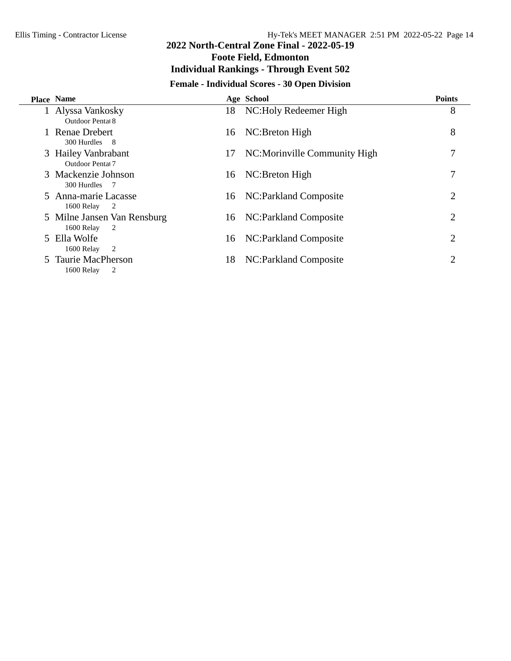$\overline{\phantom{0}}$ 

# **2022 North-Central Zone Final - 2022-05-19 Foote Field, Edmonton Individual Rankings - Through Event 502**

# **Female - Individual Scores - 30 Open Division**

| <b>Place Name</b>                                    |     | Age School                    | <b>Points</b> |
|------------------------------------------------------|-----|-------------------------------|---------------|
| 1 Alyssa Vankosky<br><b>Outdoor Pental 8</b>         | 18. | NC:Holy Redeemer High         | 8             |
| Renae Drebert<br>300 Hurdles 8                       | 16  | NC:Breton High                | 8             |
| 3 Hailey Vanbrabant<br><b>Outdoor Pental 7</b>       | 17  | NC: Morinville Community High |               |
| 3 Mackenzie Johnson<br>300 Hurdles 7                 | 16  | NC:Breton High                |               |
| 5 Anna-marie Lacasse<br>1600 Relay<br>$\overline{2}$ | 16  | NC:Parkland Composite         | 2             |
| 5 Milne Jansen Van Rensburg<br>1600 Relay<br>2       | 16  | NC:Parkland Composite         | 2             |
| 5 Ella Wolfe<br>1600 Relay<br>$\overline{2}$         | 16  | NC:Parkland Composite         | 2             |
| 5 Taurie MacPherson<br>1600 Relay<br>2               | 18  | NC: Parkland Composite        | 2             |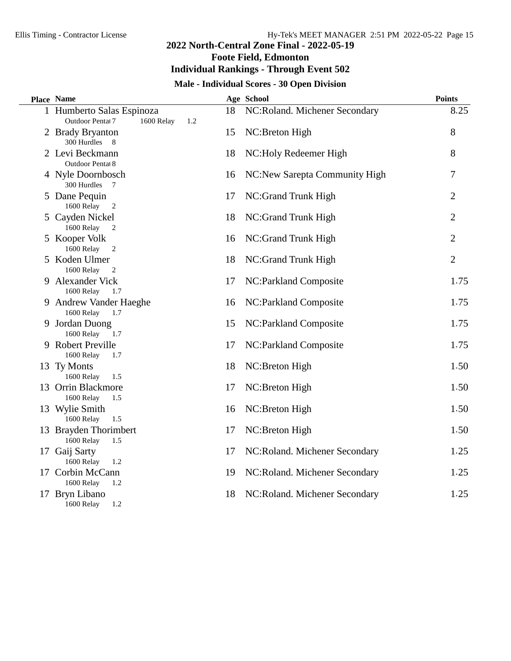**Foote Field, Edmonton**

# **Individual Rankings - Through Event 502**

# **Male - Individual Scores - 30 Open Division**

| <b>Place Name</b>                                                  |    | Age School                    | <b>Points</b>  |
|--------------------------------------------------------------------|----|-------------------------------|----------------|
| 1 Humberto Salas Espinoza<br>Outdoor Pentat 7<br>1600 Relay<br>1.2 | 18 | NC:Roland. Michener Secondary | 8.25           |
| 2 Brady Bryanton<br>300 Hurdles 8                                  | 15 | NC:Breton High                | 8              |
| 2 Levi Beckmann<br>Outdoor Pentat 8                                | 18 | NC:Holy Redeemer High         | 8              |
| 4 Nyle Doornbosch<br>300 Hurdles 7                                 | 16 | NC:New Sarepta Community High | 7              |
| 5 Dane Pequin<br>1600 Relay<br>$\overline{2}$                      | 17 | NC:Grand Trunk High           | $\overline{2}$ |
| 5 Cayden Nickel<br>1600 Relay<br>$\overline{2}$                    | 18 | NC:Grand Trunk High           | 2              |
| 5 Kooper Volk<br>1600 Relay<br>$\overline{2}$                      | 16 | NC:Grand Trunk High           | 2              |
| 5 Koden Ulmer<br>1600 Relay<br>$\overline{c}$                      | 18 | NC:Grand Trunk High           | $\overline{2}$ |
| 9 Alexander Vick<br>1600 Relay<br>1.7                              | 17 | NC:Parkland Composite         | 1.75           |
| 9 Andrew Vander Haeghe<br>1600 Relay<br>1.7                        | 16 | NC:Parkland Composite         | 1.75           |
| 9 Jordan Duong<br>1600 Relay<br>1.7                                | 15 | NC:Parkland Composite         | 1.75           |
| 9 Robert Preville<br>1600 Relay<br>1.7                             | 17 | NC:Parkland Composite         | 1.75           |
| 13 Ty Monts<br>1600 Relay<br>1.5                                   | 18 | NC:Breton High                | 1.50           |
| 13 Orrin Blackmore<br>1600 Relay<br>1.5                            | 17 | NC:Breton High                | 1.50           |
| 13 Wylie Smith<br>1600 Relay<br>1.5                                | 16 | NC:Breton High                | 1.50           |
| 13 Brayden Thorimbert<br>1600 Relay<br>1.5                         | 17 | NC:Breton High                | 1.50           |
| 17 Gaij Sarty<br>1600 Relay<br>1.2                                 | 17 | NC:Roland. Michener Secondary | 1.25           |
| 17 Corbin McCann<br>1.2                                            | 19 | NC:Roland. Michener Secondary | 1.25           |
| 1600 Relay<br>17 Bryn Libano<br>1600 Relay<br>1.2                  | 18 | NC:Roland. Michener Secondary | 1.25           |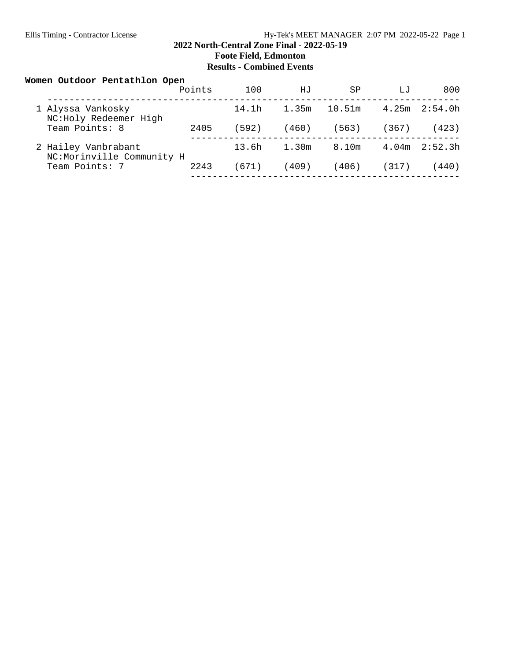### **2022 North-Central Zone Final - 2022-05-19 Foote Field, Edmonton Results - Combined Events**

| Women Outdoor Pentathlon Open                    | Points | 100   | HJ    | SP     | LJ    | 800     |
|--------------------------------------------------|--------|-------|-------|--------|-------|---------|
| 1 Alyssa Vankosky<br>NC:Holy Redeemer High       |        | 14.1h | 1.35m | 10.51m | 4.25m | 2:54.0h |
| Team Points: 8                                   | 2405   | (592) | (460) | (563)  | (367) | (423)   |
| 2 Hailey Vanbrabant<br>NC:Morinville Community H |        | 13.6h | 1.30m | 8.10m  | 4.04m | 2:52.3h |
| Team Points: 7                                   | 2243   | (671) | (409) | (406)  | (317) | (440)   |
|                                                  |        |       |       |        |       |         |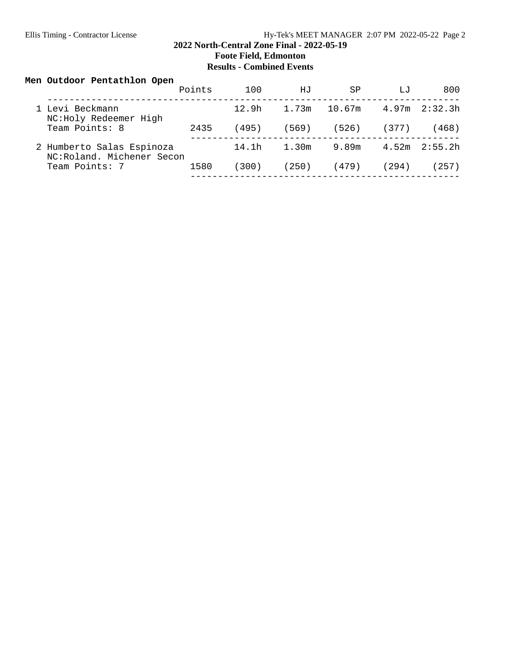## Ellis Timing - Contractor License Hy-Tek's MEET MANAGER 2:07 PM 2022-05-22 Page 2

### **2022 North-Central Zone Final - 2022-05-19 Foote Field, Edmonton**

**Results - Combined Events**

## **Men Outdoor Pentathlon Open**

|                                                        | Points | 100   | HJ          | SP     | لىتل  | 800               |
|--------------------------------------------------------|--------|-------|-------------|--------|-------|-------------------|
| 1 Levi Beckmann<br>NC:Holy Redeemer High               |        |       | 12.9h 1.73m | 10.67m |       | $4.97m$ $2:32.3h$ |
| Team Points: 8                                         | 2435   | (495) | (569)       | (526)  | (377) | (468)             |
| 2 Humberto Salas Espinoza<br>NC:Roland, Michener Secon |        | 14.1h | 1.30m       | 9.89m  |       | $4.52m$ $2:55.2h$ |
| Team Points: 7                                         | 1580   | (300) | (250)       | (479)  | (294) | (257)             |
|                                                        |        |       |             |        |       |                   |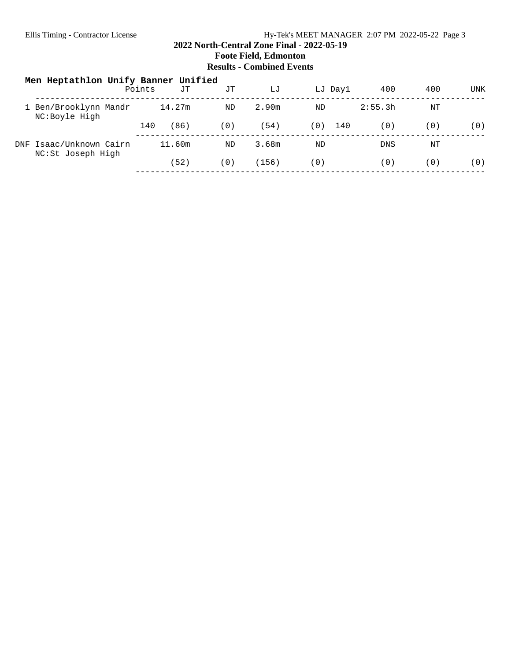#### Ellis Timing - Contractor License **Hy-Tek's MEET MANAGER** 2:07 PM 2022-05-22 Page 3

### **2022 North-Central Zone Final - 2022-05-19 Foote Field, Edmonton Results - Combined Events**

| Men Heptathlon Unify Banner Unified          | Points | JΤ   | JΤ  | LJ    |     | LJ Day1 | 400        | 400 | UNK |
|----------------------------------------------|--------|------|-----|-------|-----|---------|------------|-----|-----|
| 1 Ben/Brooklynn Mandr<br>NC:Boyle High       | 14.27m |      | ND  | 2.90m | ND  |         | 2:55.3h    | NΤ  |     |
|                                              | 140    | (86) | (0) | (54)  | (0) | 140     | (0)        | (0) | (0) |
| DNF Isaac/Unknown Cairn<br>NC:St Joseph High | 11.60m |      | ND  | 3.68m | ND  |         | <b>DNS</b> | ΝT  |     |
|                                              |        | 52)  | (0) | (156) | (0) |         | (0)        | (0) | (0) |
|                                              |        |      |     |       |     |         |            |     |     |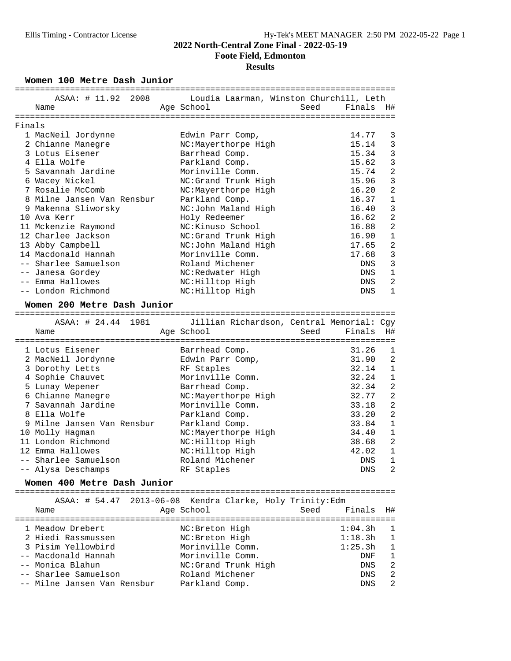### **2022 North-Central Zone Final - 2022-05-19 Foote Field, Edmonton**

#### **Results**

Women 100 Metre Dash Junior

|        | ASAA: # 11.92 2008                                       | Loudia Laarman, Winston Churchill, Leth   |      |                           |                |
|--------|----------------------------------------------------------|-------------------------------------------|------|---------------------------|----------------|
|        | Name                                                     | Age School                                | Seed | Finals                    | H#             |
|        |                                                          |                                           |      |                           |                |
| Finals |                                                          |                                           |      |                           |                |
|        | 1 MacNeil Jordynne                                       | Edwin Parr Comp,                          |      | 14.77                     | 3              |
|        | 2 Chianne Manegre                                        | NC:Mayerthorpe High                       |      | 15.14                     | 3              |
|        | 3 Lotus Eisener                                          | Barrhead Comp.                            |      | 15.34                     | 3              |
|        | 4 Ella Wolfe                                             | Parkland Comp.                            |      | 15.62                     | 3              |
|        | 5 Savannah Jardine                                       | Morinville Comm.                          |      | 15.74                     | $\overline{a}$ |
|        | 6 Wacey Nickel                                           | NC:Grand Trunk High                       |      | 15.96                     | 3              |
|        | 7 Rosalie McComb                                         | NC:Mayerthorpe High                       |      | 16.20                     | $\overline{2}$ |
|        | 8 Milne Jansen Van Rensbur                               | Parkland Comp.                            |      | 16.37                     | $\mathbf{1}$   |
|        | 9 Makenna Sliworsky                                      | NC:John Maland High                       |      | 16.40                     | 3              |
|        | 10 Ava Kerr                                              | Holy Redeemer                             |      | 16.62                     | $\overline{a}$ |
|        | 11 Mckenzie Raymond                                      | NC: Kinuso School                         |      | 16.88                     | $\overline{a}$ |
|        | 12 Charlee Jackson                                       | NC:Grand Trunk High                       |      | 16.90                     | $\mathbf{1}$   |
|        | 13 Abby Campbell                                         | NC:John Maland High                       |      | 17.65                     | 2              |
|        | 14 Macdonald Hannah                                      | Morinville Comm.                          |      | 17.68                     | 3              |
|        | -- Sharlee Samuelson                                     | Roland Michener                           |      | DNS                       | 3              |
|        | -- Janesa Gordey                                         | NC:Redwater High                          |      | <b>DNS</b>                | $\mathbf{1}$   |
|        | -- Emma Hallowes                                         | NC: Hilltop High                          |      | DNS                       | $\overline{a}$ |
|        | -- London Richmond                                       | NC: Hilltop High                          |      | <b>DNS</b>                | $\mathbf{1}$   |
|        | Women 200 Metre Dash Junior                              |                                           |      |                           |                |
|        | ASAA: # 24.44 1981                                       | Jillian Richardson, Central Memorial: Cgy |      |                           |                |
|        | Name                                                     | Age School                                | Seed | Finals                    | H#             |
|        | :==================                                      |                                           |      | ========================= |                |
|        | 1 Lotus Eisener                                          | Barrhead Comp.                            |      | 31.26                     | 1              |
|        | 2 MacNeil Jordynne                                       | Edwin Parr Comp,                          |      | 31.90                     | $\overline{2}$ |
|        | 3 Dorothy Letts                                          | RF Staples                                |      | 32.14                     | $\mathbf{1}$   |
|        | 4 Sophie Chauvet                                         | Morinville Comm.                          |      | 32.24                     | $\mathbf{1}$   |
|        | 5 Lunay Wepener                                          | Barrhead Comp.                            |      | 32.34                     | $\overline{a}$ |
|        | 6 Chianne Manegre                                        | NC:Mayerthorpe High                       |      | 32.77                     | $\overline{a}$ |
|        | 7 Savannah Jardine                                       | Morinville Comm.                          |      | 33.18                     | $\overline{a}$ |
|        | 8 Ella Wolfe                                             | Parkland Comp.                            |      | 33.20                     | $\overline{2}$ |
|        | 9 Milne Jansen Van Rensbur                               | Parkland Comp.                            |      | 33.84                     | $\mathbf{1}$   |
|        | 10 Molly Hagman                                          | NC:Mayerthorpe High                       |      | 34.40                     | $\mathbf{1}$   |
|        | 11 London Richmond                                       | NC: Hilltop High                          |      | 38.68                     | $\overline{a}$ |
|        | 12 Emma Hallowes                                         | NC: Hilltop High                          |      | 42.02                     | $\mathbf 1$    |
|        | -- Sharlee Samuelson                                     | Roland Michener                           |      | DNS                       | $\mathbf{1}$   |
|        | -- Alysa Deschamps                                       | RF Staples                                |      | DNS                       | 2              |
|        | Women 400 Metre Dash Junior                              |                                           |      |                           |                |
|        | ASAA: # 54.47 2013-06-08 Kendra Clarke, Holy Trinity:Edm |                                           |      |                           |                |
|        | Name                                                     | Age School                                | Seed | Finals                    | H#             |
|        |                                                          |                                           |      |                           |                |
|        | 1 Meadow Drebert                                         | NC: Breton High                           |      | 1:04.3h                   | 1              |
|        |                                                          |                                           |      |                           | $\mathbf 1$    |
|        | 2 Hiedi Rassmussen                                       | NC: Breton High                           |      | 1:18.3h                   |                |
|        | 3 Pisim Yellowbird                                       | Morinville Comm.                          |      | 1:25.3h                   | $\mathbf{1}$   |
|        | -- Macdonald Hannah                                      | Morinville Comm.                          |      | DNF                       | $\mathbf{1}$   |
|        | -- Monica Blahun                                         | NC:Grand Trunk High                       |      | DNS                       | $\overline{a}$ |

-- Milne Jansen Van Rensbur Parkland Comp. DNS 2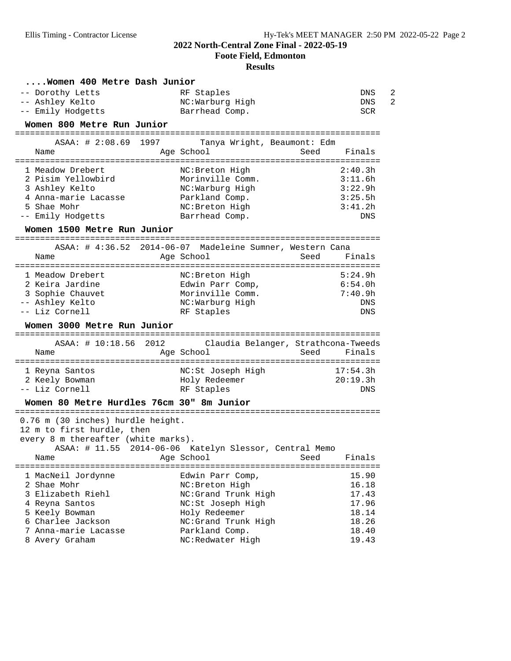**Foote Field, Edmonton**

| Women 400 Metre Dash Junior                                                                                    |                                                                      |                                          |
|----------------------------------------------------------------------------------------------------------------|----------------------------------------------------------------------|------------------------------------------|
| -- Dorothy Letts<br>-- Ashley Kelto<br>-- Emily Hodgetts                                                       | RF Staples<br>NC:Warburg High<br>Barrhead Comp.                      | $\overline{2}$<br>DNS<br>2<br>DNS<br>SCR |
| Women 800 Metre Run Junior<br>======================================                                           | --------------------------------------                               |                                          |
| 1997<br>$ASAA:$ # 2:08.69                                                                                      | Tanya Wright, Beaumont: Edm                                          |                                          |
| Name                                                                                                           | Age School                                                           | Seed<br>Finals                           |
|                                                                                                                |                                                                      |                                          |
| 1 Meadow Drebert<br>2 Pisim Yellowbird                                                                         | NC: Breton High<br>Morinville Comm.                                  | 2:40.3h<br>3:11.6h                       |
| 3 Ashley Kelto                                                                                                 | NC:Warburg High                                                      | 3:22.9h                                  |
| 4 Anna-marie Lacasse                                                                                           | Parkland Comp.                                                       | 3:25.5h                                  |
| 5 Shae Mohr                                                                                                    | NC: Breton High                                                      | 3:41.2h                                  |
| -- Emily Hodgetts                                                                                              | Barrhead Comp.                                                       | <b>DNS</b>                               |
| Women 1500 Metre Run Junior                                                                                    |                                                                      |                                          |
|                                                                                                                |                                                                      |                                          |
|                                                                                                                | ASAA: # 4:36.52 2014-06-07 Madeleine Sumner, Western Cana            |                                          |
| Name                                                                                                           | Age School                                                           | Seed<br>Finals                           |
| 1 Meadow Drebert                                                                                               | NC: Breton High                                                      | 5:24.9h                                  |
| 2 Keira Jardine                                                                                                | Edwin Parr Comp,                                                     | 6:54.0h                                  |
| 3 Sophie Chauvet                                                                                               | Morinville Comm.                                                     | 7:40.9h                                  |
| -- Ashley Kelto                                                                                                | NC:Warburg High                                                      | DNS                                      |
|                                                                                                                |                                                                      |                                          |
| -- Liz Cornell                                                                                                 | RF Staples                                                           | DNS                                      |
| Women 3000 Metre Run Junior                                                                                    |                                                                      |                                          |
|                                                                                                                |                                                                      |                                          |
| ASAA: # 10:18.56 2012                                                                                          | Claudia Belanger, Strathcona-Tweeds                                  |                                          |
| Name                                                                                                           | Age School                                                           | Seed<br>Finals                           |
| 1 Reyna Santos                                                                                                 | NC:St Joseph High                                                    | 17:54.3h                                 |
| 2 Keely Bowman                                                                                                 | Holy Redeemer                                                        | 20:19.3h                                 |
| -- Liz Cornell                                                                                                 | RF Staples                                                           | DNS                                      |
| Women 80 Metre Hurdles 76cm 30" 8m Junior                                                                      |                                                                      |                                          |
| 0.76 m (30 inches) hurdle height.<br>12 m to first hurdle, then<br>every 8 m thereafter (white marks).<br>Name | ASAA: # 11.55 2014-06-06 Katelyn Slessor, Central Memo<br>Age School | Finals<br>Seed                           |
|                                                                                                                | ======================================                               |                                          |
| 1 MacNeil Jordynne<br>2 Shae Mohr                                                                              | Edwin Parr Comp,                                                     | 15.90                                    |
| 3 Elizabeth Riehl                                                                                              | NC: Breton High<br>NC:Grand Trunk High                               | 16.18<br>17.43                           |
| 4 Reyna Santos                                                                                                 | NC:St Joseph High                                                    | 17.96                                    |
| 5 Keely Bowman                                                                                                 | Holy Redeemer                                                        | 18.14                                    |
| 6 Charlee Jackson                                                                                              | NC:Grand Trunk High                                                  | 18.26                                    |
| 7 Anna-marie Lacasse<br>8 Avery Graham                                                                         | Parkland Comp.<br>NC:Redwater High                                   | 18.40<br>19.43                           |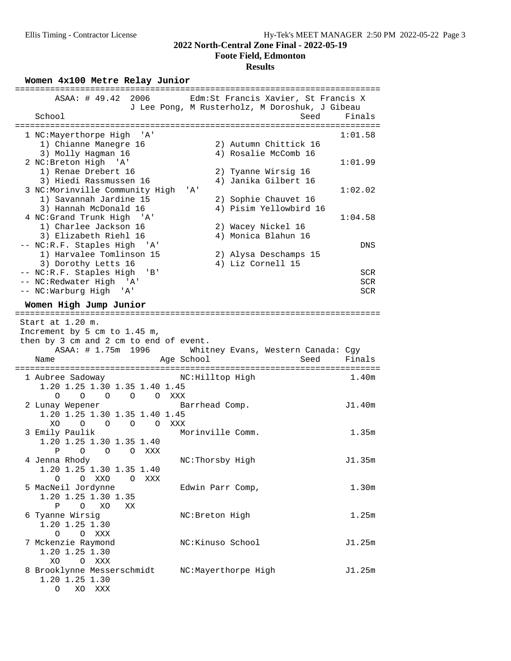**Foote Field, Edmonton**

## **Results**

Women 4x100 Metre Relay Junior

| ASAA: # 49.42 2006                                                                                                       | Edm: St Francis Xavier, St Francis X<br>J Lee Pong, M Rusterholz, M Doroshuk, J Gibeau |         |
|--------------------------------------------------------------------------------------------------------------------------|----------------------------------------------------------------------------------------|---------|
| School                                                                                                                   | Seed<br>=====================                                                          | Finals  |
| 1 NC:Mayerthorpe High 'A'                                                                                                |                                                                                        | 1:01.58 |
| 1) Chianne Manegre 16                                                                                                    | 2) Autumn Chittick 16                                                                  |         |
| 3) Molly Hagman 16                                                                                                       | 4) Rosalie McComb 16                                                                   |         |
| 2 NC: Breton High 'A'                                                                                                    |                                                                                        | 1:01.99 |
| 1) Renae Drebert 16                                                                                                      | 2) Tyanne Wirsig 16                                                                    |         |
| 3) Hiedi Rassmussen 16                                                                                                   | 4) Janika Gilbert 16                                                                   |         |
| 3 NC:Morinville Community High                                                                                           | ' A'                                                                                   | 1:02.02 |
| 1) Savannah Jardine 15<br>3) Hannah McDonald 16                                                                          | 2) Sophie Chauvet 16<br>4) Pisim Yellowbird 16                                         |         |
| 4 NC: Grand Trunk High 'A'                                                                                               |                                                                                        | 1:04.58 |
| 1) Charlee Jackson 16                                                                                                    | 2) Wacey Nickel 16                                                                     |         |
| 3) Elizabeth Riehl 16                                                                                                    | 4) Monica Blahun 16                                                                    |         |
| -- NC:R.F. Staples High 'A'                                                                                              |                                                                                        | DNS     |
| 1) Harvalee Tomlinson 15                                                                                                 | 2) Alysa Deschamps 15                                                                  |         |
| 3) Dorothy Letts 16                                                                                                      | 4) Liz Cornell 15                                                                      |         |
| -- NC:R.F. Staples High<br>'B'                                                                                           |                                                                                        | SCR     |
| -- NC: Redwater High 'A'                                                                                                 |                                                                                        | SCR     |
| -- NC:Warburg High 'A'                                                                                                   |                                                                                        | SCR     |
| Women High Jump Junior                                                                                                   |                                                                                        |         |
| Start at 1.20 m.<br>Increment by 5 cm to 1.45 m,<br>then by 3 cm and 2 cm to end of event.<br>ASAA: # 1.75m 1996<br>Name | Whitney Evans, Western Canada: Cgy<br>Age School<br>Seed                               | Finals  |
|                                                                                                                          |                                                                                        |         |
| 1 Aubree Sadoway                                                                                                         | NC:Hilltop High                                                                        | 1.40m   |
| 1.20 1.25 1.30 1.35 1.40 1.45                                                                                            |                                                                                        |         |
| O O XXX<br>$\Omega$<br>$\Omega$<br>$\circ$                                                                               |                                                                                        | J1.40m  |
| 2 Lunay Wepener<br>1.20 1.25 1.30 1.35 1.40 1.45                                                                         | Barrhead Comp.                                                                         |         |
| O O O O XXX<br>XO.                                                                                                       |                                                                                        |         |
| 3 Emily Paulik                                                                                                           | Morinville Comm.                                                                       | 1.35m   |
| 1.20 1.25 1.30 1.35 1.40                                                                                                 |                                                                                        |         |
| P O<br>O O XXX                                                                                                           |                                                                                        |         |
| 4 Jenna Rhody                                                                                                            | NC:Thorsby High                                                                        | J1.35m  |
| 1.20 1.25 1.30 1.35 1.40                                                                                                 |                                                                                        |         |
| O O XXO O XXX                                                                                                            |                                                                                        |         |
| 5 MacNeil Jordynne<br>1.20 1.25 1.30 1.35                                                                                | Edwin Parr Comp,                                                                       | 1.30m   |
| $\mathbf{P}$<br>O XO<br>XX.                                                                                              |                                                                                        |         |
| 6 Tyanne Wirsig                                                                                                          | NC: Breton High                                                                        | 1.25m   |
| 1.20 1.25 1.30                                                                                                           |                                                                                        |         |
| $O$ $O$ $XXX$                                                                                                            |                                                                                        |         |
| 7 Mckenzie Raymond                                                                                                       | NC: Kinuso School                                                                      | J1.25m  |
| 1.20 1.25 1.30                                                                                                           |                                                                                        |         |
| O XXX<br>XO                                                                                                              |                                                                                        |         |
| 8 Brooklynne Messerschmidt                                                                                               | NC:Mayerthorpe High                                                                    | J1.25m  |
| 1.20 1.25 1.30<br>O XO XXX                                                                                               |                                                                                        |         |
|                                                                                                                          |                                                                                        |         |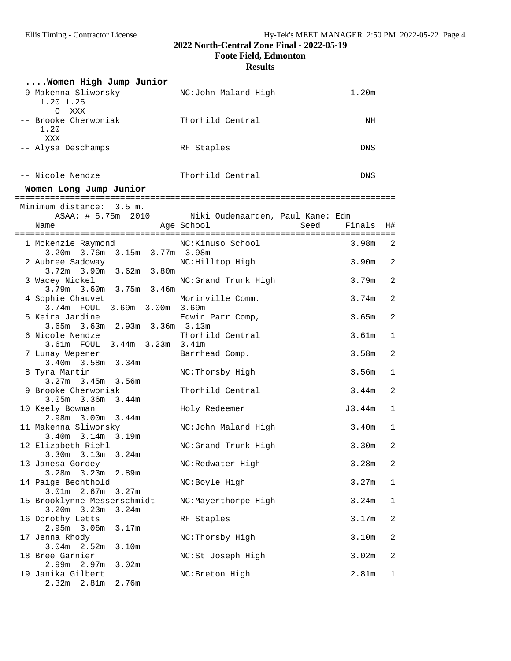**Foote Field, Edmonton**

| Women High Jump Junior                                    |                                                        |                   |                |
|-----------------------------------------------------------|--------------------------------------------------------|-------------------|----------------|
| 9 Makenna Sliworsky<br>1.20 1.25                          | NC:John Maland High                                    | 1.20 <sub>m</sub> |                |
| $\circ$<br>XXX<br>-- Brooke Cherwoniak<br>1.20<br>XXX     | Thorhild Central                                       | ΝH                |                |
| -- Alysa Deschamps                                        | RF Staples                                             | DNS               |                |
| -- Nicole Nendze                                          | Thorhild Central                                       | <b>DNS</b>        |                |
| Women Long Jump Junior                                    |                                                        |                   |                |
| Minimum distance: 3.5 m.<br>ASAA: # 5.75m 2010<br>Name    | Niki Oudenaarden, Paul Kane: Edm<br>Age School<br>Seed | Finals            | H#             |
| 1 Mckenzie Raymond<br>3.20m 3.76m 3.15m 3.77m 3.98m       | NC:Kinuso School                                       | 3.98m             | 2              |
| 2 Aubree Sadoway<br>3.72m 3.90m 3.62m 3.80m               | NC: Hilltop High                                       | 3.90 <sub>m</sub> | 2              |
| 3 Wacey Nickel<br>3.79m 3.60m 3.75m 3.46m                 | NC:Grand Trunk High                                    | 3.79m             | $\overline{a}$ |
| 4 Sophie Chauvet<br>3.74m FOUL 3.69m 3.00m 3.69m          | Morinville Comm.                                       | 3.74m             | $\overline{a}$ |
| 5 Keira Jardine<br>3.65m 3.63m 2.93m 3.36m 3.13m          | Edwin Parr Comp,                                       | 3.65m             | $\overline{c}$ |
| 6 Nicole Nendze<br>3.61m FOUL<br>3.44m 3.23m 3.41m        | Thorhild Central                                       | 3.61m             | $\mathbf{1}$   |
| 7 Lunay Wepener<br>$3.40m$ $3.58m$<br>3.34m               | Barrhead Comp.                                         | 3.58m             | 2              |
| 8 Tyra Martin<br>$3.27m$ $3.45m$ $3.56m$                  | NC:Thorsby High                                        | 3.56m             | 1              |
| 9 Brooke Cherwoniak<br>$3.05m$ $3.36m$<br>3.44m           | Thorhild Central                                       | 3.44m             | $\overline{a}$ |
| 10 Keely Bowman<br>2.98m 3.00m 3.44m                      | Holy Redeemer                                          | J3.44m            | $\mathbf 1$    |
| 11 Makenna Sliworsky<br>$3.40m$ $3.14m$ $3.19m$           | NC:John Maland High                                    | 3.40 <sub>m</sub> | 1              |
| 12 Elizabeth Riehl<br>3.24m<br>3.13m<br>3.30m             | NC:Grand Trunk High                                    | 3.30m             | 2              |
| 13 Janesa Gordey<br>3.28m<br>3.23m<br>2.89m               | NC:Redwater High                                       | 3.28m             | 2              |
| 14 Paige Bechthold<br>3.01 <sub>m</sub><br>2.67m<br>3.27m | NC:Boyle High                                          | 3.27m             | 1              |
| 15 Brooklynne Messerschmidt<br>3.20m<br>3.23m<br>3.24m    | NC:Mayerthorpe High                                    | 3.24m             | 1              |
| 16 Dorothy Letts<br>2.95m<br>3.06 <sub>m</sub><br>3.17m   | RF Staples                                             | 3.17m             | 2              |
| 17 Jenna Rhody<br>3.04m<br>2.52 <sub>m</sub><br>3.10m     | NC: Thorsby High                                       | 3.10m             | 2              |
| 18 Bree Garnier<br>2.99m<br>3.02m<br>2.97m                | NC:St Joseph High                                      | 3.02m             | 2              |
| 19 Janika Gilbert<br>$2.32m$ $2.81m$<br>2.76m             | NC: Breton High                                        | 2.81m             | 1              |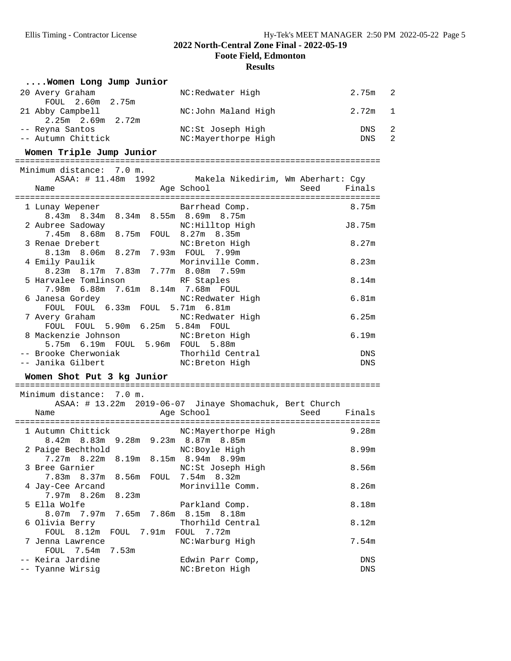**Foote Field, Edmonton**

| Women Long Jump Junior                                                                                    |                     |             |        |                |
|-----------------------------------------------------------------------------------------------------------|---------------------|-------------|--------|----------------|
| 20 Avery Graham<br>FOUL 2.60m 2.75m                                                                       | NC:Redwater High    |             | 2.75m  | $\overline{2}$ |
| 21 Abby Campbell<br>2.25m 2.69m 2.72m                                                                     | NC:John Maland High |             | 2.72m  | 1              |
| -- Reyna Santos                                                                                           | NC:St Joseph High   |             | DNS    | 2              |
| -- Autumn Chittick                                                                                        | NC:Mayerthorpe High |             | DNS    | $\overline{2}$ |
|                                                                                                           |                     |             |        |                |
| Women Triple Jump Junior                                                                                  |                     |             |        |                |
| Minimum distance: 7.0 m.                                                                                  |                     |             |        |                |
| ASAA: # 11.48m 1992 Makela Nikedirim, Wm Aberhart: Cgy                                                    |                     |             |        |                |
| Name                                                                                                      | Aqe School          | Seed        | Finals |                |
|                                                                                                           |                     |             |        |                |
| 1 Lunay Wepener (Barrhead Comp.                                                                           |                     |             | 8.75m  |                |
| 8.43m 8.34m 8.34m 8.55m 8.69m 8.75m                                                                       |                     |             |        |                |
| 2 Aubree Sadoway<br>7.45m 8.68m 8.75m FOUL 8.27m 8.35m                                                    | NC: Hilltop High    |             | J8.75m |                |
| 3 Renae Drebert                                                                                           | NC: Breton High     |             | 8.27m  |                |
| 8.13m 8.06m 8.27m 7.93m FOUL 7.99m                                                                        |                     |             |        |                |
| 4 Emily Paulik                                                                                            | Morinville Comm.    |             | 8.23m  |                |
| 8.23m 8.17m 7.83m 7.77m 8.08m 7.59m                                                                       |                     |             |        |                |
| 5 Harvalee Tomlinson NRF Staples                                                                          |                     |             | 8.14m  |                |
| 7.98m 6.88m 7.61m 8.14m 7.68m FOUL                                                                        |                     |             |        |                |
| 6 Janesa Gordey                                                                                           | NC:Redwater High    |             | 6.81m  |                |
| FOUL FOUL 6.33m FOUL 5.71m 6.81m                                                                          |                     |             |        |                |
| 7 Avery Graham                                                                                            | NC:Redwater High    |             | 6.25m  |                |
| FOUL FOUL 5.90m 6.25m 5.84m FOUL                                                                          |                     |             |        |                |
| 8 Mackenzie Johnson                                                                                       | NC:Breton High      |             | 6.19m  |                |
| 5.75m 6.19m FOUL 5.96m FOUL 5.88m                                                                         |                     |             |        |                |
|                                                                                                           |                     |             | DNS    |                |
| -- Brooke Cherwoniak                 Thorhild Central<br>-- Janika Gilbert                 NC:Breton High |                     |             | DNS    |                |
| Women Shot Put 3 kg Junior                                                                                |                     |             |        |                |
|                                                                                                           |                     |             |        |                |
| Minimum distance: 7.0 m.                                                                                  |                     |             |        |                |
| ASAA: # 13.22m 2019-06-07 Jinaye Shomachuk, Bert Church                                                   |                     |             |        |                |
| Name                                                                                                      | Age School          | Seed Finals |        |                |
| 1 Autumn Chittick                                                                                         | NC:Mayerthorpe High |             | 9.28m  |                |
| 8.42m 8.83m 9.28m 9.23m 8.87m 8.85m                                                                       |                     |             |        |                |
| 2 Paige Bechthold                                                                                         | NC: Boyle High      |             | 8.99m  |                |
| 7.27 <sub>m</sub><br>8.22m<br>8.19m                                                                       | 8.15m 8.94m 8.99m   |             |        |                |
| 3 Bree Garnier                                                                                            | NC:St Joseph High   |             | 8.56m  |                |
| 8.56m<br>7.83m<br>8.37m<br><b>FOUL</b>                                                                    | 7.54m 8.32m         |             |        |                |
| 4 Jay-Cee Arcand                                                                                          | Morinville Comm.    |             | 8.26m  |                |
| 7.97m<br>8.26m<br>8.23m                                                                                   |                     |             |        |                |
| 5 Ella Wolfe                                                                                              | Parkland Comp.      |             | 8.18m  |                |
| 8.07 <sub>m</sub><br>7.97m<br>7.65m<br>7.86m                                                              | 8.15m 8.18m         |             |        |                |
| 6 Olivia Berry                                                                                            | Thorhild Central    |             | 8.12m  |                |
| FOUL<br>8.12m<br>7.91m<br>FOUL                                                                            | 7.72m<br>FOUL       |             |        |                |
| 7 Jenna Lawrence                                                                                          | NC:Warburg High     |             | 7.54m  |                |
| FOUL<br>7.54m<br>7.53m                                                                                    |                     |             |        |                |
| -- Keira Jardine                                                                                          | Edwin Parr Comp,    |             | DNS    |                |
| -- Tyanne Wirsig                                                                                          | NC: Breton High     |             | DNS    |                |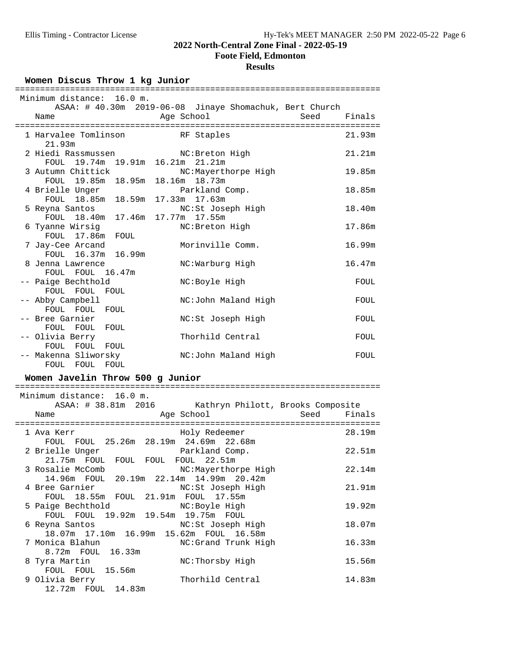## **Foote Field, Edmonton**

### **Results**

Women Discus Throw 1 kg Junior

|      | Minimum distance: 16.0 m.          | ========= |            |                                                         |      |        |
|------|------------------------------------|-----------|------------|---------------------------------------------------------|------|--------|
|      |                                    |           |            | ASAA: # 40.30m 2019-06-08 Jinaye Shomachuk, Bert Church |      |        |
| Name |                                    |           | Age School |                                                         | Seed | Finals |
|      | 1 Harvalee Tomlinson RF Staples    |           |            |                                                         |      | 21.93m |
|      | 21.93m                             |           |            |                                                         |      |        |
|      |                                    |           |            | 2 Hiedi Rassmussen MC:Breton High                       |      | 21.21m |
|      | FOUL 19.74m 19.91m 16.21m 21.21m   |           |            |                                                         |      |        |
|      | 3 Autumn Chittick                  |           |            | NC:Mayerthorpe High                                     |      | 19.85m |
|      | FOUL 19.85m 18.95m 18.16m 18.73m   |           |            |                                                         |      |        |
|      | 4 Brielle Unger                    |           |            | Parkland Comp.                                          |      | 18.85m |
|      | FOUL 18.85m 18.59m 17.33m 17.63m   |           |            |                                                         |      |        |
|      | 5 Reyna Santos et al. et al.       |           |            | NC:St Joseph High                                       |      | 18.40m |
|      | FOUL 18.40m 17.46m 17.77m 17.55m   |           |            |                                                         |      |        |
|      | 6 Tyanne Wirsig                    |           |            | NC: Breton High                                         |      | 17.86m |
|      | FOUL 17.86m FOUL                   |           |            |                                                         |      |        |
|      | 7 Jay-Cee Arcand                   |           |            | Morinville Comm.                                        |      | 16.99m |
|      | FOUL 16.37m 16.99m                 |           |            |                                                         |      |        |
|      | 8 Jenna Lawrence                   |           |            | NC:Warburg High                                         |      | 16.47m |
|      | FOUL FOUL 16.47m                   |           |            |                                                         |      |        |
|      | -- Paige Bechthold                 |           |            | NC:Boyle High                                           |      | FOUL   |
|      | FOUL FOUL FOUL                     |           |            |                                                         |      |        |
|      | -- Abby Campbell<br>FOUL FOUL FOUL |           |            | NC:John Maland High                                     |      | FOUL   |
|      | -- Bree Garnier                    |           |            |                                                         |      |        |
|      | FOUL FOUL FOUL                     |           |            | NC:St Joseph High                                       |      | FOUL   |
|      | -- Olivia Berry                    |           |            | Thorhild Central                                        |      | FOUL   |
|      | FOUL FOUL FOUL                     |           |            |                                                         |      |        |
|      | -- Makenna Sliworsky               |           |            | NC:John Maland High                                     |      | FOUL   |
|      | FOUL FOUL                          | FOUL      |            |                                                         |      |        |

## **Women Javelin Throw 500 g Junior** =========================================================================

|                | Minimum distance: 16.0 m.         |                                                       |        |
|----------------|-----------------------------------|-------------------------------------------------------|--------|
|                |                                   | ASAA: # 38.81m 2016 Kathryn Philott, Brooks Composite |        |
| Name           |                                   | Age School Seed Finals                                |        |
|                | ===========                       |                                                       |        |
| 1 Ava Kerr     |                                   | Holy Redeemer                                         | 28.19m |
|                |                                   | FOUL FOUL 25.26m 28.19m 24.69m 22.68m                 |        |
|                |                                   | 2 Brielle Unger Farkland Comp.                        | 22.51m |
|                | 21.75m FOUL FOUL FOUL FOUL 22.51m |                                                       |        |
|                |                                   | 3 Rosalie McComb MC: Mayerthorpe High                 | 22.14m |
|                |                                   | 14.96m FOUL 20.19m 22.14m 14.99m 20.42m               |        |
|                | 4 Bree Garnier                    | NC:St Joseph High                                     | 21.91m |
|                |                                   | FOUL 18.55m FOUL 21.91m FOUL 17.55m                   |        |
|                |                                   | 5 Paige Bechthold NC:Boyle High                       | 19.92m |
|                |                                   | FOUL FOUL 19.92m 19.54m 19.75m FOUL                   |        |
|                | 6 Reyna Santos                    | NC:St Joseph High                                     | 18.07m |
|                |                                   | 18.07m  17.10m  16.99m  15.62m  FOUL  16.58m          |        |
|                | 7 Monica Blahun                   | NC: Grand Trunk High                                  | 16.33m |
|                | 8.72m FOUL 16.33m                 |                                                       |        |
| 8 Tyra Martin  |                                   | NC:Thorsby High                                       | 15.56m |
|                | FOUL FOUL 15.56m                  |                                                       |        |
| 9 Olivia Berry |                                   | Thorhild Central                                      | 14.83m |
|                | 12.72m FOUL 14.83m                |                                                       |        |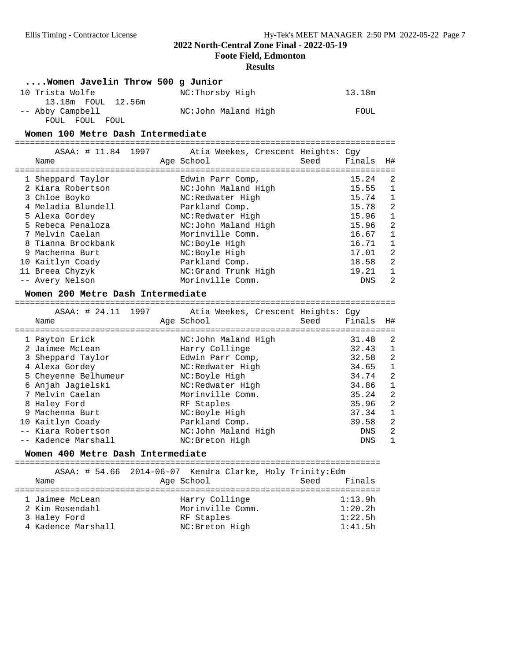**Foote Field, Edmonton**

#### **Results**

#### **....Women Javelin Throw 500 g Junior**

| 10 Trista Wolfe    | NC:Thorsby High     | 13.18m |
|--------------------|---------------------|--------|
| 13.18m FOUL 12.56m |                     |        |
| -- Abby Campbell   | NC:John Maland High | FOUL   |
| FOUL FOUL FOUL     |                     |        |

**Women 100 Metre Dash Intermediate** ============================================================================

| ASAA: # 11.84 1997<br>Name | Atia Weekes, Crescent Heights: Cqy<br>Age School | Finals<br>H#<br>Seed |
|----------------------------|--------------------------------------------------|----------------------|
|                            |                                                  | 15.24                |
| 1 Sheppard Taylor          | Edwin Parr Comp,                                 | -2                   |
| 2 Kiara Robertson          | NC:John Maland High                              | 15.55<br>1           |
| 3 Chloe Boyko              | NC:Redwater High                                 | 15.74<br>1           |
| 4 Meladia Blundell         | Parkland Comp.                                   | -2<br>15.78          |
| 5 Alexa Gordey             | NC:Redwater High                                 | 15.96<br>1           |
| 5 Rebeca Penaloza          | NC:John Maland High                              | 2<br>15.96           |
| 7 Melvin Caelan            | Morinville Comm.                                 | 16.67<br>1           |
| 8 Tianna Brockbank         | NC:Boyle High                                    | 16.71<br>1           |
| 9 Machenna Burt            | NC:Boyle High                                    | 2<br>17.01           |
| 10 Kaitlyn Coady           | Parkland Comp.                                   | 2<br>18.58           |
| 11 Breea Chyzyk            | NC: Grand Trunk High                             | 19.21<br>1           |
| -- Avery Nelson            | Morinville Comm.                                 | 2<br>DNS             |
|                            |                                                  |                      |

**Women 200 Metre Dash Intermediate** ============================================================================

ASAA: # 24.11 1997 Atia Weekes, Crescent Heights: Cgy

| Name                 | Age School          | Seed | Finals     | H#           |
|----------------------|---------------------|------|------------|--------------|
| 1 Payton Erick       | NC:John Maland High |      | 31.48      | 2            |
| 2 Jaimee McLean      | Harry Collinge      |      | 32.43      | 1            |
| 3 Sheppard Taylor    | Edwin Parr Comp,    |      | 32.58      | 2            |
| 4 Alexa Gordey       | NC:Redwater High    |      | 34.65      | $\mathbf{1}$ |
| 5 Cheyenne Belhumeur | NC:Boyle High       |      | 34.74      | 2            |
| 6 Anjah Jagielski    | NC:Redwater High    |      | 34.86      | 1            |
| 7 Melvin Caelan      | Morinville Comm.    |      | 35.24      | 2            |
| 8 Haley Ford         | RF Staples          |      | 35.96      | 2            |
| 9 Machenna Burt      | NC:Boyle High       |      | 37.34      | 1            |
| 10 Kaitlyn Coady     | Parkland Comp.      |      | 39.58      | 2            |
| -- Kiara Robertson   | NC:John Maland High |      | DNS        | 2            |
| -- Kadence Marshall  | NC: Breton High     |      | <b>DNS</b> | $\mathbf{1}$ |

**Women 400 Metre Dash Intermediate** =========================================================================

|                                                                          | ASAA: # 54.66 2014-06-07 Kendra Clarke, Holy Trinity:Edm            |                                          |
|--------------------------------------------------------------------------|---------------------------------------------------------------------|------------------------------------------|
| Name                                                                     | Age School                                                          | Finals<br>Seed                           |
| 1 Jaimee McLean<br>2 Kim Rosendahl<br>3 Haley Ford<br>4 Kadence Marshall | Harry Collinge<br>Morinville Comm.<br>RF Staples<br>NC: Breton High | 1:13.9h<br>1:20.2h<br>1:22.5h<br>1:41.5h |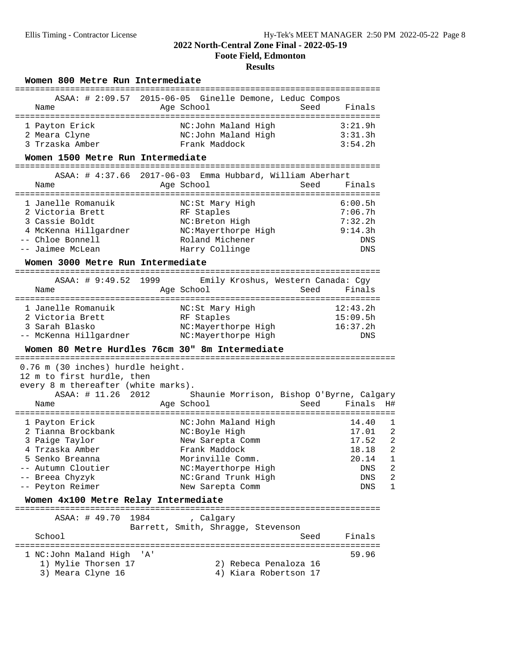#### **2022 North-Central Zone Final - 2022-05-19 Foote Field, Edmonton**

#### **Results**

#### Women 800 Metre Run Intermediate

|                 | ASAA: # 2:09.57 2015-06-05 Ginelle Demone, Leduc Compos |                |
|-----------------|---------------------------------------------------------|----------------|
| Name            | Age School                                              | Finals<br>Seed |
|                 |                                                         |                |
| 1 Payton Erick  | NC:John Maland High                                     | 3:21.9h        |
| 2 Meara Clyne   | NC:John Maland High                                     | 3:31.3h        |
| 3 Trzaska Amber | Frank Maddock                                           | 3:54.2h        |

**Women 1500 Metre Run Intermediate** =========================================================================

|                       | ASAA: # 4:37.66 2017-06-03 Emma Hubbard, William Aberhart |                |
|-----------------------|-----------------------------------------------------------|----------------|
| Name                  | Age School                                                | Finals<br>Seed |
| 1 Janelle Romanuik    | NC:St Mary High                                           | 6:00.5h        |
| 2 Victoria Brett      | RF Staples                                                | 7:06.7h        |
| 3 Cassie Boldt        | NC: Breton High                                           | 7:32.2h        |
| 4 McKenna Hillgardner | NC:Mayerthorpe High                                       | 9:14.3h        |
| -- Chloe Bonnell      | Roland Michener                                           | DNS            |
| -- Jaimee McLean      | Harry Collinge                                            | <b>DNS</b>     |

## **Women 3000 Metre Run Intermediate** =========================================================================

| ASAA: # 9:49.52 1999   |                 |                     | Emily Kroshus, Western Canada: Cqy |
|------------------------|-----------------|---------------------|------------------------------------|
| Name                   | Age School      |                     | Finals<br>Seed                     |
|                        |                 |                     |                                    |
| 1 Janelle Romanuik     | NC:St Mary High |                     | 12:43.2h                           |
| 2 Victoria Brett       | RF Staples      |                     | 15:09.5h                           |
| 3 Sarah Blasko         |                 | NC:Mayerthorpe High | 16:37.2h                           |
| -- McKenna Hillgardner |                 | NC:Mayerthorpe High | <b>DNS</b>                         |

## **Women 80 Metre Hurdles 76cm 30" 8m Intermediate** ============================================================================

 0.76 m (30 inches) hurdle height. 12 m to first hurdle, then every 8 m thereafter (white marks). ASAA: # 11.26 2012 Shaunie Morrison, Bishop O'Byrne, Calgary Name Age School ============================================================================ 1 Payton Erick NC:John Maland High 14.40 1 2 Tianna Brockbank NC:Boyle High 17.01 2 3 Paige Taylor New Sarepta Comm 17.52 2 4 Trzaska Amber Frank Maddock 18.18 2 5 Senko Breanna Morinville Comm. 20.14 1 -- Autumn Cloutier NC:Mayerthorpe High DNS 2 -- Breea Chyzyk NC:Grand Trunk High DNS 2 -- Peyton Reimer New Sarepta Comm DNS 1

## **Women 4x100 Metre Relay Intermediate** =========================================================================

 ASAA: # 49.70 1984 , Calgary Barrett, Smith, Shragge, Stevenson<br>School Seed Finals ========================================================================= 1 NC:John Maland High 'A' 59.96<br>1) Mylie Thorsen 17 (2) Rebeca Penaloza 16 1) Mylie Thorsen 17 2) Rebeca Penaloza 16 3) Meara Clyne 16 4) Kiara Robertson 17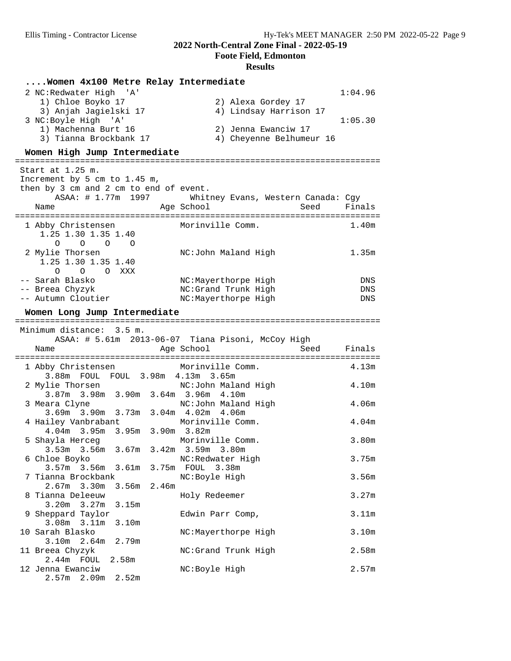**Foote Field, Edmonton**

| Women 4x100 Metre Relay Intermediate                                     |                                                   |                   |
|--------------------------------------------------------------------------|---------------------------------------------------|-------------------|
| 2 NC: Redwater High 'A'                                                  |                                                   | 1:04.96           |
| 1) Chloe Boyko 17                                                        | 2) Alexa Gordey 17                                |                   |
| 3) Anjah Jagielski 17                                                    | 4) Lindsay Harrison 17                            |                   |
| 3 NC:Boyle High 'A'                                                      |                                                   | 1:05.30           |
| 1) Machenna Burt 16                                                      | 2) Jenna Ewanciw 17                               |                   |
| 3) Tianna Brockbank 17                                                   | 4) Cheyenne Belhumeur 16                          |                   |
| Women High Jump Intermediate                                             |                                                   |                   |
| Start at 1.25 m.                                                         |                                                   |                   |
| Increment by 5 cm to 1.45 m,                                             |                                                   |                   |
| then by 3 cm and 2 cm to end of event.                                   |                                                   |                   |
| ASAA: # 1.77m 1997                                                       | Whitney Evans, Western Canada: Cgy                |                   |
| Name                                                                     | Age School<br>Seed                                | Finals            |
|                                                                          |                                                   |                   |
| 1 Abby Christensen                                                       | Morinville Comm.                                  | 1.40m             |
| 1.25 1.30 1.35 1.40                                                      |                                                   |                   |
| $0\qquad 0\qquad 0$<br>$\overline{O}$<br>2 Mylie Thorsen                 | NC:John Maland High                               | 1.35m             |
| 1.25 1.30 1.35 1.40                                                      |                                                   |                   |
| O O O XXX                                                                |                                                   |                   |
| -- Sarah Blasko                                                          | NC:Mayerthorpe High                               | DNS               |
| -- Breea Chyzyk                                                          | NC:Grand Trunk High                               | DNS               |
| -- Autumn Cloutier                                                       | NC:Mayerthorpe High                               | DNS               |
| Women Long Jump Intermediate                                             |                                                   |                   |
|                                                                          |                                                   |                   |
| Minimum distance: 3.5 m.                                                 |                                                   |                   |
|                                                                          | ASAA: # 5.61m 2013-06-07 Tiana Pisoni, McCoy High |                   |
| Name                                                                     | Age School<br>Seed                                | Finals            |
|                                                                          |                                                   |                   |
| 1 Abby Christensen Morinville Comm.<br>3.88m FOUL FOUL 3.98m 4.13m 3.65m |                                                   | 4.13m             |
| 2 Mylie Thorsen                                                          | NC:John Maland High                               | 4.10m             |
| 3.87m 3.98m 3.90m 3.64m 3.96m 4.10m                                      |                                                   |                   |
| 3 Meara Clyne                                                            | NC:John Maland High                               | 4.06 <sub>m</sub> |
| 3.69m 3.90m 3.73m 3.04m 4.02m 4.06m                                      |                                                   |                   |
| 4 Hailey Vanbrabant                                                      | Morinville Comm.                                  | 4.04 <sub>m</sub> |
| 4.04m 3.95m 3.95m 3.90m 3.82m                                            |                                                   |                   |
| 5 Shayla Herceg                                                          | Morinville Comm.                                  | 3.80m             |
| 3.53m 3.56m 3.67m 3.42m 3.59m 3.80m                                      |                                                   |                   |
| 6 Chloe Boyko                                                            |                                                   |                   |
|                                                                          | NC:Redwater High                                  | 3.75m             |
| 3.57m 3.56m 3.61m 3.75m FOUL 3.38m                                       |                                                   |                   |
| 7 Tianna Brockbank                                                       | NC:Boyle High                                     | 3.56m             |
| $2.67m$ 3.30m<br>2.46m<br>3.56m                                          |                                                   |                   |
| 8 Tianna Deleeuw                                                         | Holy Redeemer                                     | 3.27m             |
| 3.20 <sub>m</sub><br>3.27m<br>3.15m                                      |                                                   |                   |
| 9 Sheppard Taylor                                                        | Edwin Parr Comp,                                  | 3.11m             |
| 3.08m 3.11m<br>3.10m<br>10 Sarah Blasko                                  |                                                   |                   |
| $3.10m$ 2.64m<br>2.79m                                                   | NC:Mayerthorpe High                               | 3.10m             |
| 11 Breea Chyzyk                                                          | NC:Grand Trunk High                               | 2.58m             |
| $2.44m$ FOUL<br>2.58m                                                    |                                                   |                   |
| 12 Jenna Ewanciw<br>$2.57m$ 2.09m<br>2.52m                               | NC: Boyle High                                    | 2.57m             |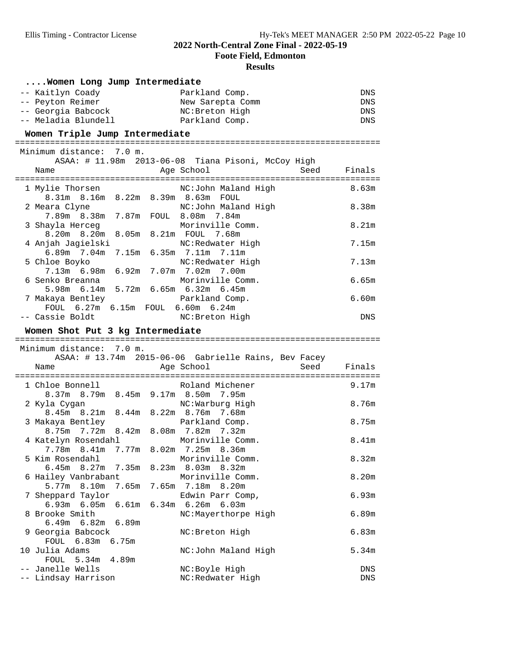**Foote Field, Edmonton**

| Women Long Jump Intermediate            |                                                      |                   |
|-----------------------------------------|------------------------------------------------------|-------------------|
| -- Kaitlyn Coady                        | Parkland Comp.                                       | DNS               |
| -- Peyton Reimer                        | New Sarepta Comm                                     | ${\rm DNS}$       |
| -- Georgia Babcock                      | NC: Breton High                                      | DNS               |
| -- Meladia Blundell                     | Parkland Comp.                                       | DNS               |
| Women Triple Jump Intermediate          |                                                      |                   |
|                                         |                                                      |                   |
| Minimum distance: 7.0 m.                |                                                      |                   |
|                                         | ASAA: # 11.98m 2013-06-08 Tiana Pisoni, McCoy High   |                   |
| Name                                    | Age School<br>Seed                                   | Finals            |
|                                         |                                                      |                   |
| 1 Mylie Thorsen                         | NC:John Maland High                                  | 8.63m             |
| 8.31m 8.16m 8.22m 8.39m 8.63m FOUL      |                                                      |                   |
| 2 Meara Clyne                           | NC:John Maland High                                  | 8.38m             |
| 7.89m 8.38m 7.87m FOUL 8.08m 7.84m      |                                                      |                   |
| 3 Shayla Herceg                         | Morinville Comm.                                     | 8.21m             |
| 8.20m 8.20m 8.05m 8.21m FOUL 7.68m      |                                                      |                   |
| 4 Anjah Jagielski                       | NC:Redwater High                                     | 7.15m             |
| 6.89m 7.04m 7.15m 6.35m 7.11m 7.11m     |                                                      |                   |
| 5 Chloe Boyko                           | NC:Redwater High                                     | 7.13m             |
| 7.13m 6.98m 6.92m 7.07m 7.02m 7.00m     |                                                      |                   |
| 6 Senko Breanna                         | Morinville Comm.                                     | 6.65m             |
| 5.98m 6.14m 5.72m 6.65m 6.32m 6.45m     |                                                      |                   |
| 7 Makaya Bentley                        | Parkland Comp.                                       | 6.60m             |
| FOUL 6.27m 6.15m FOUL 6.60m 6.24m       |                                                      |                   |
| -- Cassie Boldt                         | NC:Breton High                                       | DNS               |
|                                         |                                                      |                   |
| Women Shot Put 3 kg Intermediate        |                                                      |                   |
|                                         |                                                      |                   |
| Minimum distance: 7.0 m.                |                                                      |                   |
|                                         | ASAA: # 13.74m 2015-06-06 Gabrielle Rains, Bev Facey |                   |
| Name                                    | Seed<br>Age School                                   | Finals            |
| 1 Chloe Bonnell                         | Roland Michener                                      | 9.17m             |
| 8.37m 8.79m 8.45m 9.17m 8.50m 7.95m     |                                                      |                   |
| 2 Kyla Cygan                            | NC:Warburg High                                      | 8.76m             |
| 8.45m 8.21m 8.44m 8.22m 8.76m 7.68m     |                                                      |                   |
| 3 Makaya Bentley                        | Parkland Comp.                                       | 8.75m             |
| 8.75m 7.72m 8.42m 8.08m 7.82m 7.32m     |                                                      |                   |
| 4 Katelyn Rosendahl                     | Morinville Comm.                                     | 8.41m             |
| 7.78m 8.41m 7.77m 8.02m 7.25m 8.36m     |                                                      |                   |
| 5 Kim Rosendahl                         | Morinville Comm.                                     | 8.32m             |
| $6.45m$ $8.27m$<br>7.35m                | 8.23m 8.03m 8.32m                                    |                   |
| 6 Hailey Vanbrabant                     | Morinville Comm.                                     | 8.20 <sub>m</sub> |
| 5.77m 8.10m<br>7.65m                    | 7.65m 7.18m 8.20m                                    |                   |
| 7 Sheppard Taylor                       | Edwin Parr Comp,                                     | 6.93m             |
| $6.93m$ $6.05m$<br>6.61m                | 6.34m 6.26m 6.03m                                    |                   |
| 8 Brooke Smith                          | NC:Mayerthorpe High                                  | 6.89m             |
| $6.49m$ $6.82m$<br>6.89m                |                                                      |                   |
| 9 Georgia Babcock                       | NC: Breton High                                      | 6.83m             |
| FOUL 6.83m<br>6.75m                     |                                                      |                   |
| 10 Julia Adams                          | NC:John Maland High                                  | 5.34m             |
| FOUL 5.34m<br>4.89m                     |                                                      |                   |
| -- Janelle Wells<br>-- Lindsay Harrison | NC: Boyle High<br>NC:Redwater High                   | DNS<br>DNS        |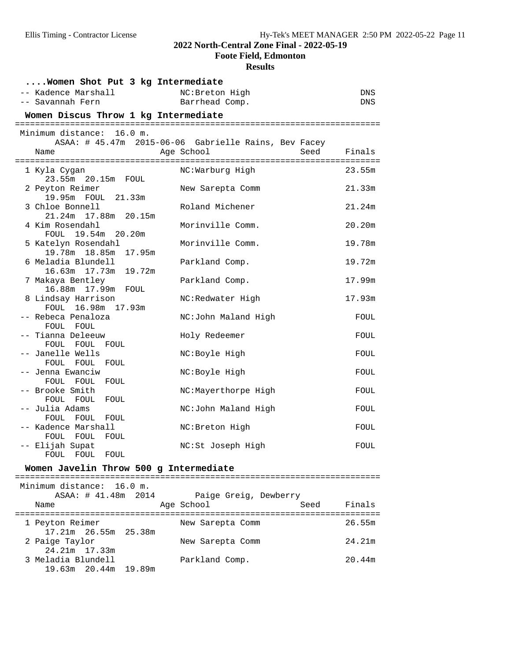**Foote Field, Edmonton**

| Women Shot Put 3 kg Intermediate             |                                                      |            |
|----------------------------------------------|------------------------------------------------------|------------|
| -- Kadence Marshall                          | NC: Breton High                                      | DNS        |
| -- Savannah Fern                             | Barrhead Comp.                                       | <b>DNS</b> |
| Women Discus Throw 1 kg Intermediate         |                                                      |            |
| Minimum distance: 16.0 m.                    |                                                      |            |
|                                              | ASAA: # 45.47m 2015-06-06 Gabrielle Rains, Bev Facey |            |
| Name                                         | Seed<br>Age School                                   | Finals     |
| 1 Kyla Cygan                                 | NC:Warburg High                                      | 23.55m     |
| 23.55m 20.15m FOUL                           |                                                      |            |
| 2 Peyton Reimer                              | New Sarepta Comm                                     | 21.33m     |
| 19.95m FOUL 21.33m<br>3 Chloe Bonnell        | Roland Michener                                      | 21.24m     |
| 21.24m 17.88m 20.15m                         |                                                      |            |
| 4 Kim Rosendahl                              | Morinville Comm.                                     | 20.20m     |
| FOUL 19.54m 20.20m<br>5 Katelyn Rosendahl    | Morinville Comm.                                     | 19.78m     |
| 19.78m  18.85m<br>17.95m                     |                                                      |            |
| 6 Meladia Blundell                           | Parkland Comp.                                       | 19.72m     |
| 19.72m<br>16.63m  17.73m<br>7 Makaya Bentley | Parkland Comp.                                       | 17.99m     |
| FOUL                                         |                                                      |            |
| 8 Lindsay Harrison                           | NC:Redwater High                                     | 17.93m     |
| FOUL 16.98m 17.93m<br>-- Rebeca Penaloza     | NC:John Maland High                                  | FOUL       |
| FOUL FOUL                                    |                                                      |            |
| -- Tianna Deleeuw                            | Holy Redeemer                                        | FOUL       |
| FOUL FOUL<br>FOUL<br>-- Janelle Wells        | NC:Boyle High                                        | FOUL       |
| FOUL FOUL FOUL                               |                                                      |            |
| -- Jenna Ewanciw                             | NC:Boyle High                                        | FOUL       |
| FOUL FOUL FOUL<br>-- Brooke Smith            | NC:Mayerthorpe High                                  | FOUL       |
| FOUL FOUL<br>FOUL                            |                                                      |            |
| -- Julia Adams                               | NC:John Maland High                                  | FOUL       |
| FOUL FOUL FOUL<br>-- Kadence Marshall        | NC: Breton High                                      | FOUL       |
| FOUL FOUL<br>FOUL                            |                                                      |            |
| -- Elijah Supat                              | NC:St Joseph High                                    | FOUL       |
| FOUL FOUL FOUL                               |                                                      |            |
| Women Javelin Throw 500 g Intermediate       |                                                      |            |
| Minimum distance:<br>16.0 m.                 |                                                      |            |
| ASAA: # 41.48m<br>2014                       | Paige Greig, Dewberry                                |            |

| Name                 | Age School       | Seed | Finals |
|----------------------|------------------|------|--------|
| 1 Peyton Reimer      | New Sarepta Comm |      | 26.55m |
| 17.21m 26.55m 25.38m |                  |      |        |
| 2 Paige Taylor       | New Sarepta Comm |      | 24.21m |
| 24.21m 17.33m        |                  |      |        |
| 3 Meladia Blundell   | Parkland Comp.   |      | 20.44m |
| 19.63m 20.44m 19.89m |                  |      |        |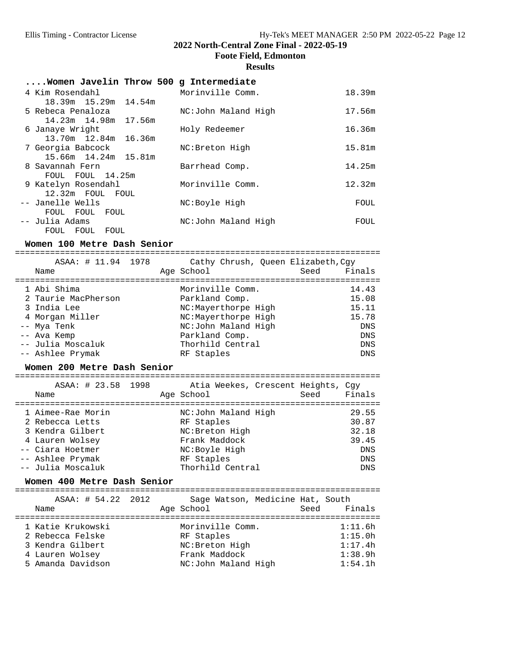**Foote Field, Edmonton**

#### **Results**

| Women Javelin Throw 500 g Intermediate |                     |        |
|----------------------------------------|---------------------|--------|
| 4 Kim Rosendahl                        | Morinville Comm.    | 18.39m |
| 18.39m 15.29m 14.54m                   |                     |        |
| 5 Rebeca Penaloza                      | NC:John Maland High | 17.56m |
| 14.23m 14.98m 17.56m                   |                     |        |
| 6 Janaye Wright                        | Holy Redeemer       | 16.36m |
| 13.70m 12.84m 16.36m                   |                     |        |
| 7 Georgia Babcock                      | NC: Breton High     | 15.81m |
| 15.66m 14.24m 15.81m                   |                     |        |
| 8 Savannah Fern                        | Barrhead Comp.      | 14.25m |
| FOUL FOUL 14.25m                       |                     |        |
| 9 Katelyn Rosendahl                    | Morinville Comm.    | 12.32m |
| 12.32m FOUL FOUL                       |                     |        |
| -- Janelle Wells                       | NC:Boyle High       | FOUL   |
| FOUL FOUL<br>FOUL                      |                     |        |
| -- Julia Adams                         | NC:John Maland High | FOUL   |
| FOUL FOUL FOUL                         |                     |        |

**Women 100 Metre Dash Senior** ========================================================================= ASAA: # 11.94 1978 Cathy Chrush, Queen Elizabeth,Cgy Name **Age School** Age School Seed Finals ========================================================================= 1 Abi Shima Morinville Comm. 14.43 2 Taurie MacPherson Parkland Comp. 15.08 3 India Lee NC:Mayerthorpe High 15.11 4 Morgan Miller NC:Mayerthorpe High 15.78 -- Mya Tenk DNS NC:John Maland High DNS -- Ava Kemp Parkland Comp. DNS -- Julia Moscaluk Thorhild Central DNS -- Ashlee Prymak RF Staples DNS

# **Women 200 Metre Dash Senior** =========================================================================

| ASAA: # 23.58 1998<br>Name | Atia Weekes, Crescent Heights, Cqy<br>Age School<br>Seed | Finals     |
|----------------------------|----------------------------------------------------------|------------|
| 1 Aimee-Rae Morin          | NC:John Maland High                                      | 29.55      |
| 2 Rebecca Letts            | RF Staples                                               | 30.87      |
| 3 Kendra Gilbert           | NC: Breton High                                          | 32.18      |
| 4 Lauren Wolsey            | Frank Maddock                                            | 39.45      |
| -- Ciara Hoetmer           | NC:Boyle High                                            | DNS        |
| -- Ashlee Prymak           | RF Staples                                               | <b>DNS</b> |
| -- Julia Moscaluk          | Thorhild Central                                         | <b>DNS</b> |

**Women 400 Metre Dash Senior** =========================================================================

| ASAA: # 54.22 2012 | Sage Watson, Medicine Hat, South | Finals  |
|--------------------|----------------------------------|---------|
| Name               | Age School                       | Seed    |
| 1 Katie Krukowski  | Morinville Comm.                 | 1:11.6h |
| 2 Rebecca Felske   | RF Staples                       | 1:15.0h |
| 3 Kendra Gilbert   | NC: Breton High                  | 1:17.4h |
| 4 Lauren Wolsey    | Frank Maddock                    | 1:38.9h |
| 5 Amanda Davidson  | NC:John Maland High              | 1:54.1h |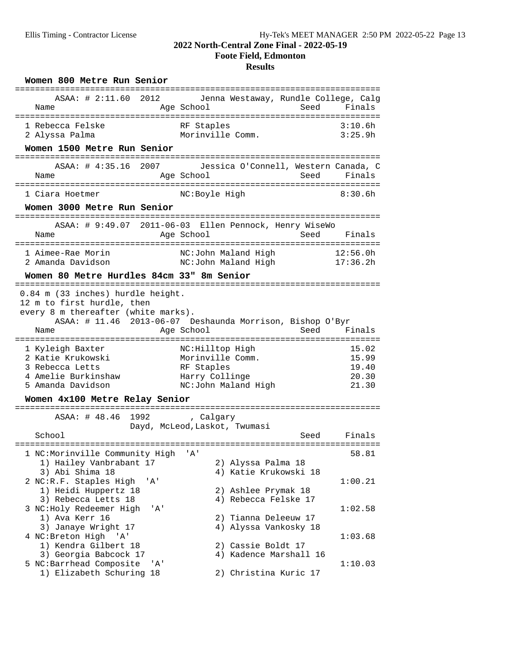#### **2022 North-Central Zone Final - 2022-05-19 Foote Field, Edmonton**

| Women 800 Metre Run Senior                                                                                                             |       |                                                                                            |                 |                                           |
|----------------------------------------------------------------------------------------------------------------------------------------|-------|--------------------------------------------------------------------------------------------|-----------------|-------------------------------------------|
| ASAA: # 2:11.60 2012<br>Name                                                                                                           |       | Jenna Westaway, Rundle College, Calg<br>Age School                                         | Seed            | Finals                                    |
| 1 Rebecca Felske<br>2 Alyssa Palma                                                                                                     |       | RF Staples<br>Morinville Comm.                                                             |                 | 3:10.6h<br>3:25.9h                        |
| Women 1500 Metre Run Senior                                                                                                            |       |                                                                                            |                 |                                           |
| ASAA: # 4:35.16 2007<br>Name                                                                                                           |       | Jessica O'Connell, Western Canada, C<br>Age School                                         |                 | Seed Finals                               |
| 1 Ciara Hoetmer                                                                                                                        |       | NC:Boyle High                                                                              |                 | 8:30.6h                                   |
| Women 3000 Metre Run Senior                                                                                                            |       |                                                                                            |                 |                                           |
| Name                                                                                                                                   |       | ASAA: # 9:49.07 2011-06-03 Ellen Pennock, Henry WiseWo<br>Age School                       | Seed            | Finals                                    |
| 1 Aimee-Rae Morin<br>2 Amanda Davidson                                                                                                 |       | NC:John Maland High<br>NC:John Maland High                                                 |                 | 12:56.0h<br>17:36.2h                      |
| Women 80 Metre Hurdles 84cm 33" 8m Senior                                                                                              |       |                                                                                            |                 |                                           |
| 0.84 m (33 inches) hurdle height.<br>12 m to first hurdle, then<br>every 8 m thereafter (white marks).<br>Name<br>:================    |       | ASAA: # 11.46 2013-06-07 Deshaunda Morrison, Bishop O'Byr<br>Age School                    | Seed<br>------- | Finals                                    |
| 1 Kyleigh Baxter<br>2 Katie Krukowski<br>3 Rebecca Letts<br>4 Amelie Burkinshaw<br>5 Amanda Davidson<br>Women 4x100 Metre Relay Senior |       | NC:Hilltop High<br>Morinville Comm.<br>RF Staples<br>Harry Collinge<br>NC:John Maland High |                 | 15.02<br>15.99<br>19.40<br>20.30<br>21.30 |
| ASAA: # 48.46                                                                                                                          |       | 1992 , Calgary                                                                             |                 |                                           |
|                                                                                                                                        |       | Dayd, McLeod, Laskot, Twumasi                                                              |                 |                                           |
| School<br>===================                                                                                                          |       |                                                                                            | Seed            | Finals                                    |
| 1 NC:Morinville Community High<br>1) Hailey Vanbrabant 17<br>3) Abi Shima 18                                                           |       | 'A'<br>2) Alyssa Palma 18<br>4) Katie Krukowski 18                                         |                 | 58.81                                     |
| 2 NC:R.F. Staples High<br>1) Heidi Huppertz 18<br>3) Rebecca Letts 18                                                                  | ' A ' | 2) Ashlee Prymak 18<br>4) Rebecca Felske 17                                                |                 | 1:00.21                                   |
| 3 NC:Holy Redeemer High<br>1) Ava Kerr 16<br>3) Janaye Wright 17                                                                       | ' A'  | 2) Tianna Deleeuw 17<br>4) Alyssa Vankosky 18                                              |                 | 1:02.58                                   |
| 4 NC: Breton High 'A'<br>1) Kendra Gilbert 18<br>3) Georgia Babcock 17                                                                 |       | 2) Cassie Boldt 17<br>4) Kadence Marshall 16                                               |                 | 1:03.68                                   |
| 5 NC:Barrhead Composite<br>1) Elizabeth Schuring 18                                                                                    | 'A'   | 2) Christina Kuric 17                                                                      |                 | 1:10.03                                   |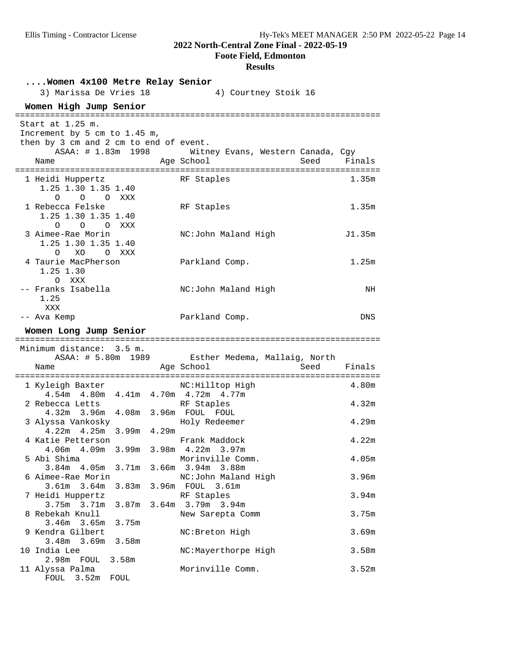**Foote Field, Edmonton**

| Women 4x100 Metre Relay Senior<br>3) Marissa De Vries 18                                                                 | 4) Courtney Stoik 16                                    |                   |
|--------------------------------------------------------------------------------------------------------------------------|---------------------------------------------------------|-------------------|
| Women High Jump Senior<br>=========================                                                                      |                                                         |                   |
| Start at 1.25 m.<br>Increment by 5 cm to 1.45 m,<br>then by 3 cm and 2 cm to end of event.<br>ASAA: # 1.83m 1998<br>Name | Witney Evans, Western Canada, Cgy<br>Age School<br>Seed | Finals            |
| 1 Heidi Huppertz<br>1.25 1.30 1.35 1.40<br>$\Omega$<br>O O XXX                                                           | RF Staples                                              | 1.35m             |
| 1 Rebecca Felske<br>1.25 1.30 1.35 1.40<br>O O O XXX                                                                     | RF Staples                                              | 1.35m             |
| 3 Aimee-Rae Morin<br>1.25 1.30 1.35 1.40<br>XO<br>O XXX<br>$\Omega$                                                      | NC:John Maland High                                     | J1.35m            |
| 4 Taurie MacPherson<br>1.25 1.30<br>O XXX                                                                                | Parkland Comp.                                          | 1.25m             |
| -- Franks Isabella<br>1.25<br><b>XXX</b>                                                                                 | NC:John Maland High                                     | NH                |
| -- Ava Kemp<br>Women Long Jump Senior                                                                                    | Parkland Comp.                                          | <b>DNS</b>        |
|                                                                                                                          |                                                         |                   |
| Minimum distance: 3.5 m.<br>ASAA: # 5.80m 1989<br>Name                                                                   | Esther Medema, Mallaig, North<br>Age School<br>Seed     | Finals            |
| 1 Kyleigh Baxter<br>4.54m  4.80m  4.41m  4.70m  4.72m  4.77m                                                             | NC:Hilltop High                                         | 4.80m             |
| 2 Rebecca Letts<br>4.32m 3.96m 4.08m 3.96m FOUL FOUL                                                                     | RF Staples                                              | 4.32m             |
| 3 Alyssa Vankosky<br>$4.22m$ $4.25m$ $3.99m$ $4.29m$                                                                     | Holy Redeemer                                           | 4.29m             |
| 4 Katie Petterson                                                                                                        | Frank Maddock                                           | 4.22m             |
| 4.09m<br>4.06m<br>3.99m<br>5 Abi Shima                                                                                   | $3.98m$ 4.22m<br>3.97m<br>Morinville Comm.              | 4.05m             |
| 3.84m<br>4.05m<br>3.71m<br>6 Aimee-Rae Morin                                                                             | $3.66m$ $3.94m$<br>3.88m<br>NC:John Maland High         | 3.96 <sub>m</sub> |
| $3.61m$ $3.64m$<br>3.83m<br>7 Heidi Huppertz                                                                             | 3.96m FOUL 3.61m<br>RF Staples                          | 3.94m             |
| 3.75m 3.71m<br>3.87 <sub>m</sub><br>8 Rebekah Knull                                                                      | 3.64m 3.79m 3.94m<br>New Sarepta Comm                   | 3.75m             |
| $3.46m$ 3.65m<br>3.75m<br>9 Kendra Gilbert                                                                               | NC: Breton High                                         | 3.69m             |
| 3.48m 3.69m<br>3.58m<br>10 India Lee                                                                                     | NC: Mayerthorpe High                                    | 3.58m             |
| 2.98m<br>3.58m<br>FOUL<br>11 Alyssa Palma<br>FOUL 3.52m<br>FOUL                                                          | Morinville Comm.                                        | 3.52m             |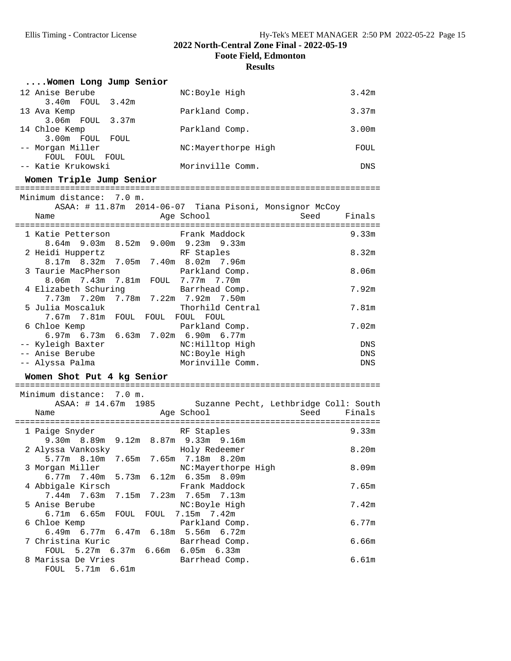**Foote Field, Edmonton**

| Women Long Jump Senior              |                        |                                                           |                   |
|-------------------------------------|------------------------|-----------------------------------------------------------|-------------------|
| 12 Anise Berube<br>3.40m FOUL 3.42m |                        | NC:Boyle High                                             | 3.42 <sub>m</sub> |
| 13 Ava Kemp<br>3.06m FOUL 3.37m     |                        | Parkland Comp.                                            | 3.37m             |
| 14 Chloe Kemp<br>3.00m FOUL FOUL    |                        | Parkland Comp.                                            | 3.00 <sub>m</sub> |
| -- Morgan Miller<br>FOUL FOUL FOUL  |                        | NC:Mayerthorpe High                                       | FOUL              |
| -- Katie Krukowski                  |                        | Morinville Comm.                                          | DNS               |
| Women Triple Jump Senior            |                        |                                                           |                   |
| Minimum distance: 7.0 m.            |                        |                                                           |                   |
|                                     |                        | ASAA: # 11.87m 2014-06-07 Tiana Pisoni, Monsignor McCoy   |                   |
| Name                                |                        | Age School                                                | Seed<br>Finals    |
|                                     |                        |                                                           |                   |
| 1 Katie Petterson                   |                        | Frank Maddock                                             | 9.33m             |
|                                     |                        | 8.64m 9.03m 8.52m 9.00m 9.23m 9.33m                       |                   |
| 2 Heidi Huppertz                    |                        | RF Staples                                                | 8.32m             |
|                                     |                        | 8.17m 8.32m 7.05m 7.40m 8.02m 7.96m                       |                   |
| 3 Taurie MacPherson                 |                        | Parkland Comp.                                            | 8.06m             |
| 4 Elizabeth Schuring                |                        | 8.06m 7.43m 7.81m FOUL 7.77m 7.70m<br>Barrhead Comp.      | 7.92m             |
|                                     |                        | 7.73m 7.20m 7.78m 7.22m 7.92m 7.50m                       |                   |
| 5 Julia Moscaluk                    |                        | Thorhild Central                                          | 7.81m             |
|                                     |                        | 7.67m 7.81m FOUL FOUL FOUL FOUL                           |                   |
| 6 Chloe Kemp                        |                        | Parkland Comp.                                            | 7.02m             |
|                                     |                        | 6.97m 6.73m 6.63m 7.02m 6.90m 6.77m                       |                   |
| -- Kyleigh Baxter                   |                        | NC: Hilltop High                                          | DNS               |
| -- Anise Berube                     |                        | NC:Boyle High                                             | DNS               |
| -- Alyssa Palma                     |                        | Morinville Comm.                                          | DNS               |
| Women Shot Put 4 kg Senior          |                        |                                                           |                   |
| Minimum distance: 7.0 m.            |                        |                                                           |                   |
|                                     |                        | ASAA: # 14.67m 1985 Suzanne Pecht, Lethbridge Coll: South |                   |
| Name                                |                        | Age School                                                | Seed<br>Finals    |
|                                     |                        |                                                           |                   |
| 1 Paige Snyder                      |                        | RF Staples                                                | 9.33m             |
|                                     |                        | 9.30m 8.89m 9.12m 8.87m 9.33m 9.16m                       |                   |
| 2 Alyssa Vankosky                   |                        | Holy Redeemer                                             | 8.20m             |
| 5.77m 8.10m                         | 7.65m                  | 7.65m 7.18m 8.20m                                         |                   |
| 3 Morgan Miller                     |                        | NC:Mayerthorpe High                                       | 8.09m             |
| 6.77m<br>7.40m                      | 5.73m                  | 6.12m 6.35m 8.09m                                         |                   |
| 4 Abbigale Kirsch                   |                        | Frank Maddock                                             | 7.65m             |
| 7.44m<br>7.63m                      | 7.15m                  | 7.23m<br>7.65m<br>7.13m                                   |                   |
| 5 Anise Berube                      |                        | NC:Boyle High                                             | 7.42m             |
| 6.71m<br>6.65m                      | FOUL<br>FOUL           | 7.15m 7.42m                                               |                   |
| 6 Chloe Kemp<br>$6.49m$ $6.77m$     | 6.47m                  | Parkland Comp.<br>5.56m 6.72m<br>6.18m                    | 6.77m             |
| 7 Christina Kuric                   |                        | Barrhead Comp.                                            | 6.66m             |
| FOUL                                | $5.27m$ 6.37m<br>6.66m | $6.05m$ $6.33m$                                           |                   |
| 8 Marissa De Vries                  |                        | Barrhead Comp.                                            | 6.61m             |
| FOUL                                | 5.71m 6.61m            |                                                           |                   |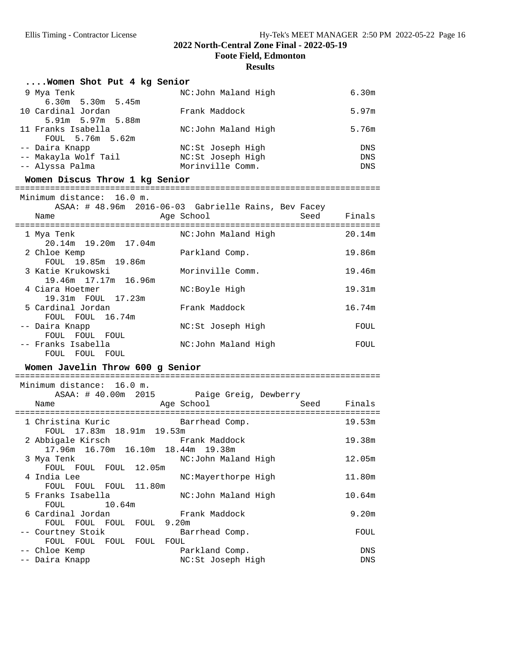**Foote Field, Edmonton**

| Women Shot Put 4 kg Senior                              |                                                      |                |
|---------------------------------------------------------|------------------------------------------------------|----------------|
| 9 Mya Tenk<br>6.30m 5.30m 5.45m                         | NC:John Maland High                                  | 6.30m          |
| 10 Cardinal Jordan<br>5.91m 5.97m 5.88m                 | Frank Maddock                                        | 5.97m          |
| 11 Franks Isabella<br>FOUL 5.76m 5.62m                  | NC:John Maland High                                  | 5.76m          |
| -- Daira Knapp                                          | NC:St Joseph High                                    | DNS            |
| -- Makayla Wolf Tail                                    | NC:St Joseph High                                    | DNS            |
| -- Alyssa Palma                                         | Morinville Comm.                                     | DNS            |
| Women Discus Throw 1 kg Senior                          |                                                      |                |
|                                                         |                                                      |                |
| Minimum distance: 16.0 m.                               | ASAA: # 48.96m 2016-06-03 Gabrielle Rains, Bev Facey |                |
| Name                                                    | Age School                                           | Seed<br>Finals |
| 1 Mya Tenk<br>20.14m 19.20m 17.04m                      | NC:John Maland High                                  | 20.14m         |
| 2 Chloe Kemp<br>FOUL 19.85m 19.86m                      | Parkland Comp.                                       | 19.86m         |
| 3 Katie Krukowski<br>19.46m 17.17m 16.96m               | Morinville Comm.                                     | 19.46m         |
| 4 Ciara Hoetmer<br>19.31m FOUL 17.23m                   | NC:Boyle High                                        | 19.31m         |
| 5 Cardinal Jordan<br>FOUL FOUL 16.74m                   | Frank Maddock                                        | 16.74m         |
| -- Daira Knapp<br>FOUL FOUL FOUL                        | NC:St Joseph High                                    | FOUL           |
| -- Franks Isabella<br>FOUL FOUL FOUL                    | NC:John Maland High                                  | FOUL           |
| Women Javelin Throw 600 g Senior                        |                                                      |                |
|                                                         |                                                      |                |
| Minimum distance: 16.0 m.                               |                                                      |                |
|                                                         | ASAA: # 40.00m 2015 Paige Greig, Dewberry            |                |
| Name                                                    | Age School                                           | Seed Finals    |
| 1 Christina Kuric<br>FOUL 17.83m 18.91m 19.53m          | Barrhead Comp.                                       | 19.53m         |
| 2 Abbigale Kirsch<br>17.96m 16.70m 16.10m 18.44m 19.38m | Frank Maddock                                        | 19.38m         |
| 3 Mya Tenk<br>FOUL<br>12.05m<br>FOUL<br>FOUL            | NC:John Maland High                                  | 12.05m         |
| 4 India Lee<br>11.80m<br>FOUL<br>FOUL<br>FOUL           | NC:Mayerthorpe High                                  | 11.80m         |
| 5 Franks Isabella<br>10.64m                             | NC:John Maland High                                  | 10.64m         |
| FOUL<br>6 Cardinal Jordan                               | Frank Maddock                                        | 9.20m          |
| FOUL FOUL<br>FOUL<br>FOUL<br>-- Courtney Stoik          | 9.20m<br>Barrhead Comp.                              | FOUL           |
| FOUL FOUL<br>FOUL<br>FOUL<br>-- Chloe Kemp              | FOUL<br>Parkland Comp.                               | DNS            |
|                                                         |                                                      |                |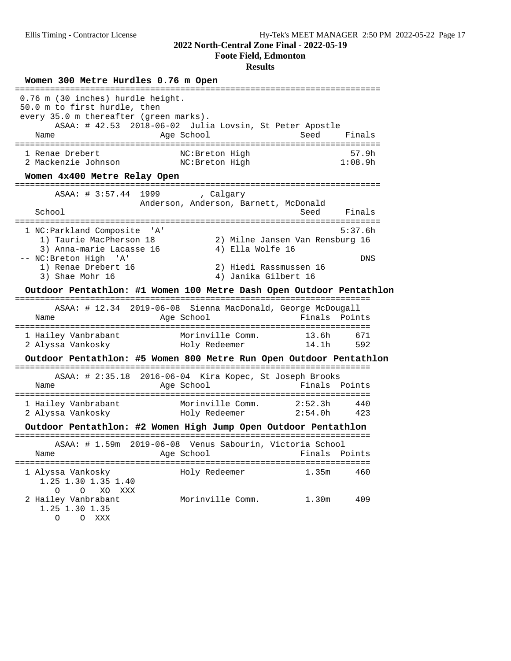**Foote Field, Edmonton**

#### **Results**

**Women 300 Metre Hurdles 0.76 m Open** ========================================================================= 0.76 m (30 inches) hurdle height. 50.0 m to first hurdle, then every 35.0 m thereafter (green marks). ASAA: # 42.53 2018-06-02 Julia Lovsin, St Peter Apostle Name Age School Age School Seed Finals ========================================================================= 1 Renae Drebert NC:Breton High 57.9h 2 Mackenzie Johnson NC:Breton High 1:08.9h **Women 4x400 Metre Relay Open** ========================================================================= ASAA: # 3:57.44 1999 , Calgary Anderson, Anderson, Barnett, McDonald School School Seed Finals ========================================================================= 1 NC:Parkland Composite 'A' 5:37.6h 1) Taurie MacPherson 18 2) Milne Jansen Van Rensburg 16 3) Anna-marie Lacasse 16  $\hskip 1.6cm 4$ ) Ella Wolfe 16 -- NC:Breton High 'A' DNS 1) Renae Drebert 16 2) Hiedi Rassmussen 16 3) Shae Mohr 16 4) Janika Gilbert 16 **Outdoor Pentathlon: #1 Women 100 Metre Dash Open Outdoor Pentathlon** ======================================================================= ASAA: # 12.34 2019-06-08 Sienna MacDonald, George McDougall Name **Age School Finals** Points ======================================================================= 1 Hailey Vanbrabant Morinville Comm. 13.6h 671 2 Alyssa Vankosky Holy Redeemer 14.1h 592 **Outdoor Pentathlon: #5 Women 800 Metre Run Open Outdoor Pentathlon** ======================================================================= ASAA: # 2:35.18 2016-06-04 Kira Kopec, St Joseph Brooks Name Age School ======================================================================= 1 Hailey Vanbrabant Morinville Comm. 2:52.3h 440 2 Alyssa Vankosky Holy Redeemer 2:54.0h 423 **Outdoor Pentathlon: #2 Women High Jump Open Outdoor Pentathlon** ======================================================================= ASAA: # 1.59m 2019-06-08 Venus Sabourin, Victoria School Name Age School Finals Points ======================================================================= 1 Alyssa Vankosky Holy Redeemer 1.35m 460 1.25 1.30 1.35 1.40 O O XO XXX 2 Hailey Vanbrabant Morinville Comm. 1.30m 409 1.25 1.30 1.35 O O XXX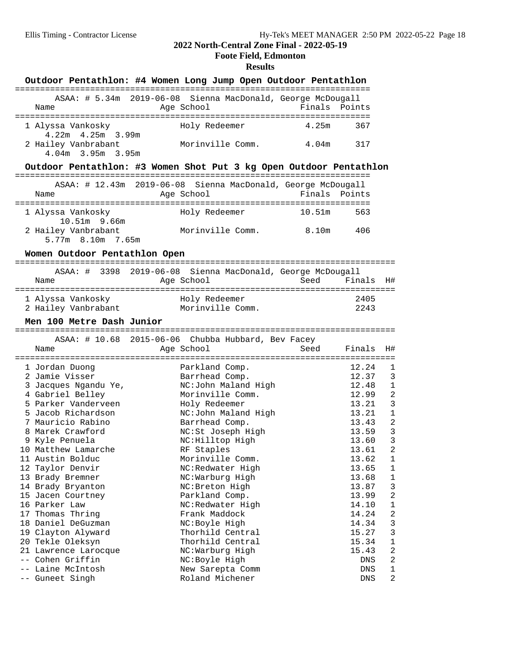## **Foote Field, Edmonton**

| Outdoor Pentathlon: #4 Women Long Jump Open Outdoor Pentathlon       |                                     |        |                |                  |
|----------------------------------------------------------------------|-------------------------------------|--------|----------------|------------------|
| ASAA: # 5.34m 2019-06-08 Sienna MacDonald, George McDougall<br>Name  | Age School                          | Finals | Points         |                  |
| 1 Alyssa Vankosky<br>$4.22m$ $4.25m$ $3.99m$                         | Holy Redeemer                       | 4.25m  | 367            |                  |
| 2 Hailey Vanbrabant<br>4.04m 3.95m 3.95m                             | Morinville Comm.                    | 4.04m  | 317            |                  |
| Outdoor Pentathlon: #3 Women Shot Put 3 kg Open Outdoor Pentathlon   |                                     |        |                |                  |
| ASAA: # 12.43m 2019-06-08 Sienna MacDonald, George McDougall<br>Name | Age School                          | Finals | Points         |                  |
| 1 Alyssa Vankosky<br>10.51m 9.66m                                    | Holy Redeemer                       | 10.51m | 563            |                  |
| 2 Hailey Vanbrabant<br>5.77m 8.10m 7.65m                             | Morinville Comm.                    | 8.10m  | 406            |                  |
| Women Outdoor Pentathlon Open                                        |                                     |        |                |                  |
| ASAA: # 3398 2019-06-08 Sienna MacDonald, George McDougall           |                                     |        |                |                  |
| Name                                                                 | Age School                          | Seed   | Finals         | H#               |
|                                                                      |                                     |        |                |                  |
| 1 Alyssa Vankosky<br>2 Hailey Vanbrabant Morinville Comm.            | Holy Redeemer                       |        | 2405<br>2243   |                  |
| Men 100 Metre Dash Junior                                            |                                     |        |                |                  |
| ASAA: # 10.68 2015-06-06 Chubba Hubbard, Bev Facey                   |                                     |        |                |                  |
| Name                                                                 | Age School                          | Seed   | Finals         | H#               |
| 1 Jordan Duong                                                       | Parkland Comp.                      |        | 12.24          | 1                |
| 2 Jamie Visser                                                       | Barrhead Comp.                      |        | 12.37          | 3                |
| 3 Jacques Ngandu Ye,                                                 | NC:John Maland High                 |        | 12.48          | $\mathbf{1}$     |
| 4 Gabriel Belley                                                     | Morinville Comm.                    |        | 12.99          | $\overline{2}$   |
| 5 Parker Vanderveen                                                  | Holy Redeemer                       |        | 13.21          | 3                |
| 5 Jacob Richardson                                                   | NC:John Maland High                 |        | 13.21          | $\mathbf{1}$     |
| 7 Mauricio Rabino                                                    | Barrhead Comp.                      |        | 13.43          | $\overline{a}$   |
| 8 Marek Crawford                                                     | NC:St Joseph High                   |        | 13.59          | $\overline{3}$   |
| 9 Kyle Penuela                                                       | NC: Hilltop High                    |        | 13.60          | $\overline{3}$   |
| 10 Matthew Lamarche                                                  | RF Staples                          |        | 13.61          | $\overline{a}$   |
| 11 Austin Bolduc                                                     | Morinville Comm.                    |        | 13.62          | 1                |
| 12 Taylor Denvir<br>13 Brady Bremner                                 | NC:Redwater High<br>NC:Warburg High |        | 13.65<br>13.68 | 1<br>$\mathbf 1$ |
| 14 Brady Bryanton                                                    | NC: Breton High                     |        | 13.87          | 3                |
| 15 Jacen Courtney                                                    | Parkland Comp.                      |        | 13.99          | 2                |
| 16 Parker Law                                                        | NC:Redwater High                    |        | 14.10          | $\mathbf 1$      |
| 17 Thomas Thring                                                     | Frank Maddock                       |        | 14.24          | $\overline{c}$   |
| 18 Daniel DeGuzman                                                   | NC:Boyle High                       |        | 14.34          | 3                |
| 19 Clayton Alyward                                                   | Thorhild Central                    |        | 15.27          | 3                |
| 20 Tekle Oleksyn                                                     | Thorhild Central                    |        | 15.34          | $\mathbf 1$      |
| 21 Lawrence Larocque                                                 | NC:Warburg High                     |        | 15.43          | $\overline{a}$   |
| -- Cohen Griffin                                                     | NC:Boyle High                       |        | DNS            | $\overline{2}$   |
| -- Laine McIntosh<br>-- Guneet Singh                                 | New Sarepta Comm<br>Roland Michener |        | DNS<br>DNS     | $\mathbf 1$<br>2 |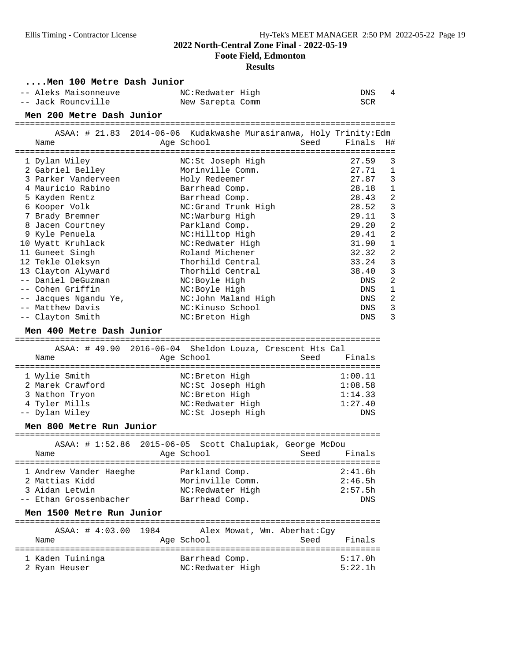**Foote Field, Edmonton**

| Men 100 Metre Dash Junior                                                  |                                                                    |                                      |
|----------------------------------------------------------------------------|--------------------------------------------------------------------|--------------------------------------|
| -- Aleks Maisonneuve                                                       | NC:Redwater High                                                   | 4<br>DNS                             |
| -- Jack Rouncville                                                         | New Sarepta Comm                                                   | SCR                                  |
| Men 200 Metre Dash Junior                                                  |                                                                    |                                      |
|                                                                            | ASAA: # 21.83 2014-06-06 Kudakwashe Murasiranwa, Holy Trinity: Edm |                                      |
| Name                                                                       | Age School<br>Seed                                                 | Finals<br>H#                         |
|                                                                            |                                                                    |                                      |
| 1 Dylan Wiley                                                              | NC:St Joseph High                                                  | 3<br>27.59                           |
| 2 Gabriel Belley                                                           | Morinville Comm.                                                   | 27.71<br>$\mathbf 1$                 |
| 3 Parker Vanderveen                                                        | Holy Redeemer                                                      | 3<br>27.87                           |
| 4 Mauricio Rabino                                                          | Barrhead Comp.                                                     | $\mathbf{1}$<br>28.18                |
| 5 Kayden Rentz                                                             | Barrhead Comp.                                                     | $\overline{a}$<br>28.43              |
| 6 Kooper Volk                                                              | NC:Grand Trunk High                                                | 3<br>28.52                           |
| 7 Brady Bremner                                                            | NC:Warburg High                                                    | 3<br>29.11                           |
| 8 Jacen Courtney                                                           | Parkland Comp.                                                     | $\overline{a}$<br>29.20              |
| 9 Kyle Penuela                                                             | NC: Hilltop High                                                   | $\overline{2}$<br>29.41              |
| 10 Wyatt Kruhlack                                                          | NC:Redwater High                                                   | $\mathbf{1}$<br>31.90                |
| 11 Guneet Singh                                                            | Roland Michener                                                    | $\overline{a}$<br>32.32              |
| 12 Tekle Oleksyn                                                           | Thorhild Central                                                   | 3<br>33.24                           |
| 13 Clayton Alyward<br>-- Daniel DeGuzman                                   | Thorhild Central                                                   | 3<br>38.40                           |
| -- Cohen Griffin                                                           | NC:Boyle High<br>NC:Boyle High                                     | $\overline{a}$<br>DNS<br>$\mathbf 1$ |
| -- Jacques Ngandu Ye,                                                      | NC:John Maland High                                                | DNS<br>$\overline{a}$<br>DNS         |
| -- Matthew Davis                                                           | NC:Kinuso School                                                   | $\overline{3}$<br>DNS                |
| -- Clayton Smith                                                           | NC: Breton High                                                    | 3<br>DNS                             |
|                                                                            |                                                                    |                                      |
| Men 400 Metre Dash Junior                                                  |                                                                    |                                      |
|                                                                            | ASAA: # 49.90 2016-06-04 Sheldon Louza, Crescent Hts Cal           |                                      |
| Name                                                                       | Age School                                                         | Seed Finals                          |
|                                                                            |                                                                    |                                      |
| 1 Wylie Smith                                                              | NC: Breton High                                                    | 1:00.11                              |
| 2 Marek Crawford                                                           | NC:St Joseph High                                                  | 1:08.58                              |
| 3 Nathon Tryon                                                             | NC: Breton High                                                    | 1:14.33                              |
| 4 Tyler Mills                                                              | NC:Redwater High                                                   | 1:27.40                              |
| -- Dylan Wiley                                                             | NC:St Joseph High                                                  | <b>DNS</b>                           |
| Men 800 Metre Run Junior                                                   |                                                                    |                                      |
| ===================================<br>ASAA: # 1:52.86<br>$2015 - 06 - 05$ | ===============================<br>Scott Chalupiak, George McDou   |                                      |
| Name                                                                       | Age School<br>Seed                                                 | Finals                               |
|                                                                            | :====================                                              |                                      |
| 1 Andrew Vander Haeghe                                                     | Parkland Comp.                                                     | 2:41.6h                              |
| 2 Mattias Kidd                                                             | Morinville Comm.                                                   | 2:46.5h                              |
| 3 Aidan Letwin                                                             | NC:Redwater High                                                   | 2:57.5h                              |
| -- Ethan Grossenbacher                                                     | Barrhead Comp.                                                     | DNS                                  |
| Men 1500 Metre Run Junior                                                  |                                                                    |                                      |
| ==================================<br>ASAA: 4:03.00<br>1984                | -----------------------------                                      |                                      |
| Name                                                                       | Alex Mowat, Wm. Aberhat: Cgy<br>Age School<br>Seed                 | Finals                               |
|                                                                            | -------------------------------------                              |                                      |
| 1 Kaden Tuininga                                                           | Barrhead Comp.                                                     | 5:17.0h                              |
| 2 Ryan Heuser                                                              | NC:Redwater High                                                   | 5:22.1h                              |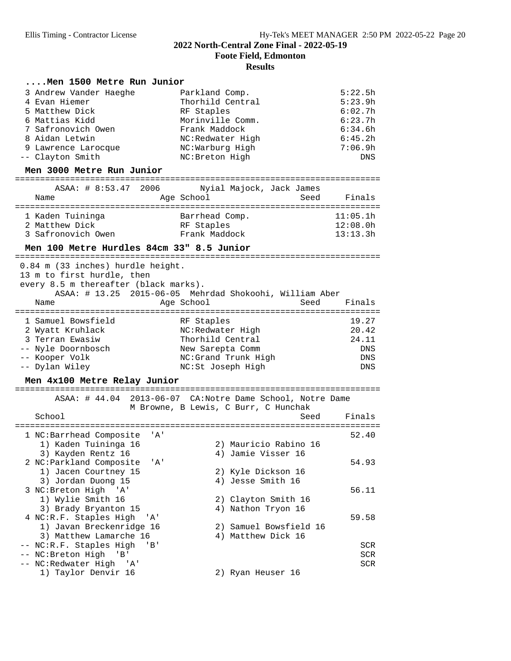**Foote Field, Edmonton**

#### **Results**

#### **....Men 1500 Metre Run Junior**

| 3 Andrew Vander Haeghe | Parkland Comp.   | 5:22.5h |
|------------------------|------------------|---------|
| 4 Evan Hiemer          | Thorhild Central | 5:23.9h |
| 5 Matthew Dick         | RF Staples       | 6:02.7h |
| 6 Mattias Kidd         | Morinville Comm. | 6:23.7h |
| 7 Safronovich Owen     | Frank Maddock    | 6:34.6h |
| 8 Aidan Letwin         | NC:Redwater High | 6:45.2h |
| 9 Lawrence Larocque    | NC:Warburg High  | 7:06.9h |
| -- Clayton Smith       | NC: Breton High  | DNS     |

## **Men 3000 Metre Run Junior** =========================================================================

| ASAA: # 8:53.47 2006 | Nyial Majock, Jack James | Finals   |
|----------------------|--------------------------|----------|
| Name                 | Age School               | Seed     |
| 1 Kaden Tuininga     | Barrhead Comp.           | 11:05.1h |
| 2 Matthew Dick       | RF Staples               | 12:08.0h |
| 3 Safronovich Owen   | Frank Maddock            | 13:13.3h |

**Men 100 Metre Hurdles 84cm 33" 8.5 Junior** ========================================================================= 0.84 m (33 inches) hurdle height.

13 m to first hurdle, then

every 8.5 m thereafter (black marks).

| Name               | ASAA: # 13.25 2015-06-05 Mehrdad Shokoohi, William Aber<br>Age School | Seed | Finals     |
|--------------------|-----------------------------------------------------------------------|------|------------|
| 1 Samuel Bowsfield | RF Staples                                                            |      | 19.27      |
| 2 Wyatt Kruhlack   | NC:Redwater High                                                      |      | 20.42      |
| 3 Terran Ewasiw    | Thorhild Central                                                      |      | 24.11      |
| -- Nyle Doornbosch | New Sarepta Comm                                                      |      | DNS        |
| -- Kooper Volk     | NC: Grand Trunk High                                                  |      | <b>DNS</b> |
| -- Dylan Wiley     | NC:St Joseph High                                                     |      | <b>DNS</b> |

#### Men 4x100 Metre Relay Junior

|                                                          | ASAA: # 44.04 2013-06-07 CA:Notre Dame School, Notre Dame<br>M Browne, B Lewis, C Burr, C Hunchak |            |
|----------------------------------------------------------|---------------------------------------------------------------------------------------------------|------------|
| School                                                   | Seed                                                                                              | Finals     |
| 1 NC:Barrhead Composite<br>' A '<br>1) Kaden Tuininga 16 |                                                                                                   | 52.40      |
| 3) Kayden Rentz 16                                       | 2) Mauricio Rabino 16<br>4) Jamie Visser 16                                                       |            |
| 2 NC:Parkland Composite<br>$^{\prime}$ A $^{\prime}$     |                                                                                                   | 54.93      |
| 1) Jacen Courtney 15                                     | 2) Kyle Dickson 16                                                                                |            |
| 3) Jordan Duong 15                                       | 4) Jesse Smith 16                                                                                 |            |
| 3 NC: Breton High 'A'                                    |                                                                                                   | 56.11      |
| 1) Wylie Smith 16                                        | 2) Clayton Smith 16                                                                               |            |
| 3) Brady Bryanton 15                                     | 4) Nathon Tryon 16                                                                                |            |
| 4 NC:R.F. Staples High 'A'                               |                                                                                                   | 59.58      |
| 1) Javan Breckenridge 16                                 | 2) Samuel Bowsfield 16                                                                            |            |
| 3) Matthew Lamarche 16                                   | 4) Matthew Dick 16                                                                                |            |
| -- NC:R.F. Staples High 'B'                              |                                                                                                   | <b>SCR</b> |
| NC: Breton High 'B'                                      |                                                                                                   | <b>SCR</b> |
| -- NC:Redwater High 'A'                                  |                                                                                                   | <b>SCR</b> |
| 1) Taylor Denvir 16                                      | 2) Ryan Heuser 16                                                                                 |            |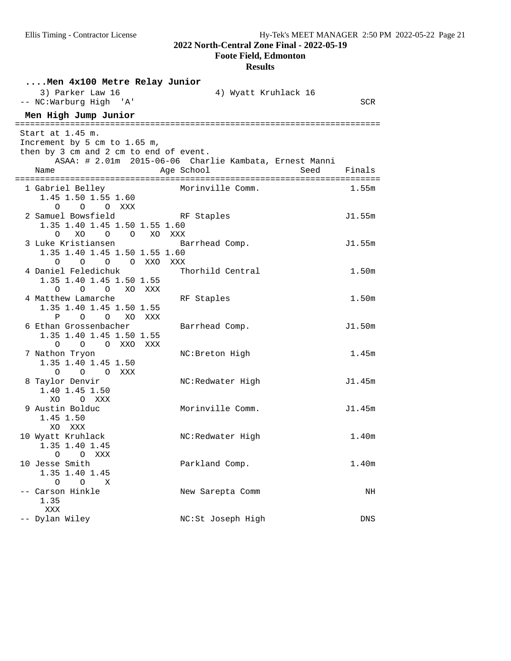**Foote Field, Edmonton**

| Men 4x100 Metre Relay Junior                                                |                                                        |                   |
|-----------------------------------------------------------------------------|--------------------------------------------------------|-------------------|
| 3) Parker Law 16<br>-- NC:Warburg High 'A'                                  | 4) Wyatt Kruhlack 16                                   | SCR               |
| Men High Jump Junior                                                        |                                                        |                   |
| ================================<br>Start at 1.45 m.                        |                                                        |                   |
| Increment by 5 cm to 1.65 m,                                                |                                                        |                   |
| then by 3 cm and 2 cm to end of event.                                      |                                                        |                   |
|                                                                             | ASAA: # 2.01m 2015-06-06 Charlie Kambata, Ernest Manni |                   |
| Name<br>================================                                    | Age School<br>Seed                                     | Finals            |
| 1 Gabriel Belley                                                            | Morinville Comm.                                       | 1.55m             |
| 1.45 1.50 1.55 1.60                                                         |                                                        |                   |
| O O O XXX                                                                   |                                                        |                   |
| 2 Samuel Bowsfield                                                          | RF Staples                                             | J1.55m            |
| 1.35 1.40 1.45 1.50 1.55 1.60                                               |                                                        |                   |
| XO XXX<br>O XO O O                                                          |                                                        |                   |
| 3 Luke Kristiansen                                                          | Barrhead Comp.                                         | J1.55m            |
| 1.35 1.40 1.45 1.50 1.55 1.60                                               |                                                        |                   |
| 0 0 0 XXO XXX<br>$\circ$                                                    |                                                        |                   |
| 4 Daniel Feledichuk                                                         | Thorhild Central                                       | 1.50 <sub>m</sub> |
| 1.35 1.40 1.45 1.50 1.55<br>$\circ$<br>$\overline{O}$<br>XO XXX<br>$\Omega$ |                                                        |                   |
| 4 Matthew Lamarche                                                          | RF Staples                                             | 1.50 <sub>m</sub> |
| 1.35 1.40 1.45 1.50 1.55                                                    |                                                        |                   |
| P O O XO XXX                                                                |                                                        |                   |
| 6 Ethan Grossenbacher                                                       | Barrhead Comp.                                         | J1.50m            |
| 1.35 1.40 1.45 1.50 1.55                                                    |                                                        |                   |
| O XXO<br>$\circ$ $\circ$<br>XXX                                             |                                                        |                   |
| 7 Nathon Tryon                                                              | NC: Breton High                                        | 1.45m             |
| 1.35 1.40 1.45 1.50                                                         |                                                        |                   |
| O O O XXX                                                                   |                                                        |                   |
| 8 Taylor Denvir                                                             | NC:Redwater High                                       | J1.45m            |
| 1.40 1.45 1.50                                                              |                                                        |                   |
| XO.<br>O XXX<br>9 Austin Bolduc                                             | Morinville Comm.                                       | J1.45m            |
| 1.45 1.50                                                                   |                                                        |                   |
| XO XXX                                                                      |                                                        |                   |
| 10 Wyatt Kruhlack                                                           | NC:Redwater High                                       | 1.40 <sub>m</sub> |
| 1.35 1.40 1.45                                                              |                                                        |                   |
| O O XXX                                                                     |                                                        |                   |
| 10 Jesse Smith                                                              | Parkland Comp.                                         | 1.40 <sub>m</sub> |
| 1.35 1.40 1.45                                                              |                                                        |                   |
| $\circ$<br>$\circ$<br>Χ                                                     |                                                        |                   |
| Carson Hinkle                                                               | New Sarepta Comm                                       | NH                |
| 1.35                                                                        |                                                        |                   |
| XXX                                                                         |                                                        |                   |
| -- Dylan Wiley                                                              | NC:St Joseph High                                      | DNS               |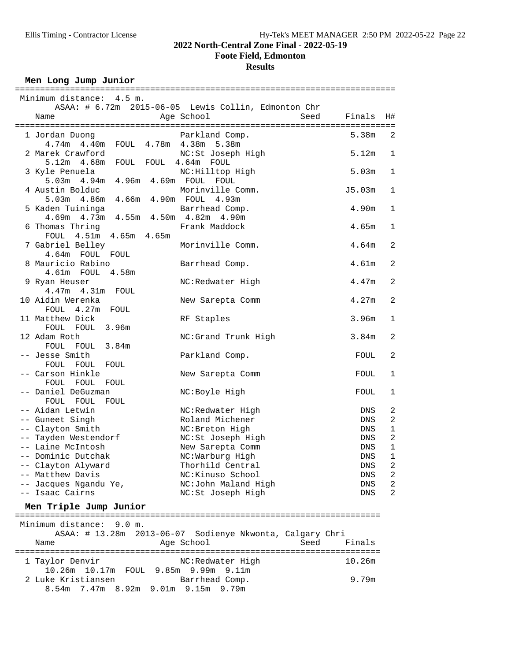**Foote Field, Edmonton**

## **Results**

Men Long Jump Junior

| Minimum distance: 4.5 m.<br>ASAA: # 6.72m 2015-06-05 Lewis Collin, Edmonton Chr<br>Age School<br>Seed<br>Finals<br>Name<br>Η#<br>1 Jordan Duong<br>Parkland Comp.<br>5.38m<br>2<br>4.74m  4.40m  FOUL  4.78m  4.38m  5.38m<br>2 Marek Crawford<br>NC:St Joseph High<br>5.12m<br>1<br>5.12m 4.68m FOUL FOUL 4.64m FOUL<br>3 Kyle Penuela<br>NC: Hilltop High<br>5.03m<br>1<br>5.03m  4.94m  4.96m  4.69m  FOUL  FOUL<br>Morinville Comm.<br>4 Austin Bolduc<br>J5.03m<br>1<br>5.03m  4.86m  4.66m  4.90m  FOUL  4.93m<br>5 Kaden Tuininga<br>4.90m<br>Barrhead Comp.<br>$\mathbf{1}$<br>4.69m  4.73m  4.55m  4.50m  4.82m  4.90m<br>4.65m<br>6 Thomas Thring<br>Frank Maddock<br>$\mathbf{1}$<br>4.51m  4.65m  4.65m<br>FOUL<br>Morinville Comm.<br>2<br>7 Gabriel Belley<br>4.64m<br>$4.64m$ FOUL<br>FOUL<br>8 Mauricio Rabino<br>$\overline{a}$<br>Barrhead Comp.<br>4.61m<br>4.61m FOUL 4.58m |
|-------------------------------------------------------------------------------------------------------------------------------------------------------------------------------------------------------------------------------------------------------------------------------------------------------------------------------------------------------------------------------------------------------------------------------------------------------------------------------------------------------------------------------------------------------------------------------------------------------------------------------------------------------------------------------------------------------------------------------------------------------------------------------------------------------------------------------------------------------------------------------------------------|
|                                                                                                                                                                                                                                                                                                                                                                                                                                                                                                                                                                                                                                                                                                                                                                                                                                                                                                 |
|                                                                                                                                                                                                                                                                                                                                                                                                                                                                                                                                                                                                                                                                                                                                                                                                                                                                                                 |
|                                                                                                                                                                                                                                                                                                                                                                                                                                                                                                                                                                                                                                                                                                                                                                                                                                                                                                 |
|                                                                                                                                                                                                                                                                                                                                                                                                                                                                                                                                                                                                                                                                                                                                                                                                                                                                                                 |
|                                                                                                                                                                                                                                                                                                                                                                                                                                                                                                                                                                                                                                                                                                                                                                                                                                                                                                 |
|                                                                                                                                                                                                                                                                                                                                                                                                                                                                                                                                                                                                                                                                                                                                                                                                                                                                                                 |
|                                                                                                                                                                                                                                                                                                                                                                                                                                                                                                                                                                                                                                                                                                                                                                                                                                                                                                 |
|                                                                                                                                                                                                                                                                                                                                                                                                                                                                                                                                                                                                                                                                                                                                                                                                                                                                                                 |
|                                                                                                                                                                                                                                                                                                                                                                                                                                                                                                                                                                                                                                                                                                                                                                                                                                                                                                 |
|                                                                                                                                                                                                                                                                                                                                                                                                                                                                                                                                                                                                                                                                                                                                                                                                                                                                                                 |
| 2<br>4.47m<br>9 Ryan Heuser<br>NC:Redwater High                                                                                                                                                                                                                                                                                                                                                                                                                                                                                                                                                                                                                                                                                                                                                                                                                                                 |
| 4.47m  4.31m  FOUL<br>10 Aidin Werenka<br>4.27m<br>2<br>New Sarepta Comm                                                                                                                                                                                                                                                                                                                                                                                                                                                                                                                                                                                                                                                                                                                                                                                                                        |
| $FOUL \t4.27m$<br>FOUL<br>3.96m<br>11 Matthew Dick<br>RF Staples<br>$\mathbf{1}$                                                                                                                                                                                                                                                                                                                                                                                                                                                                                                                                                                                                                                                                                                                                                                                                                |
| FOUL FOUL 3.96m<br>$\overline{a}$<br>12 Adam Roth<br>NC:Grand Trunk High<br>3.84 <sub>m</sub>                                                                                                                                                                                                                                                                                                                                                                                                                                                                                                                                                                                                                                                                                                                                                                                                   |
| FOUL FOUL 3.84m<br>$\sqrt{2}$<br>-- Jesse Smith<br>Parkland Comp.<br>FOUL                                                                                                                                                                                                                                                                                                                                                                                                                                                                                                                                                                                                                                                                                                                                                                                                                       |
| FOUL FOUL FOUL<br>-- Carson Hinkle<br>New Sarepta Comm<br>FOUL<br>1                                                                                                                                                                                                                                                                                                                                                                                                                                                                                                                                                                                                                                                                                                                                                                                                                             |
| FOUL FOUL FOUL<br>-- Daniel DeGuzman<br>NC:Boyle High<br>FOUL<br>1                                                                                                                                                                                                                                                                                                                                                                                                                                                                                                                                                                                                                                                                                                                                                                                                                              |
| FOUL FOUL<br>FOUL<br>-- Aidan Letwin<br>2<br>NC:Redwater High<br>DNS                                                                                                                                                                                                                                                                                                                                                                                                                                                                                                                                                                                                                                                                                                                                                                                                                            |
| $\overline{a}$<br>-- Guneet Singh<br>Roland Michener<br>DNS                                                                                                                                                                                                                                                                                                                                                                                                                                                                                                                                                                                                                                                                                                                                                                                                                                     |
| -- Clayton Smith<br>NC: Breton High<br>$\mathbf{1}$<br>DNS                                                                                                                                                                                                                                                                                                                                                                                                                                                                                                                                                                                                                                                                                                                                                                                                                                      |
| $\sqrt{2}$<br>-- Tayden Westendorf<br>NC:St Joseph High<br>DNS                                                                                                                                                                                                                                                                                                                                                                                                                                                                                                                                                                                                                                                                                                                                                                                                                                  |
| $\mathbf 1$<br>-- Laine McIntosh<br>New Sarepta Comm<br>DNS                                                                                                                                                                                                                                                                                                                                                                                                                                                                                                                                                                                                                                                                                                                                                                                                                                     |
| -- Dominic Dutchak<br>NC:Warburg High<br>${\rm DNS}$<br>$\mathbf 1$                                                                                                                                                                                                                                                                                                                                                                                                                                                                                                                                                                                                                                                                                                                                                                                                                             |
| -- Clayton Alyward<br>Thorhild Central<br>2<br>DNS                                                                                                                                                                                                                                                                                                                                                                                                                                                                                                                                                                                                                                                                                                                                                                                                                                              |
| -- Matthew Davis<br>2<br>NC: Kinuso School<br>DNS                                                                                                                                                                                                                                                                                                                                                                                                                                                                                                                                                                                                                                                                                                                                                                                                                                               |
| NC:John Maland High<br>-- Jacques Ngandu Ye,<br>DNS<br>2                                                                                                                                                                                                                                                                                                                                                                                                                                                                                                                                                                                                                                                                                                                                                                                                                                        |
| -- Isaac Cairns<br>2<br>NC:St Joseph High<br>DNS                                                                                                                                                                                                                                                                                                                                                                                                                                                                                                                                                                                                                                                                                                                                                                                                                                                |
| Men Triple Jump Junior                                                                                                                                                                                                                                                                                                                                                                                                                                                                                                                                                                                                                                                                                                                                                                                                                                                                          |
| Minimum distance: 9.0 m.                                                                                                                                                                                                                                                                                                                                                                                                                                                                                                                                                                                                                                                                                                                                                                                                                                                                        |
| 2013-06-07 Sodienye Nkwonta, Calgary Chri<br>ASAA: # 13.28m<br>Age School<br>Seed<br>Finals                                                                                                                                                                                                                                                                                                                                                                                                                                                                                                                                                                                                                                                                                                                                                                                                     |
| Name                                                                                                                                                                                                                                                                                                                                                                                                                                                                                                                                                                                                                                                                                                                                                                                                                                                                                            |
| 10.26m<br>1 Taylor Denvir<br>NC:Redwater High<br>10.26m  10.17m  FOUL  9.85m  9.99m  9.11m                                                                                                                                                                                                                                                                                                                                                                                                                                                                                                                                                                                                                                                                                                                                                                                                      |
| 9.79m<br>2 Luke Kristiansen<br>Barrhead Comp.<br>8.54m 7.47m 8.92m 9.01m 9.15m 9.79m                                                                                                                                                                                                                                                                                                                                                                                                                                                                                                                                                                                                                                                                                                                                                                                                            |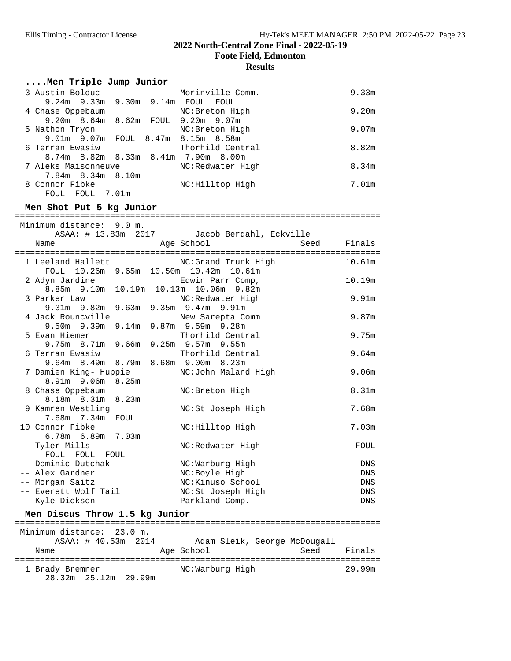**Foote Field, Edmonton**

| Men Triple Jump Junior                                                       |                                             |             |                   |
|------------------------------------------------------------------------------|---------------------------------------------|-------------|-------------------|
| stin Bolduc Morinville (9.24m 9.33m 9.30m 9.14m FOUL FOUL<br>3 Austin Bolduc | Morinville Comm.                            |             | 9.33m             |
| 4 Chase Oppebaum                                                             | NC: Breton High                             |             | 9.20 <sub>m</sub> |
| 9.20m 8.64m 8.62m FOUL 9.20m 9.07m<br>5 Nathon Tryon                         | NC: Breton High                             |             | 9.07 <sub>m</sub> |
| 9.01m 9.07m FOUL 8.47m 8.15m 8.58m<br>6 Terran Ewasiw                        | Thorhild Central                            |             | 8.82m             |
| 8.74m 8.82m 8.33m 8.41m 7.90m 8.00m                                          |                                             |             |                   |
| 7 Aleks Maisonneuve<br>7.84m 8.34m 8.10m                                     | NC:Redwater High                            |             | 8.34 <sub>m</sub> |
| 8 Connor Fibke<br>FOUL FOUL 7.01m                                            | NC:Hilltop High                             |             | 7.01m             |
| Men Shot Put 5 kg Junior                                                     |                                             |             |                   |
| Minimum distance: 9.0 m.                                                     |                                             |             |                   |
|                                                                              | ASAA: # 13.83m 2017 Jacob Berdahl, Eckville |             |                   |
| Name                                                                         | Age School                                  | Seed Finals |                   |
| 1 Leeland Hallett                                                            | NC:Grand Trunk High                         |             | 10.61m            |
| FOUL 10.26m 9.65m 10.50m 10.42m 10.61m<br>2 Adyn Jardine                     | Edwin Parr Comp,                            |             | 10.19m            |
| 8.85m 9.10m 10.19m 10.13m 10.06m 9.82m<br>3 Parker Law                       | NC:Redwater High                            |             | 9.91 <sub>m</sub> |
| 9.31m 9.82m 9.63m 9.35m 9.47m 9.91m<br>4 Jack Rouncville                     | New Sarepta Comm                            |             | 9.87m             |
| 9.50m 9.39m 9.14m 9.87m 9.59m 9.28m                                          |                                             |             |                   |
| 5 Evan Hiemer<br>9.75m 8.71m 9.66m 9.25m 9.57m 9.55m                         | Thorhild Central                            |             | 9.75m             |
| 6 Terran Ewasiw<br>9.64m 8.49m 8.79m 8.68m 9.00m 8.23m                       | Thorhild Central                            |             | 9.64m             |
| 7 Damien King- Huppie                                                        | NC:John Maland High                         |             | 9.06 <sub>m</sub> |
| 8.91m 9.06m 8.25m<br>8 Chase Oppebaum                                        | NC: Breton High                             |             | 8.31 <sub>m</sub> |
| 8.18m 8.31m 8.23m                                                            |                                             |             | 7.68m             |
| 9 Kamren Westling<br>7.68m  7.34m  FOUL                                      | NC:St Joseph High                           |             |                   |
| 10 Connor Fibke<br>6.78m 6.89m<br>7.03m                                      | NC: Hilltop High                            |             | 7.03m             |
| -- Tyler Mills<br>FOUL FOUL FOUL                                             | NC:Redwater High                            |             | FOUL              |
| -- Dominic Dutchak                                                           | NC:Warburg High                             |             | DNS               |
| -- Alex Gardner                                                              | NC:Boyle High                               |             | DNS               |
| -- Morgan Saitz                                                              | NC: Kinuso School                           |             | DNS               |
| -- Everett Wolf Tail                                                         | NC:St Joseph High                           |             | DNS               |
| -- Kyle Dickson                                                              | Parkland Comp.                              |             | <b>DNS</b>        |
| Men Discus Throw 1.5 kg Junior                                               |                                             |             |                   |
| Minimum distance: 23.0 m.                                                    |                                             |             |                   |
| ASAA: # 40.53m<br>2014<br>Name                                               | Adam Sleik, George McDougall<br>Age School  | Seed        | Finals            |
| 1 Brady Bremner<br>28.32m 25.12m 29.99m                                      | NC:Warburg High                             |             | 29.99m            |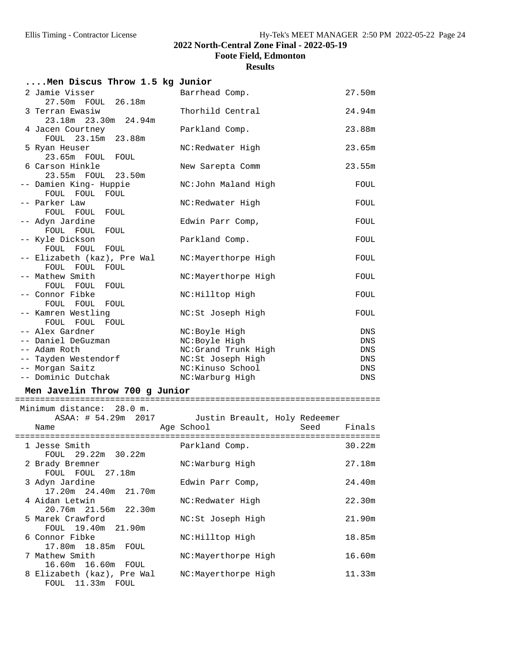**Foote Field, Edmonton**

### **Results**

| Men Discus Throw 1.5 kg Junior       |                     |            |
|--------------------------------------|---------------------|------------|
| 2 Jamie Visser                       | Barrhead Comp.      | 27.50m     |
| 27.50m FOUL 26.18m                   |                     |            |
| 3 Terran Ewasiw                      | Thorhild Central    | 24.94m     |
| 23.18m 23.30m 24.94m                 |                     |            |
| 4 Jacen Courtney                     | Parkland Comp.      | 23.88m     |
| FOUL 23.15m 23.88m                   |                     |            |
| 5 Ryan Heuser                        | NC:Redwater High    | 23.65m     |
| 23.65m FOUL FOUL                     |                     |            |
| 6 Carson Hinkle                      | New Sarepta Comm    | 23.55m     |
| 23.55m FOUL 23.50m                   |                     |            |
| -- Damien King- Huppie               | NC:John Maland High | FOUL       |
| FOUL FOUL<br>FOUL                    |                     |            |
| -- Parker Law                        | NC:Redwater High    | FOUL       |
| FOUL FOUL<br>FOUL                    |                     |            |
| -- Adyn Jardine                      | Edwin Parr Comp,    | FOUL       |
| FOUL FOUL<br>FOUL                    |                     | FOUL       |
| -- Kyle Dickson<br>FOUL FOUL<br>FOUL | Parkland Comp.      |            |
| -- Elizabeth (kaz), Pre Wal          | NC:Mayerthorpe High | FOUL       |
| FOUL FOUL FOUL                       |                     |            |
| -- Mathew Smith                      | NC:Mayerthorpe High | FOUL       |
| FOUL FOUL<br>FOUL                    |                     |            |
| -- Connor Fibke                      | NC: Hilltop High    | FOUL       |
| FOUL FOUL FOUL                       |                     |            |
| -- Kamren Westling                   | NC:St Joseph High   | FOUL       |
| FOUL FOUL<br>FOUL                    |                     |            |
| -- Alex Gardner                      | NC:Boyle High       | DNS        |
| -- Daniel DeGuzman                   | NC:Boyle High       | DNS        |
| -- Adam Roth                         | NC:Grand Trunk High | DNS        |
| -- Tayden Westendorf                 | NC:St Joseph High   | <b>DNS</b> |
| -- Morgan Saitz                      | NC:Kinuso School    | <b>DNS</b> |
| -- Dominic Dutchak                   | NC:Warburg High     | <b>DNS</b> |

## **Men Javelin Throw 700 g Junior** ========================================================================= Minimum distance: 28.0 m.

| ASAA: # 54.29m 2017<br>Name                    | Justin Breault, Holy Redeemer<br>Age School<br>Seed | Finals |
|------------------------------------------------|-----------------------------------------------------|--------|
| 1 Jesse Smith<br>FOUL 29.22m 30.22m            | Parkland Comp.                                      | 30.22m |
| 2 Brady Bremner<br>FOUL FOUL 27.18m            | NC:Warburg High                                     | 27.18m |
| 3 Adyn Jardine<br>17.20m 24.40m 21.70m         | Edwin Parr Comp,                                    | 24.40m |
| 4 Aidan Letwin<br>20.76m 21.56m 22.30m         | NC:Redwater High                                    | 22.30m |
| 5 Marek Crawford<br>FOUL 19.40m 21.90m         | NC:St Joseph High                                   | 21.90m |
| 6 Connor Fibke<br>17.80m 18.85m FOUL           | NC: Hilltop High                                    | 18.85m |
| 7 Mathew Smith<br>16.60m 16.60m FOUL           | NC:Mayerthorpe High                                 | 16.60m |
| 8 Elizabeth (kaz), Pre Wal<br>FOUL 11.33m FOUL | NC:Mayerthorpe High                                 | 11.33m |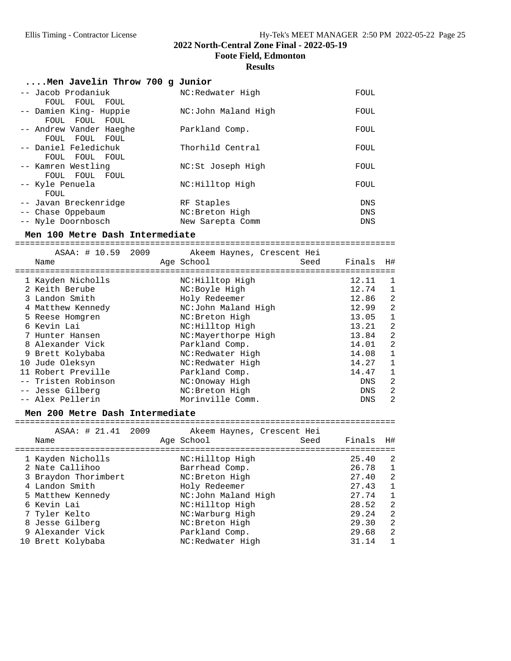**Foote Field, Edmonton**

#### **Results**

| Men Javelin Throw 700 g Junior |                     |            |
|--------------------------------|---------------------|------------|
| -- Jacob Prodaniuk             | NC:Redwater High    | FOUL       |
| FOUL FOUL FOUL                 |                     |            |
| -- Damien King- Huppie         | NC:John Maland High | FOUL       |
| FOUL FOUL FOUL                 |                     |            |
| -- Andrew Vander Haeghe        | Parkland Comp.      | FOUL       |
| FOUL FOUL FOUL                 |                     |            |
| -- Daniel Feledichuk           | Thorhild Central    | FOUL       |
| FOUL FOUL FOUL                 |                     |            |
| -- Kamren Westling             | NC:St Joseph High   | FOUL       |
| FOUL FOUL FOUL                 |                     |            |
| -- Kyle Penuela                | NC:Hilltop High     | FOUL       |
| FOUL                           |                     |            |
| -- Javan Breckenridge          | RF Staples          | <b>DNS</b> |
| -- Chase Oppebaum              | NC: Breton High     | DNS        |
| -- Nyle Doornbosch             | New Sarepta Comm    | DNS        |
|                                |                     |            |

**Men 100 Metre Dash Intermediate** ============================================================================

| ASAA: # 10.59<br>2009 | Akeem Haynes, Crescent Hei |            |              |
|-----------------------|----------------------------|------------|--------------|
| Name                  | Age School<br>Seed         | Finals     | H#           |
| 1 Kayden Nicholls     | NC:Hilltop High            | 12.11      | 1            |
|                       |                            |            |              |
| 2 Keith Berube        | NC:Boyle High              | 12.74      | $\mathbf 1$  |
| 3 Landon Smith        | Holy Redeemer              | 12.86      | 2            |
| 4 Matthew Kennedy     | NC:John Maland High        | 12.99      | 2            |
| 5 Reese Homgren       | NC: Breton High            | 13.05      | $\mathbf{1}$ |
| 6 Kevin Lai           | NC:Hilltop High            | 13.21      | 2            |
| 7 Hunter Hansen       | NC:Mayerthorpe High        | 13.84      | 2            |
| 8 Alexander Vick      | Parkland Comp.             | 14.01      | 2            |
| 9 Brett Kolybaba      | NC:Redwater High           | 14.08      | $\mathbf{1}$ |
| 10 Jude Oleksyn       | NC:Redwater High           | 14.27      | 1            |
| 11 Robert Preville    | Parkland Comp.             | 14.47      | $\mathbf{1}$ |
| -- Tristen Robinson   | NC:Onoway High             | <b>DNS</b> | 2            |
| -- Jesse Gilberg      | NC: Breton High            | <b>DNS</b> | 2            |
| -- Alex Pellerin      | Morinville Comm.           | <b>DNS</b> | 2            |

**Men 200 Metre Dash Intermediate** ============================================================================

| ASAA: # 21.41 2009<br>Name | Akeem Haynes, Crescent Hei<br>Age School<br>Seed | H#<br>Finals            |
|----------------------------|--------------------------------------------------|-------------------------|
| 1 Kayden Nicholls          | NC:Hilltop High                                  | -2<br>25.40             |
| 2 Nate Callihoo            | Barrhead Comp.                                   | 1<br>26.78              |
| 3 Braydon Thorimbert       | NC: Breton High                                  | 2<br>27.40              |
| 4 Landon Smith             | Holy Redeemer                                    | $\mathbf{1}$<br>27.43   |
| 5 Matthew Kennedy          | NC:John Maland High                              | 27.74<br>1              |
| 6 Kevin Lai                | NC:Hilltop High                                  | 2<br>28.52              |
| 7 Tyler Kelto              | NC:Warburg High                                  | $\overline{2}$<br>29.24 |
| 8 Jesse Gilberg            | NC: Breton High                                  | -2<br>29.30             |
| 9 Alexander Vick           | Parkland Comp.                                   | $\overline{2}$<br>29.68 |
| 10 Brett Kolybaba          | NC:Redwater High                                 | 31.14<br>$\mathbf{1}$   |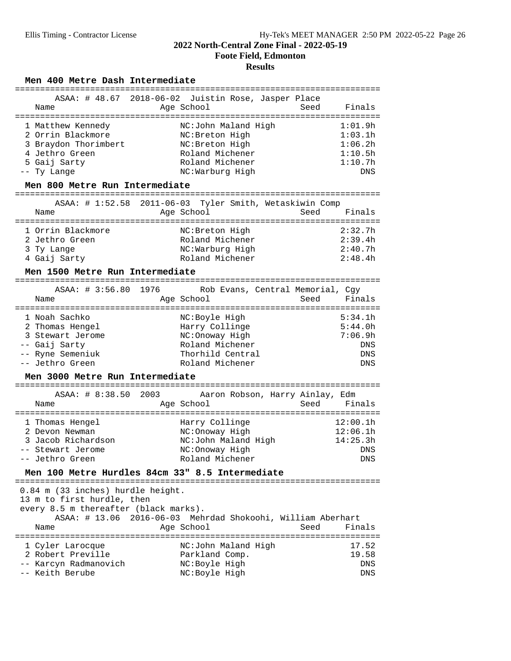## **2022 North-Central Zone Final - 2022-05-19 Foote Field, Edmonton**

## **Results**

Men 400 Metre Dash Intermediate

| ASAA: # 48.67 2018-06-02 Juistin Rose, Jasper Place<br>Age School<br>Seed<br>Finals<br>Name<br>1 Matthew Kennedy<br>NC:John Maland High<br>1:01.9h<br>2 Orrin Blackmore<br>1:03.1h<br>NC: Breton High<br>3 Braydon Thorimbert<br>NC: Breton High<br>1:06.2h<br>4 Jethro Green<br>Roland Michener<br>1:10.5h<br>5 Gaij Sarty<br>Roland Michener<br>1:10.7h<br>NC:Warburg High<br>-- Ty Lange<br>DNS<br>Men 800 Metre Run Intermediate<br>ASAA: # 1:52.58 2011-06-03 Tyler Smith, Wetaskiwin Comp<br>Age School<br>Name<br>Seed<br>Finals<br>2:32.7h<br>1 Orrin Blackmore<br>NC: Breton High<br>Roland Michener<br>2:39.4h<br>2 Jethro Green<br>NC:Warburg High<br>2:40.7h<br>3 Ty Lange<br>4 Gaij Sarty<br>Roland Michener<br>2:48.4h<br>Men 1500 Metre Run Intermediate<br>1976<br>ASAA: # 3:56.80<br>Rob Evans, Central Memorial, Cqy<br>Name<br>Age School<br>Seed<br>Finals<br>5:34.1h<br>1 Noah Sachko<br>NC:Boyle High<br>2 Thomas Hengel<br>Harry Collinge<br>5:44.0h<br>3 Stewart Jerome<br>NC: Onoway High<br>7:06.9h<br>-- Gaij Sarty<br>Roland Michener<br>DNS<br>-- Ryne Semeniuk<br>Thorhild Central<br>DNS<br>-- Jethro Green<br>Roland Michener<br><b>DNS</b><br>Men 3000 Metre Run Intermediate<br>ASAA: # 8:38.50 2003 Aaron Robson, Harry Ainlay, Edm<br>Age School<br>Seed Finals<br>Name<br>12:00.1h<br>Harry Collinge<br>1 Thomas Hengel<br>12:06.1h<br>2 Devon Newman<br>NC:Onoway High<br>3 Jacob Richardson<br>NC:John Maland High<br>14:25.3h<br>NC: Onoway High<br>-- Stewart Jerome<br><b>DNS</b><br>Roland Michener<br>DNS<br>Jethro Green<br>Men 100 Metre Hurdles 84cm 33" 8.5 Intermediate<br>0.84 m (33 inches) hurdle height.<br>13 m to first hurdle, then<br>every 8.5 m thereafter (black marks).<br>ASAA: # 13.06 2016-06-03 Mehrdad Shokoohi, William Aberhart<br>Age School<br>Seed<br>Finals<br>Name<br>NC:John Maland High<br>17.52<br>1 Cyler Larocque<br>2 Robert Preville<br>Parkland Comp.<br>19.58<br>-- Karcyn Radmanovich<br>NC: Boyle High<br><b>DNS</b> |                 |               |     |
|----------------------------------------------------------------------------------------------------------------------------------------------------------------------------------------------------------------------------------------------------------------------------------------------------------------------------------------------------------------------------------------------------------------------------------------------------------------------------------------------------------------------------------------------------------------------------------------------------------------------------------------------------------------------------------------------------------------------------------------------------------------------------------------------------------------------------------------------------------------------------------------------------------------------------------------------------------------------------------------------------------------------------------------------------------------------------------------------------------------------------------------------------------------------------------------------------------------------------------------------------------------------------------------------------------------------------------------------------------------------------------------------------------------------------------------------------------------------------------------------------------------------------------------------------------------------------------------------------------------------------------------------------------------------------------------------------------------------------------------------------------------------------------------------------------------------------------------------------------------------------------------------------------------------------------------------------------------------------------------------------------|-----------------|---------------|-----|
|                                                                                                                                                                                                                                                                                                                                                                                                                                                                                                                                                                                                                                                                                                                                                                                                                                                                                                                                                                                                                                                                                                                                                                                                                                                                                                                                                                                                                                                                                                                                                                                                                                                                                                                                                                                                                                                                                                                                                                                                          |                 |               |     |
|                                                                                                                                                                                                                                                                                                                                                                                                                                                                                                                                                                                                                                                                                                                                                                                                                                                                                                                                                                                                                                                                                                                                                                                                                                                                                                                                                                                                                                                                                                                                                                                                                                                                                                                                                                                                                                                                                                                                                                                                          |                 |               |     |
|                                                                                                                                                                                                                                                                                                                                                                                                                                                                                                                                                                                                                                                                                                                                                                                                                                                                                                                                                                                                                                                                                                                                                                                                                                                                                                                                                                                                                                                                                                                                                                                                                                                                                                                                                                                                                                                                                                                                                                                                          |                 |               |     |
|                                                                                                                                                                                                                                                                                                                                                                                                                                                                                                                                                                                                                                                                                                                                                                                                                                                                                                                                                                                                                                                                                                                                                                                                                                                                                                                                                                                                                                                                                                                                                                                                                                                                                                                                                                                                                                                                                                                                                                                                          |                 |               |     |
|                                                                                                                                                                                                                                                                                                                                                                                                                                                                                                                                                                                                                                                                                                                                                                                                                                                                                                                                                                                                                                                                                                                                                                                                                                                                                                                                                                                                                                                                                                                                                                                                                                                                                                                                                                                                                                                                                                                                                                                                          |                 |               |     |
|                                                                                                                                                                                                                                                                                                                                                                                                                                                                                                                                                                                                                                                                                                                                                                                                                                                                                                                                                                                                                                                                                                                                                                                                                                                                                                                                                                                                                                                                                                                                                                                                                                                                                                                                                                                                                                                                                                                                                                                                          |                 |               |     |
|                                                                                                                                                                                                                                                                                                                                                                                                                                                                                                                                                                                                                                                                                                                                                                                                                                                                                                                                                                                                                                                                                                                                                                                                                                                                                                                                                                                                                                                                                                                                                                                                                                                                                                                                                                                                                                                                                                                                                                                                          |                 |               |     |
|                                                                                                                                                                                                                                                                                                                                                                                                                                                                                                                                                                                                                                                                                                                                                                                                                                                                                                                                                                                                                                                                                                                                                                                                                                                                                                                                                                                                                                                                                                                                                                                                                                                                                                                                                                                                                                                                                                                                                                                                          |                 |               |     |
|                                                                                                                                                                                                                                                                                                                                                                                                                                                                                                                                                                                                                                                                                                                                                                                                                                                                                                                                                                                                                                                                                                                                                                                                                                                                                                                                                                                                                                                                                                                                                                                                                                                                                                                                                                                                                                                                                                                                                                                                          |                 |               |     |
|                                                                                                                                                                                                                                                                                                                                                                                                                                                                                                                                                                                                                                                                                                                                                                                                                                                                                                                                                                                                                                                                                                                                                                                                                                                                                                                                                                                                                                                                                                                                                                                                                                                                                                                                                                                                                                                                                                                                                                                                          |                 |               |     |
|                                                                                                                                                                                                                                                                                                                                                                                                                                                                                                                                                                                                                                                                                                                                                                                                                                                                                                                                                                                                                                                                                                                                                                                                                                                                                                                                                                                                                                                                                                                                                                                                                                                                                                                                                                                                                                                                                                                                                                                                          |                 |               |     |
|                                                                                                                                                                                                                                                                                                                                                                                                                                                                                                                                                                                                                                                                                                                                                                                                                                                                                                                                                                                                                                                                                                                                                                                                                                                                                                                                                                                                                                                                                                                                                                                                                                                                                                                                                                                                                                                                                                                                                                                                          |                 |               |     |
|                                                                                                                                                                                                                                                                                                                                                                                                                                                                                                                                                                                                                                                                                                                                                                                                                                                                                                                                                                                                                                                                                                                                                                                                                                                                                                                                                                                                                                                                                                                                                                                                                                                                                                                                                                                                                                                                                                                                                                                                          |                 |               |     |
|                                                                                                                                                                                                                                                                                                                                                                                                                                                                                                                                                                                                                                                                                                                                                                                                                                                                                                                                                                                                                                                                                                                                                                                                                                                                                                                                                                                                                                                                                                                                                                                                                                                                                                                                                                                                                                                                                                                                                                                                          |                 |               |     |
|                                                                                                                                                                                                                                                                                                                                                                                                                                                                                                                                                                                                                                                                                                                                                                                                                                                                                                                                                                                                                                                                                                                                                                                                                                                                                                                                                                                                                                                                                                                                                                                                                                                                                                                                                                                                                                                                                                                                                                                                          |                 |               |     |
|                                                                                                                                                                                                                                                                                                                                                                                                                                                                                                                                                                                                                                                                                                                                                                                                                                                                                                                                                                                                                                                                                                                                                                                                                                                                                                                                                                                                                                                                                                                                                                                                                                                                                                                                                                                                                                                                                                                                                                                                          |                 |               |     |
|                                                                                                                                                                                                                                                                                                                                                                                                                                                                                                                                                                                                                                                                                                                                                                                                                                                                                                                                                                                                                                                                                                                                                                                                                                                                                                                                                                                                                                                                                                                                                                                                                                                                                                                                                                                                                                                                                                                                                                                                          |                 |               |     |
|                                                                                                                                                                                                                                                                                                                                                                                                                                                                                                                                                                                                                                                                                                                                                                                                                                                                                                                                                                                                                                                                                                                                                                                                                                                                                                                                                                                                                                                                                                                                                                                                                                                                                                                                                                                                                                                                                                                                                                                                          |                 |               |     |
|                                                                                                                                                                                                                                                                                                                                                                                                                                                                                                                                                                                                                                                                                                                                                                                                                                                                                                                                                                                                                                                                                                                                                                                                                                                                                                                                                                                                                                                                                                                                                                                                                                                                                                                                                                                                                                                                                                                                                                                                          |                 |               |     |
|                                                                                                                                                                                                                                                                                                                                                                                                                                                                                                                                                                                                                                                                                                                                                                                                                                                                                                                                                                                                                                                                                                                                                                                                                                                                                                                                                                                                                                                                                                                                                                                                                                                                                                                                                                                                                                                                                                                                                                                                          |                 |               |     |
|                                                                                                                                                                                                                                                                                                                                                                                                                                                                                                                                                                                                                                                                                                                                                                                                                                                                                                                                                                                                                                                                                                                                                                                                                                                                                                                                                                                                                                                                                                                                                                                                                                                                                                                                                                                                                                                                                                                                                                                                          |                 |               |     |
|                                                                                                                                                                                                                                                                                                                                                                                                                                                                                                                                                                                                                                                                                                                                                                                                                                                                                                                                                                                                                                                                                                                                                                                                                                                                                                                                                                                                                                                                                                                                                                                                                                                                                                                                                                                                                                                                                                                                                                                                          |                 |               |     |
|                                                                                                                                                                                                                                                                                                                                                                                                                                                                                                                                                                                                                                                                                                                                                                                                                                                                                                                                                                                                                                                                                                                                                                                                                                                                                                                                                                                                                                                                                                                                                                                                                                                                                                                                                                                                                                                                                                                                                                                                          |                 |               |     |
|                                                                                                                                                                                                                                                                                                                                                                                                                                                                                                                                                                                                                                                                                                                                                                                                                                                                                                                                                                                                                                                                                                                                                                                                                                                                                                                                                                                                                                                                                                                                                                                                                                                                                                                                                                                                                                                                                                                                                                                                          |                 |               |     |
|                                                                                                                                                                                                                                                                                                                                                                                                                                                                                                                                                                                                                                                                                                                                                                                                                                                                                                                                                                                                                                                                                                                                                                                                                                                                                                                                                                                                                                                                                                                                                                                                                                                                                                                                                                                                                                                                                                                                                                                                          |                 |               |     |
|                                                                                                                                                                                                                                                                                                                                                                                                                                                                                                                                                                                                                                                                                                                                                                                                                                                                                                                                                                                                                                                                                                                                                                                                                                                                                                                                                                                                                                                                                                                                                                                                                                                                                                                                                                                                                                                                                                                                                                                                          |                 |               |     |
|                                                                                                                                                                                                                                                                                                                                                                                                                                                                                                                                                                                                                                                                                                                                                                                                                                                                                                                                                                                                                                                                                                                                                                                                                                                                                                                                                                                                                                                                                                                                                                                                                                                                                                                                                                                                                                                                                                                                                                                                          |                 |               |     |
|                                                                                                                                                                                                                                                                                                                                                                                                                                                                                                                                                                                                                                                                                                                                                                                                                                                                                                                                                                                                                                                                                                                                                                                                                                                                                                                                                                                                                                                                                                                                                                                                                                                                                                                                                                                                                                                                                                                                                                                                          |                 |               |     |
|                                                                                                                                                                                                                                                                                                                                                                                                                                                                                                                                                                                                                                                                                                                                                                                                                                                                                                                                                                                                                                                                                                                                                                                                                                                                                                                                                                                                                                                                                                                                                                                                                                                                                                                                                                                                                                                                                                                                                                                                          |                 |               |     |
|                                                                                                                                                                                                                                                                                                                                                                                                                                                                                                                                                                                                                                                                                                                                                                                                                                                                                                                                                                                                                                                                                                                                                                                                                                                                                                                                                                                                                                                                                                                                                                                                                                                                                                                                                                                                                                                                                                                                                                                                          |                 |               |     |
|                                                                                                                                                                                                                                                                                                                                                                                                                                                                                                                                                                                                                                                                                                                                                                                                                                                                                                                                                                                                                                                                                                                                                                                                                                                                                                                                                                                                                                                                                                                                                                                                                                                                                                                                                                                                                                                                                                                                                                                                          |                 |               |     |
|                                                                                                                                                                                                                                                                                                                                                                                                                                                                                                                                                                                                                                                                                                                                                                                                                                                                                                                                                                                                                                                                                                                                                                                                                                                                                                                                                                                                                                                                                                                                                                                                                                                                                                                                                                                                                                                                                                                                                                                                          |                 |               |     |
|                                                                                                                                                                                                                                                                                                                                                                                                                                                                                                                                                                                                                                                                                                                                                                                                                                                                                                                                                                                                                                                                                                                                                                                                                                                                                                                                                                                                                                                                                                                                                                                                                                                                                                                                                                                                                                                                                                                                                                                                          |                 |               |     |
|                                                                                                                                                                                                                                                                                                                                                                                                                                                                                                                                                                                                                                                                                                                                                                                                                                                                                                                                                                                                                                                                                                                                                                                                                                                                                                                                                                                                                                                                                                                                                                                                                                                                                                                                                                                                                                                                                                                                                                                                          |                 |               |     |
|                                                                                                                                                                                                                                                                                                                                                                                                                                                                                                                                                                                                                                                                                                                                                                                                                                                                                                                                                                                                                                                                                                                                                                                                                                                                                                                                                                                                                                                                                                                                                                                                                                                                                                                                                                                                                                                                                                                                                                                                          |                 |               |     |
|                                                                                                                                                                                                                                                                                                                                                                                                                                                                                                                                                                                                                                                                                                                                                                                                                                                                                                                                                                                                                                                                                                                                                                                                                                                                                                                                                                                                                                                                                                                                                                                                                                                                                                                                                                                                                                                                                                                                                                                                          |                 |               |     |
|                                                                                                                                                                                                                                                                                                                                                                                                                                                                                                                                                                                                                                                                                                                                                                                                                                                                                                                                                                                                                                                                                                                                                                                                                                                                                                                                                                                                                                                                                                                                                                                                                                                                                                                                                                                                                                                                                                                                                                                                          |                 |               |     |
|                                                                                                                                                                                                                                                                                                                                                                                                                                                                                                                                                                                                                                                                                                                                                                                                                                                                                                                                                                                                                                                                                                                                                                                                                                                                                                                                                                                                                                                                                                                                                                                                                                                                                                                                                                                                                                                                                                                                                                                                          |                 |               |     |
|                                                                                                                                                                                                                                                                                                                                                                                                                                                                                                                                                                                                                                                                                                                                                                                                                                                                                                                                                                                                                                                                                                                                                                                                                                                                                                                                                                                                                                                                                                                                                                                                                                                                                                                                                                                                                                                                                                                                                                                                          |                 |               |     |
|                                                                                                                                                                                                                                                                                                                                                                                                                                                                                                                                                                                                                                                                                                                                                                                                                                                                                                                                                                                                                                                                                                                                                                                                                                                                                                                                                                                                                                                                                                                                                                                                                                                                                                                                                                                                                                                                                                                                                                                                          |                 |               |     |
|                                                                                                                                                                                                                                                                                                                                                                                                                                                                                                                                                                                                                                                                                                                                                                                                                                                                                                                                                                                                                                                                                                                                                                                                                                                                                                                                                                                                                                                                                                                                                                                                                                                                                                                                                                                                                                                                                                                                                                                                          |                 |               |     |
|                                                                                                                                                                                                                                                                                                                                                                                                                                                                                                                                                                                                                                                                                                                                                                                                                                                                                                                                                                                                                                                                                                                                                                                                                                                                                                                                                                                                                                                                                                                                                                                                                                                                                                                                                                                                                                                                                                                                                                                                          |                 |               |     |
|                                                                                                                                                                                                                                                                                                                                                                                                                                                                                                                                                                                                                                                                                                                                                                                                                                                                                                                                                                                                                                                                                                                                                                                                                                                                                                                                                                                                                                                                                                                                                                                                                                                                                                                                                                                                                                                                                                                                                                                                          |                 |               |     |
|                                                                                                                                                                                                                                                                                                                                                                                                                                                                                                                                                                                                                                                                                                                                                                                                                                                                                                                                                                                                                                                                                                                                                                                                                                                                                                                                                                                                                                                                                                                                                                                                                                                                                                                                                                                                                                                                                                                                                                                                          |                 |               |     |
|                                                                                                                                                                                                                                                                                                                                                                                                                                                                                                                                                                                                                                                                                                                                                                                                                                                                                                                                                                                                                                                                                                                                                                                                                                                                                                                                                                                                                                                                                                                                                                                                                                                                                                                                                                                                                                                                                                                                                                                                          |                 |               |     |
|                                                                                                                                                                                                                                                                                                                                                                                                                                                                                                                                                                                                                                                                                                                                                                                                                                                                                                                                                                                                                                                                                                                                                                                                                                                                                                                                                                                                                                                                                                                                                                                                                                                                                                                                                                                                                                                                                                                                                                                                          |                 |               |     |
|                                                                                                                                                                                                                                                                                                                                                                                                                                                                                                                                                                                                                                                                                                                                                                                                                                                                                                                                                                                                                                                                                                                                                                                                                                                                                                                                                                                                                                                                                                                                                                                                                                                                                                                                                                                                                                                                                                                                                                                                          |                 |               |     |
|                                                                                                                                                                                                                                                                                                                                                                                                                                                                                                                                                                                                                                                                                                                                                                                                                                                                                                                                                                                                                                                                                                                                                                                                                                                                                                                                                                                                                                                                                                                                                                                                                                                                                                                                                                                                                                                                                                                                                                                                          | -- Keith Berube | NC:Boyle High | DNS |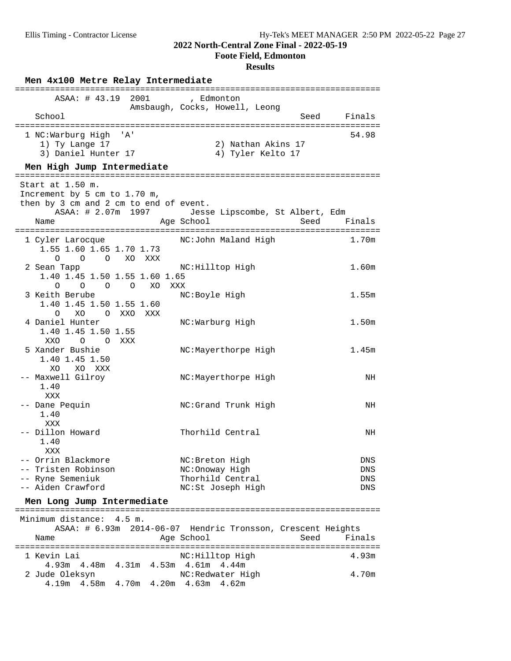**Foote Field, Edmonton**

| Men 4x100 Metre Relay Intermediate<br>======================================                                               |                                                             |                   |
|----------------------------------------------------------------------------------------------------------------------------|-------------------------------------------------------------|-------------------|
| ASAA: # 43.19<br>2001<br>School                                                                                            | , Edmonton<br>Amsbaugh, Cocks, Howell, Leong                | Finals<br>Seed    |
| 1 NC:Warburg High<br>' A '<br>1) Ty Lange 17<br>3) Daniel Hunter 17<br>Men High Jump Intermediate                          | 2) Nathan Akins 17<br>4) Tyler Kelto 17                     | 54.98             |
|                                                                                                                            |                                                             |                   |
| Start at $1.50$ m.<br>Increment by 5 cm to 1.70 m,<br>then by 3 cm and 2 cm to end of event.<br>ASAA: # 2.07m 1997<br>Name | Jesse Lipscombe, St Albert, Edm<br>Age School               | Seed<br>Finals    |
| 1 Cyler Larocque<br>1.55 1.60 1.65 1.70 1.73<br>$\Omega$<br>$\circ$<br>$\circ$<br>XO XXX                                   | NC:John Maland High                                         | 1.70m             |
| 2 Sean Tapp<br>1.40 1.45 1.50 1.55 1.60 1.65<br>$\circ$ $\circ$<br>O XO<br>$\Omega$                                        | NC: Hilltop High<br>XXX                                     | 1.60 <sub>m</sub> |
| 3 Keith Berube<br>1.40 1.45 1.50 1.55 1.60<br>XO.<br>$\Omega$<br>$\overline{O}$<br>XXO<br>XXX                              | NC:Boyle High                                               | 1.55m             |
| 4 Daniel Hunter<br>1.40 1.45 1.50 1.55<br>O OXXX<br>XXO                                                                    | NC:Warburg High                                             | 1.50m             |
| 5 Xander Bushie<br>1.40 1.45 1.50<br>XO XXX<br>XO.                                                                         | NC:Mayerthorpe High                                         | 1.45m             |
| -- Maxwell Gilroy<br>1.40<br>XXX                                                                                           | NC:Mayerthorpe High                                         | NH                |
| -- Dane Pequin<br>1.40<br>XXX                                                                                              | NC:Grand Trunk High                                         | NH                |
| -- Dillon Howard<br>1.40<br>XXX                                                                                            | Thorhild Central                                            | NH                |
| -- Orrin Blackmore                                                                                                         | NC: Breton High                                             | DNS               |
| -- Tristen Robinson                                                                                                        | NC: Onoway High<br>Thorhild Central                         | DNS<br>DNS        |
| -- Ryne Semeniuk<br>-- Aiden Crawford                                                                                      | NC:St Joseph High                                           | DNS               |
| Men Long Jump Intermediate                                                                                                 |                                                             |                   |
| Minimum distance: 4.5 m.                                                                                                   |                                                             |                   |
|                                                                                                                            | ASAA: # 6.93m 2014-06-07 Hendric Tronsson, Crescent Heights |                   |
| Name                                                                                                                       | Age School                                                  | Seed<br>Finals    |
| 1 Kevin Lai<br>4.93m 4.48m 4.31m 4.53m 4.61m 4.44m                                                                         | NC: Hilltop High                                            | 4.93m             |
| 2 Jude Oleksyn<br>4.19m  4.58m                                                                                             | NC:Redwater High<br>4.70m  4.20m  4.63m  4.62m              | 4.70m             |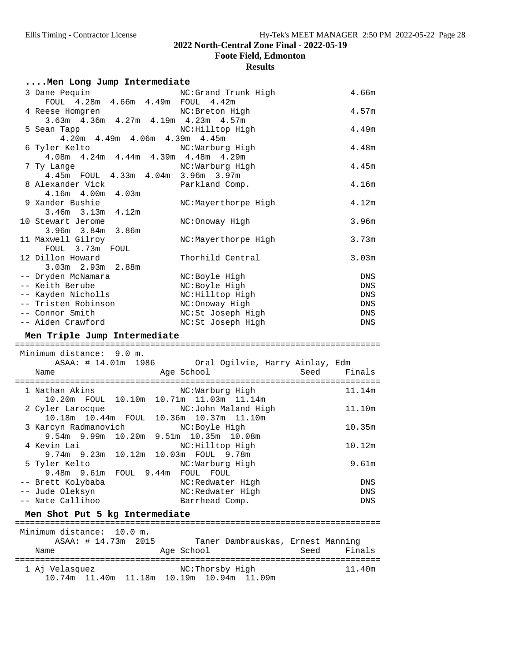**Foote Field, Edmonton**

| Men Long Jump Intermediate                                             |                                    |      |                   |
|------------------------------------------------------------------------|------------------------------------|------|-------------------|
| 3 Dane Pequin                                                          | NC:Grand Trunk High                |      | 4.66m             |
| FOUL 4.28m 4.66m 4.49m FOUL 4.42m                                      |                                    |      |                   |
| 4 Reese Homqren                                                        | NC: Breton High                    |      | 4.57m             |
| 3.63m 4.36m 4.27m 4.19m 4.23m 4.57m                                    |                                    |      |                   |
| 5 Sean Tapp                                                            | NC: Hilltop High                   |      | 4.49m             |
| $4.20m$ $4.49m$ $4.06m$ $4.39m$                                        | 4.45m                              |      |                   |
| 6 Tyler Kelto<br>4.08m  4.24m  4.44m  4.39m  4.48m  4.29m              | NC:Warburg High                    |      | 4.48m             |
| 7 Ty Lange                                                             | NC:Warburg High                    |      | 4.45m             |
| 4.45m FOUL 4.33m 4.04m 3.96m 3.97m                                     |                                    |      |                   |
| 8 Alexander Vick                                                       | Parkland Comp.                     |      | 4.16m             |
| 4.16m  4.00m  4.03m                                                    |                                    |      |                   |
| 9 Xander Bushie                                                        | NC:Mayerthorpe High                |      | 4.12m             |
| 3.46m 3.13m 4.12m                                                      |                                    |      |                   |
| 10 Stewart Jerome                                                      | NC:Onoway High                     |      | 3.96 <sub>m</sub> |
| $3.96m$ $3.84m$<br>3.86m                                               |                                    |      |                   |
| 11 Maxwell Gilroy                                                      | NC:Mayerthorpe High                |      | 3.73m             |
| FOUL 3.73m FOUL                                                        |                                    |      |                   |
| 12 Dillon Howard                                                       | Thorhild Central                   |      | 3.03 <sub>m</sub> |
| 3.03m 2.93m 2.88m                                                      |                                    |      |                   |
| -- Dryden McNamara<br>-- Keith Berube                                  | NC:Boyle High                      |      | DNS               |
| -- Kayden Nicholls                                                     | NC: Boyle High<br>NC: Hilltop High |      | DNS<br>DNS        |
| -- Tristen Robinson                                                    | NC: Onoway High                    |      | DNS               |
| -- Connor Smith                                                        | NC:St Joseph High                  |      | DNS               |
| -- Aiden Crawford                                                      | NC:St Joseph High                  |      | DNS               |
|                                                                        |                                    |      |                   |
|                                                                        |                                    |      |                   |
| Men Triple Jump Intermediate                                           |                                    |      |                   |
| Minimum distance: 9.0 m.                                               |                                    |      |                   |
| ASAA: # 14.01m 1986 Oral Ogilvie, Harry Ainlay, Edm                    |                                    |      |                   |
| Name                                                                   | Age School                         | Seed | Finals            |
|                                                                        |                                    |      |                   |
| 1 Nathan Akins                                                         | NC:Warburg High                    |      | 11.14m            |
| 10.20m FOUL 10.10m 10.71m 11.03m 11.14m                                |                                    |      |                   |
| 2 Cyler Larocque                                                       | NC:John Maland High                |      | 11.10m            |
| 10.18m  10.44m  FOUL  10.36m  10.37m  11.10m                           |                                    |      |                   |
| 3 Karcyn Radmanovich                                                   | NC:Boyle High                      |      | 10.35m            |
| 9.54m 9.99m 10.20m 9.51m 10.35m 10.08m                                 |                                    |      |                   |
| 4 Kevin Lai                         NC:Hilltop High                    |                                    |      | 10.12m            |
| $9.74m$ $9.23m$                                                        | 10.12m  10.03m  FOUL  9.78m        |      |                   |
| 5 Tyler Kelto                                                          | NC:Warburg High                    |      | 9.61m             |
| $9.48m$ $9.61m$<br>FOUL 9.44m FOUL FOUL                                |                                    |      |                   |
| -- Brett Kolybaba                                                      | NC:Redwater High                   |      | DNS<br>DNS        |
| -- Jude Oleksyn<br>-- Nate Callihoo                                    | NC:Redwater High<br>Barrhead Comp. |      | DNS               |
|                                                                        |                                    |      |                   |
| Men Shot Put 5 kg Intermediate<br>==================================== | :==============================    |      |                   |
| Minimum distance: 10.0 m.                                              |                                    |      |                   |
| ASAA: # 14.73m 2015                                                    | Taner Dambrauskas, Ernest Manning  |      |                   |
| Name                                                                   | Age School                         | Seed | Finals            |
|                                                                        |                                    |      |                   |
| 1 Aj Velasquez<br>10.74m  11.40m  11.18m  10.19m  10.94m  11.09m       | NC:Thorsby High                    |      | 11.40m            |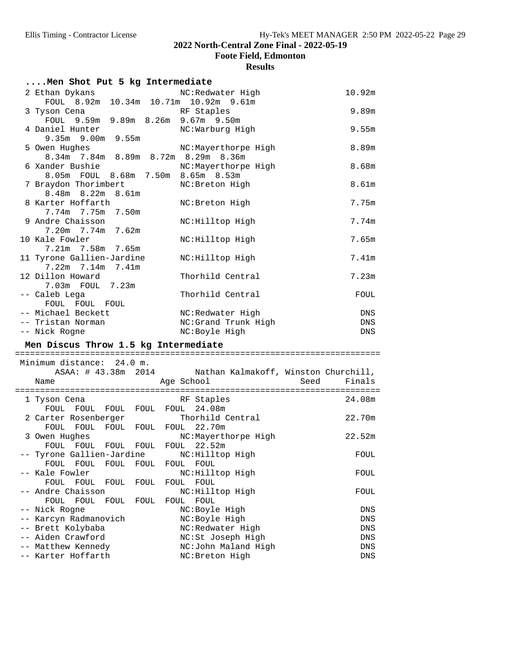**Foote Field, Edmonton**

| Men Shot Put 5 kg Intermediate |                                                                                     |                                                          |                |  |
|--------------------------------|-------------------------------------------------------------------------------------|----------------------------------------------------------|----------------|--|
|                                | 2 Ethan Dykans<br>FOUL 8.92m 10.34m 10.71m 10.92m 9.61m                             | NC:Redwater High                                         | 10.92m         |  |
|                                | 3 Tyson Cena<br>FOUL 9.59m 9.89m 8.26m 9.67m 9.50m                                  | RF Staples                                               | 9.89m          |  |
|                                | 4 Daniel Hunter<br>9.35m 9.00m 9.55m                                                | NC:Warburg High                                          | 9.55m          |  |
|                                | 5 Owen Hughes<br>8.34m 7.84m 8.89m 8.72m 8.29m 8.36m                                | NC:Mayerthorpe High                                      | 8.89m          |  |
|                                | 6 Xander Bushie<br>8.05m FOUL 8.68m 7.50m 8.65m 8.53m                               | NC:Mayerthorpe High                                      | 8.68m          |  |
|                                | 7 Braydon Thorimbert<br>$8.48m$ $8.22m$<br>8.61m                                    | NC: Breton High                                          | 8.61m          |  |
|                                | 8 Karter Hoffarth<br>7.74m 7.75m<br>7.50m                                           | NC: Breton High                                          | 7.75m          |  |
|                                | 9 Andre Chaisson<br>7.20m 7.74m 7.62m                                               | NC: Hilltop High                                         | 7.74m          |  |
|                                | 10 Kale Fowler<br>7.21m 7.58m 7.65m                                                 | NC: Hilltop High                                         | 7.65m          |  |
|                                | 11 Tyrone Gallien-Jardine<br>7.22m 7.14m<br>7.41m                                   | NC: Hilltop High                                         | 7.41m          |  |
|                                | 12 Dillon Howard<br>7.03m FOUL 7.23m                                                | Thorhild Central                                         | 7.23m          |  |
|                                | -- Caleb Lega<br>FOUL FOUL FOUL                                                     | Thorhild Central                                         | FOUL           |  |
|                                | -- Michael Beckett                                                                  | NC:Redwater High                                         | DNS            |  |
|                                |                                                                                     |                                                          |                |  |
|                                | -- Tristan Norman                                                                   | NC:Grand Trunk High                                      | DNS            |  |
|                                | -- Nick Rogne                                                                       | NC: Boyle High                                           | DNS            |  |
|                                | Men Discus Throw 1.5 kg Intermediate                                                |                                                          |                |  |
|                                |                                                                                     |                                                          |                |  |
|                                | Minimum distance: 24.0 m.                                                           |                                                          |                |  |
|                                |                                                                                     | ASAA: # 43.38m 2014 Nathan Kalmakoff, Winston Churchill, |                |  |
|                                | Name                                                                                | Age School                                               | Finals<br>Seed |  |
|                                | 1 Tyson Cena<br>FOUL FOUL FOUL FOUL FOUL                                            | RF Staples<br>24.08m                                     | 24.08m         |  |
|                                | 2 Carter Rosenberger                                                                | Thorhild Central                                         | 22.70m         |  |
|                                | FOUL FOUL FOUL FOUL FOUL 22.70m<br>3 Owen Hughes<br>FOUL FOUL FOUL FOUL FOUL 22.52m | NC:Mayerthorpe High                                      | 22.52m         |  |
|                                | -- Tyrone Gallien-Jardine<br>FOUL                                                   | NC: Hilltop High                                         | FOUL           |  |
|                                | FOUL<br>FOUL<br>FOUL<br>Kale Fowler                                                 | FOUL<br>FOUL<br>NC: Hilltop High                         | FOUL           |  |
|                                | FOUL<br>FOUL<br>FOUL<br>FOUL<br>Andre Chaisson                                      | FOUL<br>FOUL<br>NC: Hilltop High                         | FOUL           |  |
|                                | FOUL<br>FOUL<br>FOUL<br>FOUL                                                        | FOUL<br>FOUL                                             | DNS            |  |
|                                | Nick Rogne                                                                          | NC:Boyle High                                            | DNS            |  |
|                                | Karcyn Radmanovich<br>-- Brett Kolybaba                                             | NC:Boyle High<br>NC:Redwater High                        | DNS            |  |
|                                | -- Aiden Crawford                                                                   | NC:St Joseph High                                        | DNS            |  |
|                                | -- Matthew Kennedy<br>-- Karter Hoffarth                                            | NC:John Maland High<br>NC: Breton High                   | DNS            |  |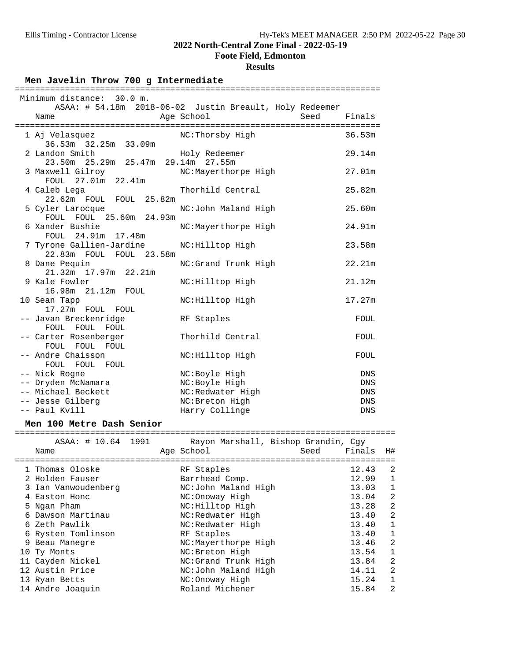**Foote Field, Edmonton**

#### **Results**

Men Javelin Throw 700 g Intermediate

| Minimum distance: 30.0 m.                                  |                                                                               |            |  |  |
|------------------------------------------------------------|-------------------------------------------------------------------------------|------------|--|--|
| Name                                                       | ASAA: # 54.18m 2018-06-02 Justin Breault, Holy Redeemer<br>Age School<br>Seed | Finals     |  |  |
|                                                            |                                                                               |            |  |  |
| 1 Aj Velasquez<br>$36.53m$ $32.25m$ $33.09m$               | NC:Thorsby High                                                               | 36.53m     |  |  |
| 2 Landon Smith                                             | Holy Redeemer                                                                 | 29.14m     |  |  |
| 23.50m  25.29m  25.47m  29.14m  27.55m<br>3 Maxwell Gilroy | NC:Mayerthorpe High                                                           | 27.01m     |  |  |
| FOUL 27.01m 22.41m                                         |                                                                               |            |  |  |
| 4 Caleb Lega                                               | Thorhild Central                                                              | 25.82m     |  |  |
| 22.62m FOUL FOUL 25.82m                                    |                                                                               |            |  |  |
| 5 Cyler Larocque                                           | NC:John Maland High                                                           | 25.60m     |  |  |
| FOUL FOUL 25.60m 24.93m<br>6 Xander Bushie                 |                                                                               | 24.91m     |  |  |
| FOUL 24.91m 17.48m                                         | NC:Mayerthorpe High                                                           |            |  |  |
| 7 Tyrone Gallien-Jardine MC: Hilltop High                  |                                                                               | 23.58m     |  |  |
| 22.83m FOUL FOUL 23.58m                                    |                                                                               |            |  |  |
| 8 Dane Pequin                                              | NC:Grand Trunk High                                                           | 22.21m     |  |  |
| 21.32m 17.97m 22.21m                                       |                                                                               | 21.12m     |  |  |
| 9 Kale Fowler<br>16.98m 21.12m FOUL                        | NC: Hilltop High                                                              |            |  |  |
| 10 Sean Tapp                                               | NC: Hilltop High                                                              | 17.27m     |  |  |
| 17.27m FOUL FOUL                                           |                                                                               |            |  |  |
| -- Javan Breckenridge                                      | RF Staples                                                                    | FOUL       |  |  |
| FOUL FOUL FOUL                                             | Thorhild Central                                                              |            |  |  |
| -- Carter Rosenberger<br>FOUL FOUL FOUL                    |                                                                               | FOUL       |  |  |
| -- Andre Chaisson                                          | NC: Hilltop High                                                              | FOUL       |  |  |
| FOUL FOUL FOUL                                             |                                                                               |            |  |  |
| -- Nick Rogne                                              | NC:Boyle High                                                                 | <b>DNS</b> |  |  |
| -- Dryden McNamara                                         | NC:Boyle High                                                                 | <b>DNS</b> |  |  |
| -- Michael Beckett                                         | NC:Redwater High                                                              | <b>DNS</b> |  |  |
| -- Jesse Gilberg                                           | NC: Breton High                                                               | <b>DNS</b> |  |  |
| -- Paul Kvill                                              | Harry Collinge                                                                | <b>DNS</b> |  |  |
| Men 100 Metre Dash Senior                                  |                                                                               |            |  |  |

**Men 100 Metre Dash Senior** ============================================================================

| Name |                                                                                                                                                                                                                                                                    |                    | Seed                                       | Finals                                                                                    | H#                                                    |
|------|--------------------------------------------------------------------------------------------------------------------------------------------------------------------------------------------------------------------------------------------------------------------|--------------------|--------------------------------------------|-------------------------------------------------------------------------------------------|-------------------------------------------------------|
|      |                                                                                                                                                                                                                                                                    |                    |                                            |                                                                                           |                                                       |
|      |                                                                                                                                                                                                                                                                    |                    |                                            |                                                                                           | 2                                                     |
|      |                                                                                                                                                                                                                                                                    |                    |                                            |                                                                                           | $\mathbf{1}$                                          |
|      |                                                                                                                                                                                                                                                                    |                    |                                            | 13.03                                                                                     | 1                                                     |
|      |                                                                                                                                                                                                                                                                    | NC: Onoway High    |                                            | 13.04                                                                                     | $\overline{2}$                                        |
|      |                                                                                                                                                                                                                                                                    | NC:Hilltop High    |                                            | 13.28                                                                                     | $\overline{2}$                                        |
|      |                                                                                                                                                                                                                                                                    | NC:Redwater High   |                                            | 13.40                                                                                     | $\overline{2}$                                        |
|      |                                                                                                                                                                                                                                                                    | NC:Redwater High   |                                            | 13.40                                                                                     | 1                                                     |
|      |                                                                                                                                                                                                                                                                    | RF Staples         |                                            | 13.40                                                                                     | 1                                                     |
|      |                                                                                                                                                                                                                                                                    |                    |                                            | 13.46                                                                                     | $\overline{2}$                                        |
|      |                                                                                                                                                                                                                                                                    | NC: Breton High    |                                            | 13.54                                                                                     | 1                                                     |
|      |                                                                                                                                                                                                                                                                    |                    |                                            | 13.84                                                                                     | $\overline{2}$                                        |
|      |                                                                                                                                                                                                                                                                    |                    |                                            | 14.11                                                                                     | 2                                                     |
|      |                                                                                                                                                                                                                                                                    | NC: Onoway High    |                                            | 15.24                                                                                     | 1                                                     |
|      |                                                                                                                                                                                                                                                                    | Roland Michener    |                                            | 15.84                                                                                     | $\overline{2}$                                        |
|      | 1 Thomas Oloske<br>2 Holden Fauser<br>3 Ian Vanwoudenberg<br>4 Easton Honc<br>5 Ngan Pham<br>6 Dawson Martinau<br>6 Zeth Pawlik<br>6 Rysten Tomlinson<br>9 Beau Manegre<br>10 Ty Monts<br>11 Cayden Nickel<br>12 Austin Price<br>13 Ryan Betts<br>14 Andre Joaquin | ASAA: # 10.64 1991 | Age School<br>RF Staples<br>Barrhead Comp. | NC:John Maland High<br>NC:Mayerthorpe High<br>NC: Grand Trunk High<br>NC:John Maland High | Rayon Marshall, Bishop Grandin, Cqy<br>12.43<br>12.99 |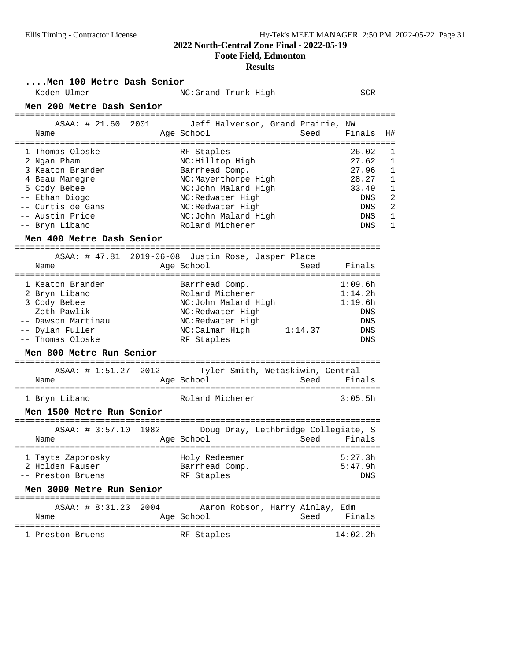**Foote Field, Edmonton**

| Men 100 Metre Dash Senior<br>-- Koden Ulmer                                                                                                                      | NC:Grand Trunk High                                                                                                                                                              | <b>SCR</b>                                                                                                                                                        |  |  |  |
|------------------------------------------------------------------------------------------------------------------------------------------------------------------|----------------------------------------------------------------------------------------------------------------------------------------------------------------------------------|-------------------------------------------------------------------------------------------------------------------------------------------------------------------|--|--|--|
| Men 200 Metre Dash Senior                                                                                                                                        |                                                                                                                                                                                  |                                                                                                                                                                   |  |  |  |
| ASAA: # 21.60 2001<br>Name                                                                                                                                       | Jeff Halverson, Grand Prairie, NW<br>Age School<br>Seed                                                                                                                          | Finals<br>H#                                                                                                                                                      |  |  |  |
| 1 Thomas Oloske<br>2 Ngan Pham<br>3 Keaton Branden<br>4 Beau Manegre<br>5 Cody Bebee<br>-- Ethan Diogo<br>-- Curtis de Gans<br>-- Austin Price<br>-- Bryn Libano | RF Staples<br>NC: Hilltop High<br>Barrhead Comp.<br>NC:Mayerthorpe High<br>NC:John Maland High<br>NC:Redwater High<br>NC:Redwater High<br>NC:John Maland High<br>Roland Michener | 26.02<br>1<br>27.62<br>1<br>27.96<br>1<br>28.27<br>1<br>33.49<br>1<br>$\overline{2}$<br><b>DNS</b><br>$\overline{2}$<br><b>DNS</b><br>1<br>DNS<br>1<br><b>DNS</b> |  |  |  |
| Men 400 Metre Dash Senior                                                                                                                                        |                                                                                                                                                                                  |                                                                                                                                                                   |  |  |  |
| Name                                                                                                                                                             | ASAA: # 47.81 2019-06-08 Justin Rose, Jasper Place<br>Age School<br>Seed                                                                                                         | Finals                                                                                                                                                            |  |  |  |
| 1 Keaton Branden<br>2 Bryn Libano<br>3 Cody Bebee<br>-- Zeth Pawlik<br>-- Dawson Martinau<br>-- Dylan Fuller<br>-- Thomas Oloske                                 | Barrhead Comp.<br>Roland Michener<br>NC:John Maland High<br>NC:Redwater High<br>NC:Redwater High<br>1:14.37<br>NC:Calmar High<br>RF Staples                                      | 1:09.6h<br>1:14.2h<br>1:19.6h<br>DNS<br>DNS<br>DNS<br><b>DNS</b>                                                                                                  |  |  |  |
| Men 800 Metre Run Senior                                                                                                                                         |                                                                                                                                                                                  |                                                                                                                                                                   |  |  |  |
| Name                                                                                                                                                             | ASAA: # 1:51.27 2012 Tyler Smith, Wetaskiwin, Central<br>Age School<br>Seed                                                                                                      | Finals                                                                                                                                                            |  |  |  |
| 1 Bryn Libano<br>Men 1500 Metre Run Senior                                                                                                                       | Roland Michener                                                                                                                                                                  | 3:05.5h                                                                                                                                                           |  |  |  |
| ASAA: # 3:57.10 1982<br>Name                                                                                                                                     | Doug Dray, Lethbridge Collegiate, S<br>Seed<br>Age School                                                                                                                        | Finals                                                                                                                                                            |  |  |  |
| 1 Tayte Zaporosky<br>2 Holden Fauser<br>-- Preston Bruens<br>Men 3000 Metre Run Senior                                                                           | Holy Redeemer<br>Barrhead Comp.<br>RF Staples                                                                                                                                    | 5:27.3h<br>5:47.9h<br>DNS                                                                                                                                         |  |  |  |
| ===========================<br>ASAA: # 8:31.23 2004<br>Name                                                                                                      | Aaron Robson, Harry Ainlay, Edm<br>Seed<br>Age School                                                                                                                            | Finals                                                                                                                                                            |  |  |  |
| 1 Preston Bruens                                                                                                                                                 | RF Staples                                                                                                                                                                       | 14:02.2h                                                                                                                                                          |  |  |  |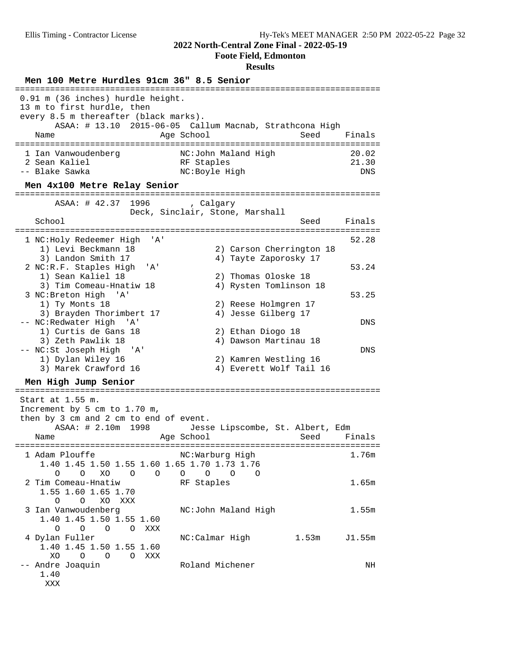**Foote Field, Edmonton**

| Men 100 Metre Hurdles 91cm 36" 8.5 Senior                                                                                                        |                                                                               |                              |  |  |  |
|--------------------------------------------------------------------------------------------------------------------------------------------------|-------------------------------------------------------------------------------|------------------------------|--|--|--|
| 0.91 m (36 inches) hurdle height.<br>13 m to first hurdle, then<br>every 8.5 m thereafter (black marks).<br>Name                                 | ASAA: # 13.10 2015-06-05 Callum Macnab, Strathcona High<br>Age School<br>Seed | Finals                       |  |  |  |
| 1 Ian Vanwoudenberg<br>2 Sean Kaliel<br>-- Blake Sawka<br>Men 4x100 Metre Relay Senior                                                           | NC:John Maland High<br>RF Staples<br>NC:Boyle High                            | 20.02<br>21.30<br><b>DNS</b> |  |  |  |
|                                                                                                                                                  |                                                                               |                              |  |  |  |
| ASAA: # 42.37 1996<br>School                                                                                                                     | calgary, ,<br>Deck, Sinclair, Stone, Marshall<br>Seed                         | Finals                       |  |  |  |
| =========<br>.<br>1 NC:Holy Redeemer High<br>' A '                                                                                               |                                                                               | 52.28                        |  |  |  |
| 1) Levi Beckmann 18<br>3) Landon Smith 17<br>2 NC:R.F. Staples High<br>'' A '<br>1) Sean Kaliel 18                                               | 2) Carson Cherrington 18<br>4) Tayte Zaporosky 17<br>2) Thomas Oloske 18      | 53.24                        |  |  |  |
| 3) Tim Comeau-Hnatiw 18<br>3 NC: Breton High 'A'                                                                                                 | 4) Rysten Tomlinson 18                                                        | 53.25                        |  |  |  |
| 1) Ty Monts 18<br>3) Brayden Thorimbert 17<br>-- NC:Redwater High<br>'' A '                                                                      | 2) Reese Holmgren 17<br>4) Jesse Gilberg 17                                   | DNS                          |  |  |  |
| 1) Curtis de Gans 18<br>3) Zeth Pawlik 18<br>-- NC:St Joseph High<br>'A'                                                                         | 2) Ethan Diogo 18<br>4) Dawson Martinau 18                                    | DNS                          |  |  |  |
| 1) Dylan Wiley 16<br>3) Marek Crawford 16                                                                                                        | 2) Kamren Westling 16<br>4) Everett Wolf Tail 16                              |                              |  |  |  |
| Men High Jump Senior<br>=============================                                                                                            |                                                                               |                              |  |  |  |
| Start at 1.55 m.<br>Increment by 5 cm to 1.70 m,<br>then by 3 cm and 2 cm to end of event.<br>ASAA: # 2.10m 1998<br>Name                         | Jesse Lipscombe, St. Albert, Edm<br>Age School<br>Seed                        | Finals                       |  |  |  |
| 1 Adam Plouffe                                                                                                                                   | NC:Warburg High                                                               | 1.76m                        |  |  |  |
| 1.40 1.45 1.50 1.55 1.60 1.65 1.70 1.73 1.76<br>$\circ$<br>$\circ$<br>XO<br>$\circ$<br>$\circ$<br>2 Tim Comeau-Hnatiw<br>1.55 1.60 1.65 1.70     | $\circ$<br>$\circ$<br>$\overline{O}$<br>O<br>RF Staples                       | 1.65m                        |  |  |  |
| XO XXX<br>$\circ$<br>$\circ$<br>3 Ian Vanwoudenberg<br>1.40 1.45 1.50 1.55 1.60<br>$\overline{O}$<br>$\circ$<br>$\circ$<br>$\overline{O}$<br>XXX | NC:John Maland High                                                           | 1.55m                        |  |  |  |
| 4 Dylan Fuller<br>1.40 1.45 1.50 1.55 1.60<br>XO<br>$\circ$<br>$\overline{O}$<br>O XXX                                                           | NC:Calmar High<br>1.53m                                                       | J1.55m                       |  |  |  |
| -- Andre Joaquin<br>1.40<br>XXX                                                                                                                  | Roland Michener                                                               | NH                           |  |  |  |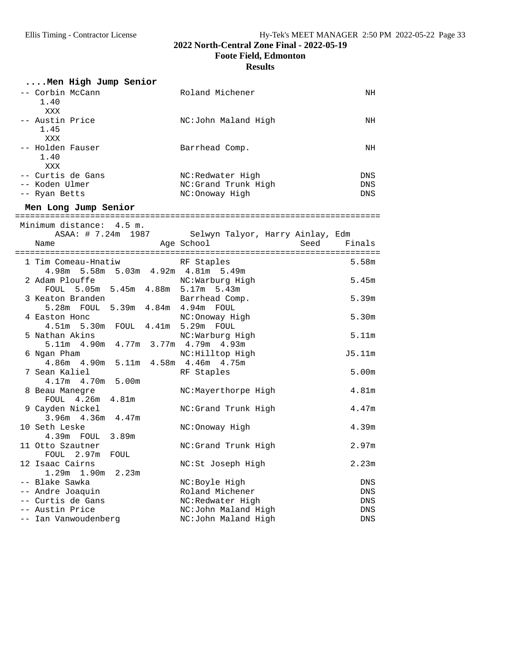**Foote Field, Edmonton**

| Men High Jump Senior                     |                                  |                   |
|------------------------------------------|----------------------------------|-------------------|
| -- Corbin McCann<br>1.40<br>XXX          | Roland Michener                  | NH                |
| -- Austin Price<br>1.45<br>XXX           | NC:John Maland High              | NH                |
| -- Holden Fauser<br>1.40<br>XXX          | Barrhead Comp.                   | NH                |
| -- Curtis de Gans                        | NC:Redwater High                 | DNS               |
| -- Koden Ulmer                           | NC:Grand Trunk High              | DNS               |
| -- Ryan Betts                            | NC:Onoway High                   | <b>DNS</b>        |
| Men Long Jump Senior                     |                                  |                   |
|                                          |                                  |                   |
| Minimum distance: 4.5 m.                 |                                  |                   |
| ASAA: # 7.24m 1987                       | Selwyn Talyor, Harry Ainlay, Edm |                   |
| Name                                     | Age School<br>Seed               | Finals            |
| 1 Tim Comeau-Hnatiw                      | RF Staples                       | 5.58m             |
| 4.98m 5.58m 5.03m 4.92m 4.81m 5.49m      |                                  |                   |
| 2 Adam Plouffe                           | NC:Warburg High                  | 5.45m             |
| FOUL 5.05m 5.45m 4.88m 5.17m 5.43m       |                                  |                   |
| 3 Keaton Branden                         | Barrhead Comp.                   | 5.39m             |
| 5.28m FOUL 5.39m 4.84m 4.94m FOUL        |                                  |                   |
| 4 Easton Honc                            | NC:Onoway High                   | 5.30m             |
| 4.51m 5.30m FOUL 4.41m 5.29m FOUL        |                                  |                   |
| 5 Nathan Akins                           | NC:Warburg High                  | 5.11m             |
| 5.11m  4.90m  4.77m  3.77m  4.79m  4.93m |                                  |                   |
| 6 Ngan Pham                              | NC:Hilltop High                  | J5.11m            |
| 4.86m  4.90m  5.11m  4.58m  4.46m  4.75m |                                  |                   |
| 7 Sean Kaliel                            | RF Staples                       | 5.00 <sub>m</sub> |
| 4.17m  4.70m  5.00m                      |                                  |                   |
| 8 Beau Manegre                           | NC:Mayerthorpe High              | 4.81m             |
| FOUL 4.26m<br>4.81m                      |                                  |                   |
| 9 Cayden Nickel                          | NC:Grand Trunk High              | 4.47m             |
| 3.96m 4.36m 4.47m                        |                                  |                   |
| 10 Seth Leske                            | NC:Onoway High                   | 4.39m             |
| 4.39m FOUL 3.89m                         |                                  |                   |
| 11 Otto Szautner                         | NC:Grand Trunk High              | 2.97m             |
| FOUL<br>FOUL 2.97m                       |                                  |                   |
| 12 Isaac Cairns                          | NC:St Joseph High                | 2.23m             |
| 1.90m<br>1.29m<br>2.23m                  |                                  |                   |
| -- Blake Sawka                           | NC:Boyle High                    | DNS               |
| -- Andre Joaquin                         | Roland Michener                  | DNS               |
| -- Curtis de Gans<br>-- Austin Price     | NC:Redwater High                 | DNS               |
|                                          | NC:John Maland High              | DNS               |
| -- Ian Vanwoudenberg                     | NC:John Maland High              | DNS               |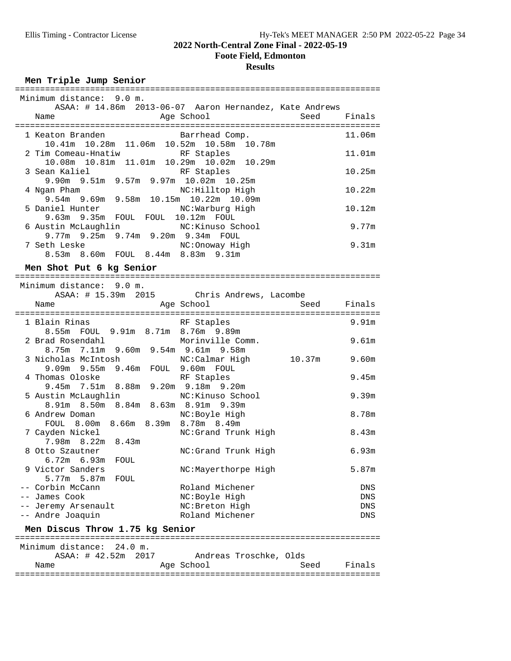**Foote Field, Edmonton**

# **Results**

### **Men Triple Jump Senior**

| Minimum distance: 9.0 m.                                          |        |
|-------------------------------------------------------------------|--------|
| ASAA: # 14.86m 2013-06-07 Aaron Hernandez, Kate Andrews           |        |
| seed Finals (Seed Finals<br>Age School<br>Name                    |        |
|                                                                   |        |
| Barrhead Comp.<br>1 Keaton Branden                                | 11.06m |
| 10.41m 10.28m 11.06m 10.52m 10.58m 10.78m                         |        |
| 2 Tim Comeau-Hnatiw RF Staples                                    | 11.01m |
| 10.08m  10.81m  11.01m  10.29m  10.02m  10.29m                    |        |
|                                                                   | 10.25m |
| 3 Sean Kaliel RF Staples<br>9.90m 9.51m 9.57m 9.97m 10.02m 10.25m |        |
| NC: Hilltop High<br>4 Ngan Pham                                   | 10.22m |
| 9.54m 9.69m 9.58m 10.15m 10.22m 10.09m                            |        |
| 5 Daniel Hunter NC: Warburg High                                  | 10.12m |
| 9.63m 9.35m FOUL FOUL 10.12m FOUL                                 |        |
| 6 Austin McLaughlin MC: Kinuso School                             | 9.77m  |
| 9.77m 9.25m 9.74m 9.20m 9.34m FOUL                                |        |
| 7 Seth Leske NC: Onoway High                                      | 9.31m  |
| 8.53m 8.60m FOUL 8.44m 8.83m 9.31m                                |        |
|                                                                   |        |
| Men Shot Put 6 kg Senior                                          |        |
|                                                                   |        |
| Minimum distance: 9.0 m.                                          |        |
| ASAA: # 15.39m 2015 Chris Andrews, Lacombe                        |        |
| Aqe School<br>Seed Finals<br>Name                                 |        |
|                                                                   |        |
| RF Staples<br>1 Blain Rinas                                       | 9.91m  |
| 8.55m FOUL 9.91m 8.71m 8.76m 9.89m                                |        |

| T RTATIL KINAR                                       | Kr plapies           |        | ラ・フエ山      |
|------------------------------------------------------|----------------------|--------|------------|
| 8.55m FOUL 9.91m 8.71m 8.76m 9.89m                   |                      |        |            |
| 2 Brad Rosendahl                                     | Morinville Comm.     |        | 9.61m      |
| 8.75m 7.11m 9.60m 9.54m 9.61m 9.58m                  |                      |        |            |
| 3 Nicholas McIntosh                   NC:Calmar High |                      | 10.37m | 9.60m      |
| 9.09m 9.55m 9.46m FOUL 9.60m FOUL                    |                      |        |            |
| 4 Thomas Oloske                                      | RF Staples           |        | 9.45m      |
| 9.45m 7.51m 8.88m 9.20m 9.18m 9.20m                  |                      |        |            |
| 5 Austin McLaughlin MC: Kinuso School                |                      |        | 9.39m      |
| 8.91m 8.50m 8.84m 8.63m 8.91m 9.39m                  |                      |        |            |
| 6 Andrew Doman                                       | NC:Boyle High        |        | 8.78m      |
| FOUL 8.00m 8.66m 8.39m 8.78m 8.49m                   |                      |        |            |
| 7 Cayden Nickel                                      | NC:Grand Trunk High  |        | 8.43m      |
| $7.98m$ 8.22m 8.43m                                  |                      |        |            |
| 8 Otto Szautner                                      | NC: Grand Trunk High |        | 6.93m      |
| $6.72m$ $6.93m$ $FOUL$                               |                      |        |            |
| 9 Victor Sanders                                     | NC:Mayerthorpe High  |        | 5.87m      |
| 5.77m 5.87m FOUL                                     |                      |        |            |
| -- Corbin McCann                                     | Roland Michener      |        | <b>DNS</b> |
| -- James Cook                                        | NC:Boyle High        |        | DNS        |
| -- Jeremy Arsenault                                  | NC:Breton High       |        | <b>DNS</b> |
| -- Andre Joaquin                                     | Roland Michener      |        | DNS        |
|                                                      |                      |        |            |
| Men Discus Throw 1.75 kg Senior                      |                      |        |            |
|                                                      |                      |        |            |

| Minimum distance: 24.0 m. |                     |            |                        |      |        |
|---------------------------|---------------------|------------|------------------------|------|--------|
|                           | ASAA: # 42.52m 2017 |            | Andreas Troschke, Olds |      |        |
| Name                      |                     | Age School |                        | Seed | Finals |
|                           |                     |            |                        |      |        |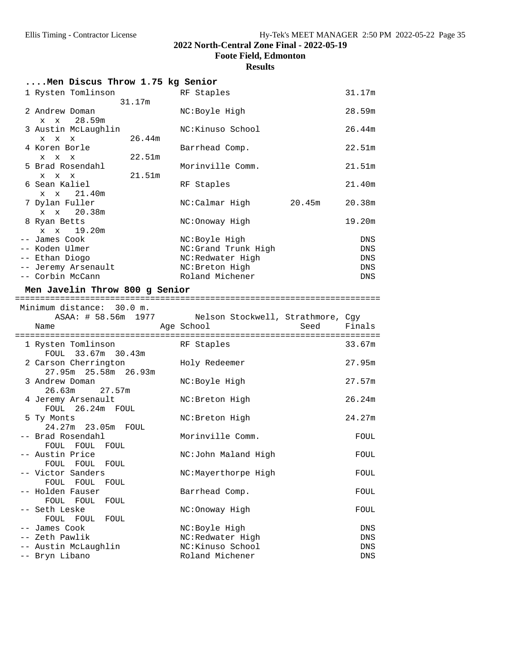**Foote Field, Edmonton**

## **Results**

| Men Discus Throw 1.75 kg Senior                                                              |        |                                                                                                |        |                                 |
|----------------------------------------------------------------------------------------------|--------|------------------------------------------------------------------------------------------------|--------|---------------------------------|
| 1 Rysten Tomlinson                                                                           | 31.17m | RF Staples                                                                                     |        | 31.17m                          |
| 2 Andrew Doman<br>x x 28.59m                                                                 |        | NC:Boyle High                                                                                  |        | 28.59m                          |
| 3 Austin McLaughlin<br>$\mathbf x$<br>$\mathbf x$<br>$\mathbf x$                             | 26.44m | NC:Kinuso School                                                                               |        | 26.44m                          |
| 4 Koren Borle<br>$X$ $X$ $X$                                                                 | 22.51m | Barrhead Comp.                                                                                 |        | 22.51m                          |
| 5 Brad Rosendahl<br>$X$ $X$ $X$                                                              | 21.51m | Morinville Comm.                                                                               |        | 21.51m                          |
| 6 Sean Kaliel<br>x x 21.40m                                                                  |        | RF Staples                                                                                     |        | 21.40m                          |
| 7 Dylan Fuller<br>x x 20.38m                                                                 |        | NC:Calmar High                                                                                 | 20.45m | 20.38m                          |
| 8 Ryan Betts<br>$X$ $X$<br>19.20m                                                            |        | NC:Onoway High                                                                                 |        | 19.20m                          |
| -- James Cook<br>-- Koden Ulmer<br>-- Ethan Diogo<br>-- Jeremy Arsenault<br>-- Corbin McCann |        | NC:Boyle High<br>NC:Grand Trunk High<br>NC:Redwater High<br>NC: Breton High<br>Roland Michener |        | DNS<br>DNS<br>DNS<br>DNS<br>DNS |
| Men Javelin Throw 800 g Senior                                                               |        |                                                                                                |        |                                 |
|                                                                                              |        |                                                                                                |        |                                 |
| Minimum distance: 30.0 m.                                                                    |        |                                                                                                |        |                                 |
| Name                                                                                         |        | ASAA: # 58.56m 1977 Nelson Stockwell, Strathmore, Cgy<br>Age School                            | Seed   | Finals                          |
| 1 Rysten Tomlinson                                                                           |        | RF Staples                                                                                     |        | 33.67m                          |
| FOUL 33.67m 30.43m<br>2 Carson Cherrington                                                   |        | Holy Redeemer                                                                                  |        | 27.95m                          |
| 27.95m 25.58m 26.93m<br>3 Andrew Doman<br>26.63m<br>27.57m                                   |        | NC:Boyle High                                                                                  |        | 27.57m                          |
| 4 Jeremy Arsenault<br>FOUL 26.24m FOUL                                                       |        | NC: Breton High                                                                                |        | 26.24m                          |
| 5 Ty Monts<br>24.27m 23.05m FOUL                                                             |        | NC: Breton High                                                                                |        | 24.27m                          |
| -- Brad Rosendahl<br>FOUL FOUL FOUL                                                          |        | Morinville Comm.                                                                               |        | FOUL                            |
| -- Austin Price<br>FOUL FOUL<br>FOUL                                                         |        | NC:John Maland High                                                                            |        | FOUL                            |
| -- Victor Sanders<br>FOUL<br>FOUL<br>FOUL                                                    |        | NC:Mayerthorpe High                                                                            |        | FOUL                            |
| -- Holden Fauser<br>FOUL FOUL<br>FOUL                                                        |        | Barrhead Comp.                                                                                 |        | FOUL                            |
| -- Seth Leske<br>FOUL FOUL<br>FOUL                                                           |        | NC:Onoway High                                                                                 |        | FOUL                            |
| -- James Cook                                                                                |        | NC:Boyle High                                                                                  |        | DNS                             |
| -- Zeth Pawlik<br>-- Austin McLaughlin                                                       |        | NC:Redwater High<br>NC:Kinuso School                                                           |        | DNS<br>DNS                      |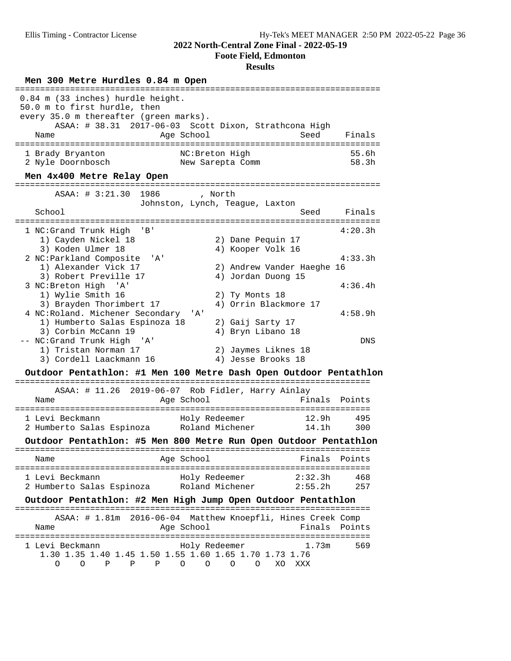**Foote Field, Edmonton**

# **Results**

| Men 300 Metre Hurdles 0.84 m Open                                                                                   |                                                                           |                    |                |
|---------------------------------------------------------------------------------------------------------------------|---------------------------------------------------------------------------|--------------------|----------------|
| 0.84 m (33 inches) hurdle height.<br>50.0 m to first hurdle, then<br>every 35.0 m thereafter (green marks).<br>Name | ASAA: # 38.31 2017-06-03 Scott Dixon, Strathcona High<br>Age School       | Seed               | Finals         |
| 1 Brady Bryanton<br>2 Nyle Doornbosch<br>Men 4x400 Metre Relay Open                                                 | NC: Breton High<br>New Sarepta Comm                                       |                    | 55.6h<br>58.3h |
| ASAA: # 3:21.30 1986                                                                                                | , North<br>Johnston, Lynch, Teague, Laxton                                |                    |                |
| School                                                                                                              |                                                                           | Seed               | Finals         |
| 1 NC:Grand Trunk High<br>'B'<br>1) Cayden Nickel 18                                                                 | 2) Dane Pequin 17                                                         |                    | 4:20.3h        |
| 3) Koden Ulmer 18<br>2 NC: Parkland Composite 'A'<br>1) Alexander Vick 17                                           | 4) Kooper Volk 16<br>2) Andrew Vander Haeghe 16                           |                    | 4:33.3h        |
| 3) Robert Preville 17<br>3 NC: Breton High 'A'<br>1) Wylie Smith 16<br>3) Brayden Thorimbert 17                     | 4) Jordan Duong 15<br>2) Ty Monts 18<br>4) Orrin Blackmore 17             |                    | 4:36.4h        |
| 4 NC: Roland. Michener Secondary<br>1) Humberto Salas Espinoza 18<br>3) Corbin McCann 19                            | ' A '<br>2) Gaij Sarty 17<br>4) Bryn Libano 18                            |                    | 4:58.9h        |
| -- NC:Grand Trunk High 'A'<br>1) Tristan Norman 17<br>3) Cordell Laackmann 16                                       | 2) Jaymes Liknes 18<br>4) Jesse Brooks 18                                 |                    | DNS            |
| Outdoor Pentathlon: #1 Men 100 Metre Dash Open Outdoor Pentathlon                                                   |                                                                           |                    |                |
| Name                                                                                                                | ASAA: # 11.26 2019-06-07 Rob Fidler, Harry Ainlay<br>Age School           | Finals             | Points         |
| 1 Levi Beckmann<br>2 Humberto Salas Espinoza Roland Michener 14.1h                                                  | Holy Redeemer                                                             | 12.9h              | 495<br>300     |
| Outdoor Pentathlon: #5 Men 800 Metre Run Open Outdoor Pentathlon                                                    |                                                                           |                    |                |
| Name                                                                                                                | Age School<br>==============================                              | Finals             | Points         |
| 1 Levi Beckmann<br>2 Humberto Salas Espinoza                                                                        | Holy Redeemer<br>Roland Michener                                          | 2:32.3h<br>2:55.2h | 468<br>257     |
| Outdoor Pentathlon: #2 Men High Jump Open Outdoor Pentathlon                                                        |                                                                           |                    |                |
| Name                                                                                                                | ASAA: # 1.81m 2016-06-04 Matthew Knoepfli, Hines Creek Comp<br>Age School | Finals             | Points         |
| 1 Levi Beckmann<br>1.30 1.35 1.40 1.45 1.50 1.55 1.60 1.65 1.70 1.73 1.76<br>Ρ<br>0<br>O<br>Ρ<br>Ρ                  | Holy Redeemer<br>O<br>O<br>O<br>XO<br>O                                   | 1.73m<br>XXX       | 569            |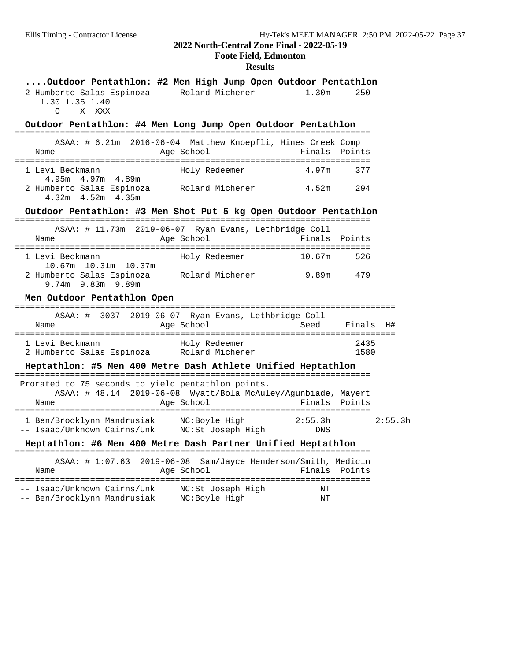# **Foote Field, Edmonton**

### **Results**

| Outdoor Pentathlon: #2 Men High Jump Open Outdoor Pentathlon<br>2 Humberto Salas Espinoza Roland Michener<br>1.30 1.35 1.40<br>O X XXX |                                                                               | 1.30 <sub>m</sub> | 250          |         |
|----------------------------------------------------------------------------------------------------------------------------------------|-------------------------------------------------------------------------------|-------------------|--------------|---------|
| Outdoor Pentathlon: #4 Men Long Jump Open Outdoor Pentathlon                                                                           |                                                                               |                   |              |         |
| Name                                                                                                                                   | ASAA: # 6.21m 2016-06-04 Matthew Knoepfli, Hines Creek Comp<br>Age School     | Finals            | Points       |         |
| 1 Levi Beckmann                                                                                                                        | Holy Redeemer                                                                 | 4.97m             | 377          |         |
| 4.95m 4.97m 4.89m<br>2 Humberto Salas Espinoza<br>$4.32m$ $4.52m$ $4.35m$                                                              | Roland Michener                                                               | 4.52m 294         |              |         |
| Outdoor Pentathlon: #3 Men Shot Put 5 kg Open Outdoor Pentathlon                                                                       |                                                                               |                   |              |         |
| Name                                                                                                                                   | ASAA: # 11.73m 2019-06-07 Ryan Evans, Lethbridge Coll<br>Age School           | Finals Points     |              |         |
| 1 Levi Beckmann                                                                                                                        | Holy Redeemer                                                                 | 10.67m            | 526          |         |
| 10.67m  10.31m  10.37m<br>2 Humberto Salas Espinoza Roland Michener<br>9.74m 9.83m 9.89m                                               |                                                                               | 9.89m             | 479          |         |
| Men Outdoor Pentathlon Open                                                                                                            |                                                                               |                   |              |         |
| Name                                                                                                                                   | ASAA: # 3037 2019-06-07 Ryan Evans, Lethbridge Coll<br>Age School             |                   | Seed Finals  | - H#    |
| 1 Levi Beckmann<br>2 Humberto Salas Espinoza Roland Michener                                                                           | Holy Redeemer                                                                 |                   | 2435<br>1580 |         |
| Heptathlon: #5 Men 400 Metre Dash Athlete Unified Heptathlon                                                                           |                                                                               |                   |              |         |
| Prorated to 75 seconds to yield pentathlon points.<br>Name                                                                             | ASAA: # 48.14 2019-06-08 Wyatt/Bola McAuley/Agunbiade, Mayert<br>Age School   | Finals Points     |              |         |
| 1 Ben/Brooklynn Mandrusiak MC:Boyle High<br>-- Isaac/Unknown Cairns/Unk MC:St Joseph High                                              |                                                                               | 2:55.3h<br>DNS    |              | 2:55.3h |
| Heptathlon: #6 Men 400 Metre Dash Partner Unified Heptathlon                                                                           |                                                                               |                   |              |         |
| Name                                                                                                                                   | ASAA: # 1:07.63  2019-06-08  Sam/Jayce Henderson/Smith, Medicin<br>Age School | Finals Points     |              |         |
| -- Isaac/Unknown Cairns/Unk     NC:St Joseph High                                                                                      |                                                                               | NΤ                |              |         |

-- Isaac (Unit Unit Unit Observed Unit Original International International International International International International International International International International International International Intern -- Ben/Brooklynn Mandrusiak